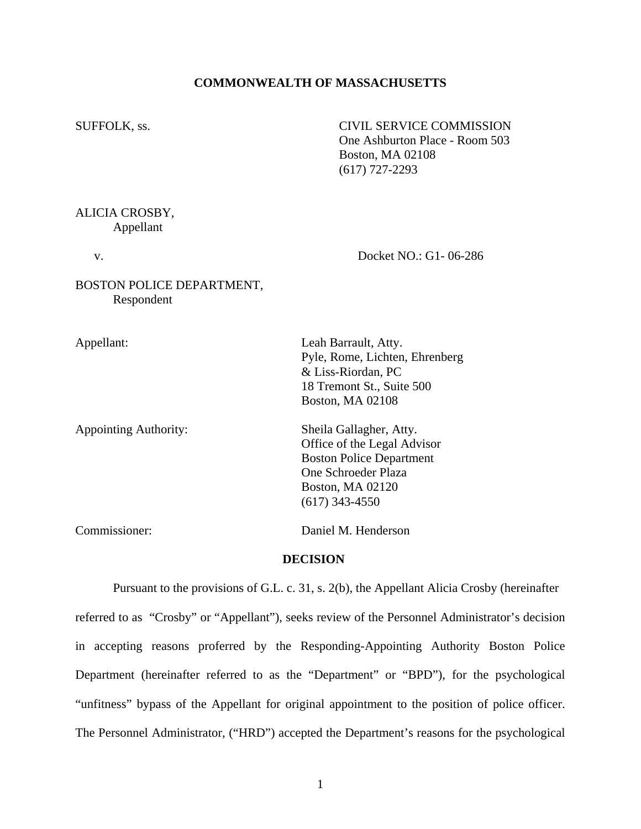#### **COMMONWEALTH OF MASSACHUSETTS**

SUFFOLK, ss. CIVIL SERVICE COMMISSION One Ashburton Place - Room 503 Boston, MA 02108 (617) 727-2293

#### ALICIA CROSBY, Appellant

v. Docket NO.: G1- 06-286

### BOSTON POLICE DEPARTMENT, Respondent

Appointing Authority: Sheila Gallagher, Atty.

Appellant: Leah Barrault, Atty. Pyle, Rome, Lichten, Ehrenberg & Liss-Riordan, PC 18 Tremont St., Suite 500 Boston, MA 02108

> Office of the Legal Advisor Boston Police Department One Schroeder Plaza Boston, MA 02120 (617) 343-4550

Commissioner: Daniel M. Henderson

### **DECISION**

Pursuant to the provisions of G.L. c. 31, s. 2(b), the Appellant Alicia Crosby (hereinafter referred to as "Crosby" or "Appellant"), seeks review of the Personnel Administrator's decision in accepting reasons proferred by the Responding-Appointing Authority Boston Police Department (hereinafter referred to as the "Department" or "BPD"), for the psychological "unfitness" bypass of the Appellant for original appointment to the position of police officer. The Personnel Administrator, ("HRD") accepted the Department's reasons for the psychological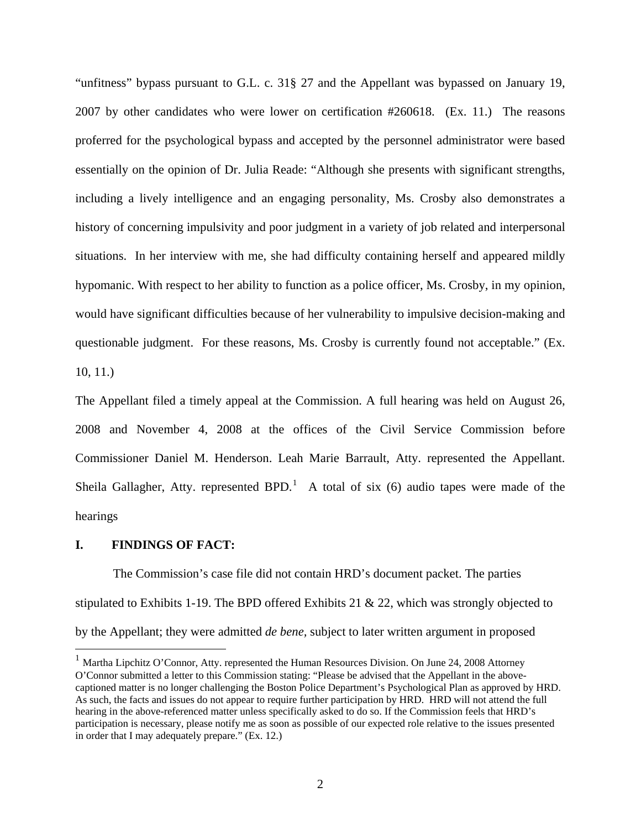"unfitness" bypass pursuant to G.L. c. 31§ 27 and the Appellant was bypassed on January 19, 2007 by other candidates who were lower on certification #260618. (Ex. 11.) The reasons proferred for the psychological bypass and accepted by the personnel administrator were based essentially on the opinion of Dr. Julia Reade: "Although she presents with significant strengths, including a lively intelligence and an engaging personality, Ms. Crosby also demonstrates a history of concerning impulsivity and poor judgment in a variety of job related and interpersonal situations. In her interview with me, she had difficulty containing herself and appeared mildly hypomanic. With respect to her ability to function as a police officer, Ms. Crosby, in my opinion, would have significant difficulties because of her vulnerability to impulsive decision-making and questionable judgment. For these reasons, Ms. Crosby is currently found not acceptable." (Ex. 10, 11.)

The Appellant filed a timely appeal at the Commission. A full hearing was held on August 26, 2008 and November 4, 2008 at the offices of the Civil Service Commission before Commissioner Daniel M. Henderson. Leah Marie Barrault, Atty. represented the Appellant. Sheila Gallagher, Atty. represented BPD.<sup>[1](#page-1-0)</sup> A total of six (6) audio tapes were made of the hearings

#### **I. FINDINGS OF FACT:**

 $\overline{a}$ 

 The Commission's case file did not contain HRD's document packet. The parties stipulated to Exhibits 1-19. The BPD offered Exhibits 21 & 22, which was strongly objected to by the Appellant; they were admitted *de bene,* subject to later written argument in proposed

<span id="page-1-0"></span><sup>&</sup>lt;sup>1</sup> Martha Lipchitz O'Connor, Atty. represented the Human Resources Division. On June 24, 2008 Attorney O'Connor submitted a letter to this Commission stating: "Please be advised that the Appellant in the abovecaptioned matter is no longer challenging the Boston Police Department's Psychological Plan as approved by HRD. As such, the facts and issues do not appear to require further participation by HRD. HRD will not attend the full hearing in the above-referenced matter unless specifically asked to do so. If the Commission feels that HRD's participation is necessary, please notify me as soon as possible of our expected role relative to the issues presented in order that I may adequately prepare." (Ex. 12.)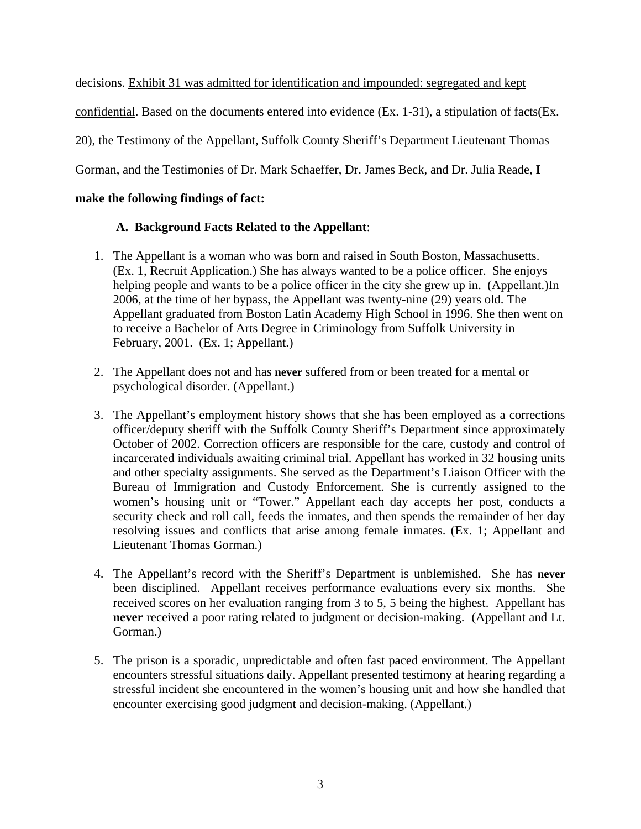decisions*.* Exhibit 31 was admitted for identification and impounded: segregated and kept confidential. Based on the documents entered into evidence (Ex. 1-31), a stipulation of facts(Ex. 20), the Testimony of the Appellant, Suffolk County Sheriff's Department Lieutenant Thomas Gorman, and the Testimonies of Dr. Mark Schaeffer, Dr. James Beck, and Dr. Julia Reade, **I** 

### **make the following findings of fact:**

# **A. Background Facts Related to the Appellant**:

- 1. The Appellant is a woman who was born and raised in South Boston, Massachusetts. (Ex. 1, Recruit Application.) She has always wanted to be a police officer. She enjoys helping people and wants to be a police officer in the city she grew up in. (Appellant.)In 2006, at the time of her bypass, the Appellant was twenty-nine (29) years old. The Appellant graduated from Boston Latin Academy High School in 1996. She then went on to receive a Bachelor of Arts Degree in Criminology from Suffolk University in February, 2001. (Ex. 1; Appellant.)
- 2. The Appellant does not and has **never** suffered from or been treated for a mental or psychological disorder. (Appellant.)
- 3. The Appellant's employment history shows that she has been employed as a corrections officer/deputy sheriff with the Suffolk County Sheriff's Department since approximately October of 2002. Correction officers are responsible for the care, custody and control of incarcerated individuals awaiting criminal trial. Appellant has worked in 32 housing units and other specialty assignments. She served as the Department's Liaison Officer with the Bureau of Immigration and Custody Enforcement. She is currently assigned to the women's housing unit or "Tower." Appellant each day accepts her post, conducts a security check and roll call, feeds the inmates, and then spends the remainder of her day resolving issues and conflicts that arise among female inmates. (Ex. 1; Appellant and Lieutenant Thomas Gorman.)
- 4. The Appellant's record with the Sheriff's Department is unblemished. She has **never** been disciplined. Appellant receives performance evaluations every six months. She received scores on her evaluation ranging from 3 to 5, 5 being the highest. Appellant has **never** received a poor rating related to judgment or decision-making. (Appellant and Lt. Gorman.)
- 5. The prison is a sporadic, unpredictable and often fast paced environment. The Appellant encounters stressful situations daily. Appellant presented testimony at hearing regarding a stressful incident she encountered in the women's housing unit and how she handled that encounter exercising good judgment and decision-making. (Appellant.)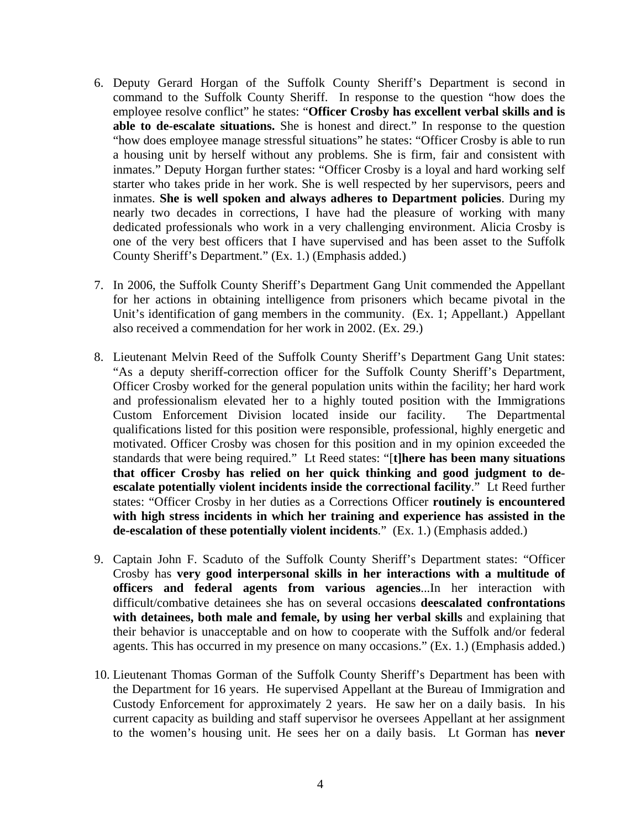- 6. Deputy Gerard Horgan of the Suffolk County Sheriff's Department is second in command to the Suffolk County Sheriff. In response to the question "how does the employee resolve conflict" he states: "**Officer Crosby has excellent verbal skills and is able to de-escalate situations.** She is honest and direct." In response to the question "how does employee manage stressful situations" he states: "Officer Crosby is able to run a housing unit by herself without any problems. She is firm, fair and consistent with inmates." Deputy Horgan further states: "Officer Crosby is a loyal and hard working self starter who takes pride in her work. She is well respected by her supervisors, peers and inmates. **She is well spoken and always adheres to Department policies**. During my nearly two decades in corrections, I have had the pleasure of working with many dedicated professionals who work in a very challenging environment. Alicia Crosby is one of the very best officers that I have supervised and has been asset to the Suffolk County Sheriff's Department." (Ex. 1.) (Emphasis added.)
- 7. In 2006, the Suffolk County Sheriff's Department Gang Unit commended the Appellant for her actions in obtaining intelligence from prisoners which became pivotal in the Unit's identification of gang members in the community. (Ex. 1; Appellant.) Appellant also received a commendation for her work in 2002. (Ex. 29.)
- 8. Lieutenant Melvin Reed of the Suffolk County Sheriff's Department Gang Unit states: "As a deputy sheriff-correction officer for the Suffolk County Sheriff's Department, Officer Crosby worked for the general population units within the facility; her hard work and professionalism elevated her to a highly touted position with the Immigrations Custom Enforcement Division located inside our facility. The Departmental qualifications listed for this position were responsible, professional, highly energetic and motivated. Officer Crosby was chosen for this position and in my opinion exceeded the standards that were being required." Lt Reed states: "[**t]here has been many situations that officer Crosby has relied on her quick thinking and good judgment to deescalate potentially violent incidents inside the correctional facility**." Lt Reed further states: "Officer Crosby in her duties as a Corrections Officer **routinely is encountered with high stress incidents in which her training and experience has assisted in the de-escalation of these potentially violent incidents**." (Ex. 1.) (Emphasis added.)
- 9. Captain John F. Scaduto of the Suffolk County Sheriff's Department states: "Officer Crosby has **very good interpersonal skills in her interactions with a multitude of officers and federal agents from various agencies**...In her interaction with difficult/combative detainees she has on several occasions **deescalated confrontations with detainees, both male and female, by using her verbal skills** and explaining that their behavior is unacceptable and on how to cooperate with the Suffolk and/or federal agents. This has occurred in my presence on many occasions." (Ex. 1.) (Emphasis added.)
- 10. Lieutenant Thomas Gorman of the Suffolk County Sheriff's Department has been with the Department for 16 years. He supervised Appellant at the Bureau of Immigration and Custody Enforcement for approximately 2 years. He saw her on a daily basis. In his current capacity as building and staff supervisor he oversees Appellant at her assignment to the women's housing unit. He sees her on a daily basis. Lt Gorman has **never**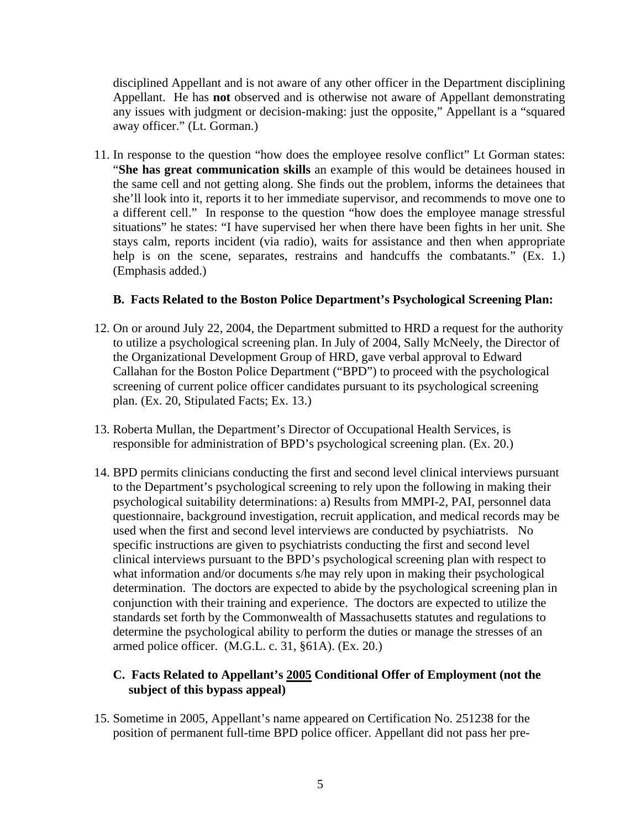disciplined Appellant and is not aware of any other officer in the Department disciplining Appellant. He has **not** observed and is otherwise not aware of Appellant demonstrating any issues with judgment or decision-making: just the opposite," Appellant is a "squared away officer." (Lt. Gorman.)

11. In response to the question "how does the employee resolve conflict" Lt Gorman states: "**She has great communication skills** an example of this would be detainees housed in the same cell and not getting along. She finds out the problem, informs the detainees that she'll look into it, reports it to her immediate supervisor, and recommends to move one to a different cell." In response to the question "how does the employee manage stressful situations" he states: "I have supervised her when there have been fights in her unit. She stays calm, reports incident (via radio), waits for assistance and then when appropriate help is on the scene, separates, restrains and handcuffs the combatants." (Ex. 1.) (Emphasis added.)

### **B. Facts Related to the Boston Police Department's Psychological Screening Plan:**

- 12. On or around July 22, 2004, the Department submitted to HRD a request for the authority to utilize a psychological screening plan. In July of 2004, Sally McNeely, the Director of the Organizational Development Group of HRD, gave verbal approval to Edward Callahan for the Boston Police Department ("BPD") to proceed with the psychological screening of current police officer candidates pursuant to its psychological screening plan. (Ex. 20, Stipulated Facts; Ex. 13.)
- 13. Roberta Mullan, the Department's Director of Occupational Health Services, is responsible for administration of BPD's psychological screening plan. (Ex. 20.)
- 14. BPD permits clinicians conducting the first and second level clinical interviews pursuant to the Department's psychological screening to rely upon the following in making their psychological suitability determinations: a) Results from MMPI-2, PAI, personnel data questionnaire, background investigation, recruit application, and medical records may be used when the first and second level interviews are conducted by psychiatrists. No specific instructions are given to psychiatrists conducting the first and second level clinical interviews pursuant to the BPD's psychological screening plan with respect to what information and/or documents s/he may rely upon in making their psychological determination. The doctors are expected to abide by the psychological screening plan in conjunction with their training and experience. The doctors are expected to utilize the standards set forth by the Commonwealth of Massachusetts statutes and regulations to determine the psychological ability to perform the duties or manage the stresses of an armed police officer. (M.G.L. c. 31, §61A). (Ex. 20.)

# **C. Facts Related to Appellant's 2005 Conditional Offer of Employment (not the subject of this hypass appeal) subject of this bypass appeal)**

15. Sometime in 2005, Appellant's name appeared on Certification No. 251238 for the position of permanent full-time BPD police officer. Appellant did not pass her pre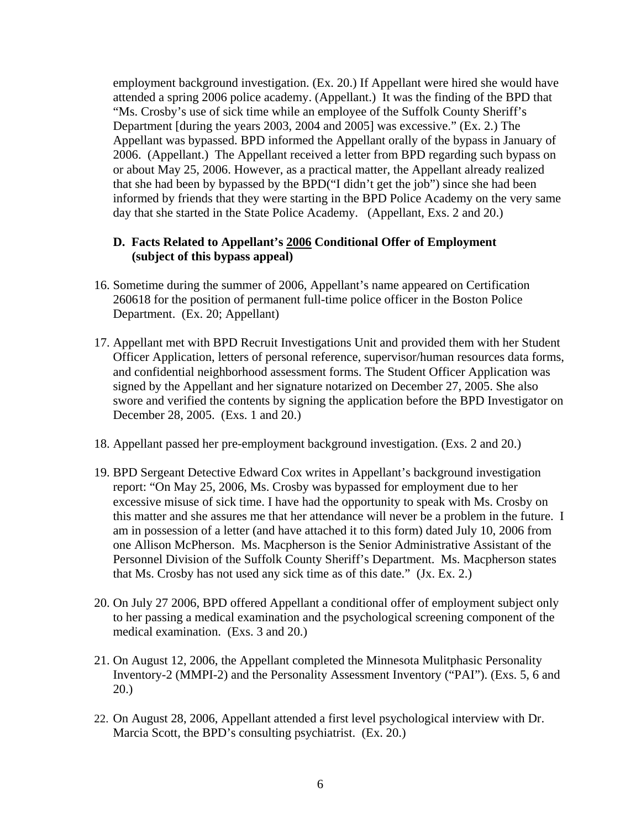employment background investigation. (Ex. 20.) If Appellant were hired she would have attended a spring 2006 police academy. (Appellant.) It was the finding of the BPD that "Ms. Crosby's use of sick time while an employee of the Suffolk County Sheriff's Department [during the years 2003, 2004 and 2005] was excessive." (Ex. 2.) The Appellant was bypassed. BPD informed the Appellant orally of the bypass in January of 2006. (Appellant.) The Appellant received a letter from BPD regarding such bypass on or about May 25, 2006. However, as a practical matter, the Appellant already realized that she had been by bypassed by the BPD("I didn't get the job") since she had been informed by friends that they were starting in the BPD Police Academy on the very same day that she started in the State Police Academy. (Appellant, Exs. 2 and 20.)

# **D. Facts Related to Appellant's 2006 Conditional Offer of Employment**<br>(subject of this bypass appeal)  **(subject of this bypass appeal)**

- 16. Sometime during the summer of 2006, Appellant's name appeared on Certification 260618 for the position of permanent full-time police officer in the Boston Police Department. (Ex. 20; Appellant)
- 17. Appellant met with BPD Recruit Investigations Unit and provided them with her Student Officer Application, letters of personal reference, supervisor/human resources data forms, and confidential neighborhood assessment forms. The Student Officer Application was signed by the Appellant and her signature notarized on December 27, 2005. She also swore and verified the contents by signing the application before the BPD Investigator on December 28, 2005. (Exs. 1 and 20.)
- 18. Appellant passed her pre-employment background investigation. (Exs. 2 and 20.)
- 19. BPD Sergeant Detective Edward Cox writes in Appellant's background investigation report: "On May 25, 2006, Ms. Crosby was bypassed for employment due to her excessive misuse of sick time. I have had the opportunity to speak with Ms. Crosby on this matter and she assures me that her attendance will never be a problem in the future. I am in possession of a letter (and have attached it to this form) dated July 10, 2006 from one Allison McPherson. Ms. Macpherson is the Senior Administrative Assistant of the Personnel Division of the Suffolk County Sheriff's Department. Ms. Macpherson states that Ms. Crosby has not used any sick time as of this date." (Jx. Ex. 2.)
- 20. On July 27 2006, BPD offered Appellant a conditional offer of employment subject only to her passing a medical examination and the psychological screening component of the medical examination. (Exs. 3 and 20.)
- 21. On August 12, 2006, the Appellant completed the Minnesota Mulitphasic Personality Inventory-2 (MMPI-2) and the Personality Assessment Inventory ("PAI"). (Exs. 5, 6 and 20.)
- 22. On August 28, 2006, Appellant attended a first level psychological interview with Dr. Marcia Scott, the BPD's consulting psychiatrist. (Ex. 20.)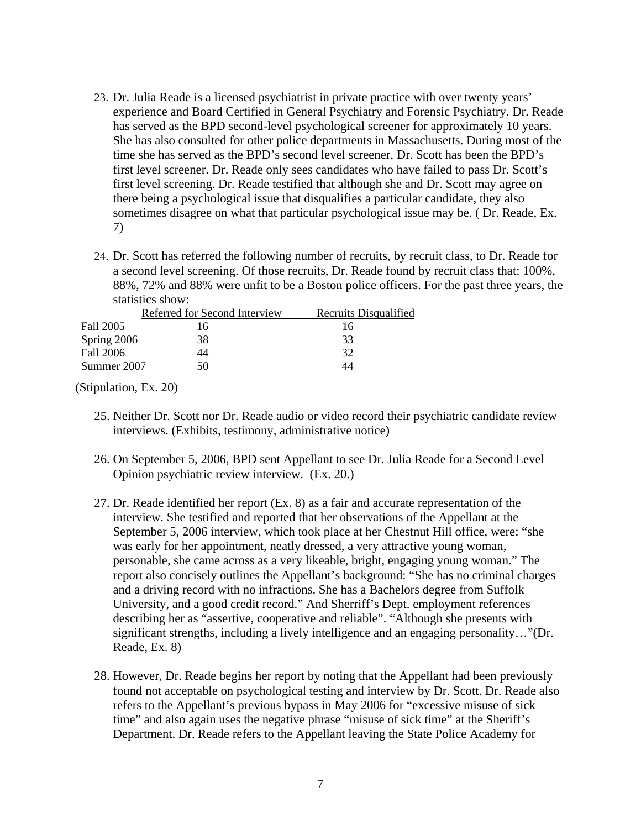- 23. Dr. Julia Reade is a licensed psychiatrist in private practice with over twenty years' experience and Board Certified in General Psychiatry and Forensic Psychiatry. Dr. Reade has served as the BPD second-level psychological screener for approximately 10 years. She has also consulted for other police departments in Massachusetts. During most of the time she has served as the BPD's second level screener, Dr. Scott has been the BPD's first level screener. Dr. Reade only sees candidates who have failed to pass Dr. Scott's first level screening. Dr. Reade testified that although she and Dr. Scott may agree on there being a psychological issue that disqualifies a particular candidate, they also sometimes disagree on what that particular psychological issue may be. ( Dr. Reade, Ex. 7)
- 24. Dr. Scott has referred the following number of recruits, by recruit class, to Dr. Reade for a second level screening. Of those recruits, Dr. Reade found by recruit class that: 100%, 88%, 72% and 88% were unfit to be a Boston police officers. For the past three years, the statistics show:

|             | Referred for Second Interview | Recruits Disqualified |
|-------------|-------------------------------|-----------------------|
| Fall 2005   | 16                            | 16                    |
| Spring 2006 | 38                            | 33                    |
| Fall 2006   | 44                            | 32                    |
| Summer 2007 | 50                            | 14                    |

(Stipulation, Ex. 20)

- 25. Neither Dr. Scott nor Dr. Reade audio or video record their psychiatric candidate review interviews. (Exhibits, testimony, administrative notice)
- 26. On September 5, 2006, BPD sent Appellant to see Dr. Julia Reade for a Second Level Opinion psychiatric review interview. (Ex. 20.)
- 27. Dr. Reade identified her report (Ex. 8) as a fair and accurate representation of the interview. She testified and reported that her observations of the Appellant at the September 5, 2006 interview, which took place at her Chestnut Hill office, were: "she was early for her appointment, neatly dressed, a very attractive young woman, personable, she came across as a very likeable, bright, engaging young woman." The report also concisely outlines the Appellant's background: "She has no criminal charges and a driving record with no infractions. She has a Bachelors degree from Suffolk University, and a good credit record." And Sherriff's Dept. employment references describing her as "assertive, cooperative and reliable". "Although she presents with significant strengths, including a lively intelligence and an engaging personality…"(Dr. Reade, Ex. 8)
- 28. However, Dr. Reade begins her report by noting that the Appellant had been previously found not acceptable on psychological testing and interview by Dr. Scott. Dr. Reade also refers to the Appellant's previous bypass in May 2006 for "excessive misuse of sick time" and also again uses the negative phrase "misuse of sick time" at the Sheriff's Department. Dr. Reade refers to the Appellant leaving the State Police Academy for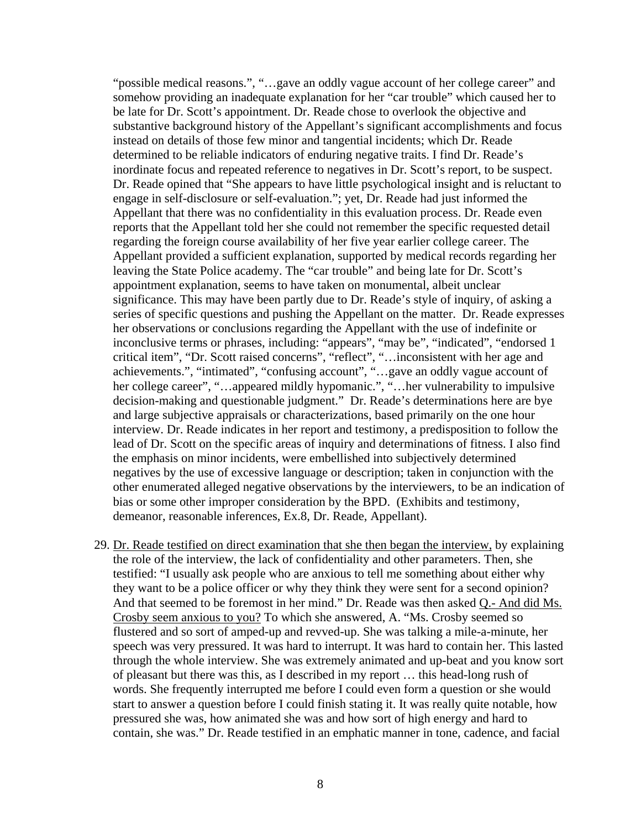"possible medical reasons.", "…gave an oddly vague account of her college career" and somehow providing an inadequate explanation for her "car trouble" which caused her to be late for Dr. Scott's appointment. Dr. Reade chose to overlook the objective and substantive background history of the Appellant's significant accomplishments and focus instead on details of those few minor and tangential incidents; which Dr. Reade determined to be reliable indicators of enduring negative traits. I find Dr. Reade's inordinate focus and repeated reference to negatives in Dr. Scott's report, to be suspect. Dr. Reade opined that "She appears to have little psychological insight and is reluctant to engage in self-disclosure or self-evaluation."; yet, Dr. Reade had just informed the Appellant that there was no confidentiality in this evaluation process. Dr. Reade even reports that the Appellant told her she could not remember the specific requested detail regarding the foreign course availability of her five year earlier college career. The Appellant provided a sufficient explanation, supported by medical records regarding her leaving the State Police academy. The "car trouble" and being late for Dr. Scott's appointment explanation, seems to have taken on monumental, albeit unclear significance. This may have been partly due to Dr. Reade's style of inquiry, of asking a series of specific questions and pushing the Appellant on the matter. Dr. Reade expresses her observations or conclusions regarding the Appellant with the use of indefinite or inconclusive terms or phrases, including: "appears", "may be", "indicated", "endorsed 1 critical item", "Dr. Scott raised concerns", "reflect", "…inconsistent with her age and achievements.", "intimated", "confusing account", "…gave an oddly vague account of her college career", "...appeared mildly hypomanic.", "...her vulnerability to impulsive decision-making and questionable judgment." Dr. Reade's determinations here are bye and large subjective appraisals or characterizations, based primarily on the one hour interview. Dr. Reade indicates in her report and testimony, a predisposition to follow the lead of Dr. Scott on the specific areas of inquiry and determinations of fitness. I also find the emphasis on minor incidents, were embellished into subjectively determined negatives by the use of excessive language or description; taken in conjunction with the other enumerated alleged negative observations by the interviewers, to be an indication of bias or some other improper consideration by the BPD. (Exhibits and testimony, demeanor, reasonable inferences, Ex.8, Dr. Reade, Appellant).

29. Dr. Reade testified on direct examination that she then began the interview, by explaining the role of the interview, the lack of confidentiality and other parameters. Then, she testified: "I usually ask people who are anxious to tell me something about either why they want to be a police officer or why they think they were sent for a second opinion? And that seemed to be foremost in her mind." Dr. Reade was then asked Q.- And did Ms. Crosby seem anxious to you? To which she answered, A. "Ms. Crosby seemed so flustered and so sort of amped-up and revved-up. She was talking a mile-a-minute, her speech was very pressured. It was hard to interrupt. It was hard to contain her. This lasted through the whole interview. She was extremely animated and up-beat and you know sort of pleasant but there was this, as I described in my report … this head-long rush of words. She frequently interrupted me before I could even form a question or she would start to answer a question before I could finish stating it. It was really quite notable, how pressured she was, how animated she was and how sort of high energy and hard to contain, she was." Dr. Reade testified in an emphatic manner in tone, cadence, and facial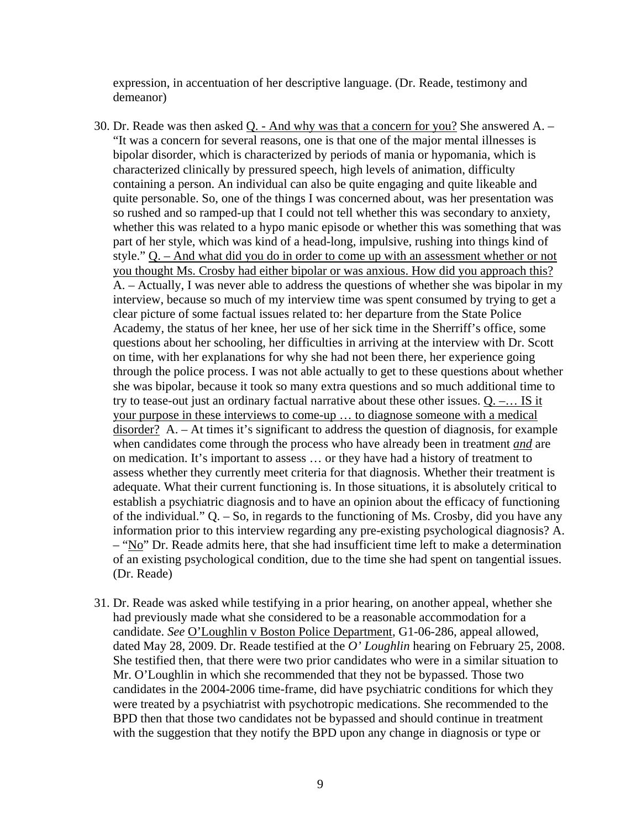expression, in accentuation of her descriptive language. (Dr. Reade, testimony and demeanor)

- 30. Dr. Reade was then asked  $Q.$  And why was that a concern for you? She answered A. "It was a concern for several reasons, one is that one of the major mental illnesses is bipolar disorder, which is characterized by periods of mania or hypomania, which is characterized clinically by pressured speech, high levels of animation, difficulty containing a person. An individual can also be quite engaging and quite likeable and quite personable. So, one of the things I was concerned about, was her presentation was so rushed and so ramped-up that I could not tell whether this was secondary to anxiety, whether this was related to a hypo manic episode or whether this was something that was part of her style, which was kind of a head-long, impulsive, rushing into things kind of style." Q. – And what did you do in order to come up with an assessment whether or not you thought Ms. Crosby had either bipolar or was anxious. How did you approach this? A. – Actually, I was never able to address the questions of whether she was bipolar in my interview, because so much of my interview time was spent consumed by trying to get a clear picture of some factual issues related to: her departure from the State Police Academy, the status of her knee, her use of her sick time in the Sherriff's office, some questions about her schooling, her difficulties in arriving at the interview with Dr. Scott on time, with her explanations for why she had not been there, her experience going through the police process. I was not able actually to get to these questions about whether she was bipolar, because it took so many extra questions and so much additional time to try to tease-out just an ordinary factual narrative about these other issues. Q. –… IS it your purpose in these interviews to come-up … to diagnose someone with a medical disorder? A. – At times it's significant to address the question of diagnosis, for example when candidates come through the process who have already been in treatment *and* are on medication. It's important to assess … or they have had a history of treatment to assess whether they currently meet criteria for that diagnosis. Whether their treatment is adequate. What their current functioning is. In those situations, it is absolutely critical to establish a psychiatric diagnosis and to have an opinion about the efficacy of functioning of the individual." Q. – So, in regards to the functioning of Ms. Crosby, did you have any information prior to this interview regarding any pre-existing psychological diagnosis? A. – "No" Dr. Reade admits here, that she had insufficient time left to make a determination of an existing psychological condition, due to the time she had spent on tangential issues. (Dr. Reade)
- 31. Dr. Reade was asked while testifying in a prior hearing, on another appeal, whether she had previously made what she considered to be a reasonable accommodation for a candidate. *See* O'Loughlin v Boston Police Department, G1-06-286, appeal allowed, dated May 28, 2009. Dr. Reade testified at the *O' Loughlin* hearing on February 25, 2008. She testified then, that there were two prior candidates who were in a similar situation to Mr. O'Loughlin in which she recommended that they not be bypassed. Those two candidates in the 2004-2006 time-frame, did have psychiatric conditions for which they were treated by a psychiatrist with psychotropic medications. She recommended to the BPD then that those two candidates not be bypassed and should continue in treatment with the suggestion that they notify the BPD upon any change in diagnosis or type or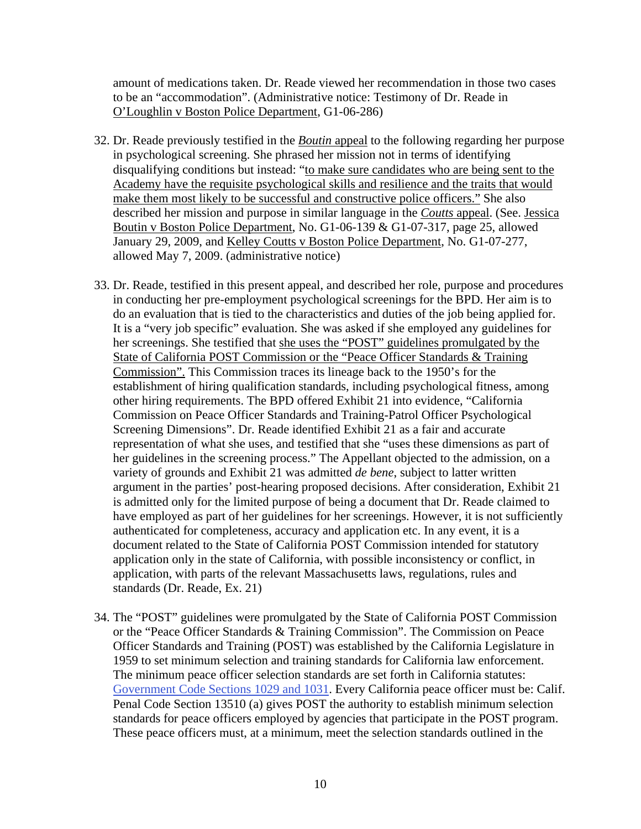amount of medications taken. Dr. Reade viewed her recommendation in those two cases to be an "accommodation". (Administrative notice: Testimony of Dr. Reade in O'Loughlin v Boston Police Department, G1-06-286)

- 32. Dr. Reade previously testified in the *Boutin* appeal to the following regarding her purpose in psychological screening. She phrased her mission not in terms of identifying disqualifying conditions but instead: "to make sure candidates who are being sent to the Academy have the requisite psychological skills and resilience and the traits that would make them most likely to be successful and constructive police officers." She also described her mission and purpose in similar language in the *Coutts* appeal. (See. Jessica Boutin v Boston Police Department, No. G1-06-139 & G1-07-317, page 25, allowed January 29, 2009, and Kelley Coutts v Boston Police Department, No. G1-07-277, allowed May 7, 2009. (administrative notice)
- 33. Dr. Reade, testified in this present appeal, and described her role, purpose and procedures in conducting her pre-employment psychological screenings for the BPD. Her aim is to do an evaluation that is tied to the characteristics and duties of the job being applied for. It is a "very job specific" evaluation. She was asked if she employed any guidelines for her screenings. She testified that she uses the "POST" guidelines promulgated by the State of California POST Commission or the "Peace Officer Standards & Training Commission". This Commission traces its lineage back to the 1950's for the establishment of hiring qualification standards, including psychological fitness, among other hiring requirements. The BPD offered Exhibit 21 into evidence, "California Commission on Peace Officer Standards and Training-Patrol Officer Psychological Screening Dimensions". Dr. Reade identified Exhibit 21 as a fair and accurate representation of what she uses, and testified that she "uses these dimensions as part of her guidelines in the screening process." The Appellant objected to the admission, on a variety of grounds and Exhibit 21 was admitted *de bene*, subject to latter written argument in the parties' post-hearing proposed decisions. After consideration, Exhibit 21 is admitted only for the limited purpose of being a document that Dr. Reade claimed to have employed as part of her guidelines for her screenings. However, it is not sufficiently authenticated for completeness, accuracy and application etc. In any event, it is a document related to the State of California POST Commission intended for statutory application only in the state of California, with possible inconsistency or conflict, in application, with parts of the relevant Massachusetts laws, regulations, rules and standards (Dr. Reade, Ex. 21)
- 34. The "POST" guidelines were promulgated by the State of California POST Commission or the "Peace Officer Standards & Training Commission". The Commission on Peace Officer Standards and Training (POST) was established by the California Legislature in 1959 to set minimum selection and training standards for California law enforcement. The minimum peace officer selection standards are set forth in California statutes: [Government Code Sections 1029 and 1031](ftp://leginfo.public.ca.gov/pub/code/gov/01001-02000/1020-1042). Every California peace officer must be: Calif. Penal Code Section 13510 (a) gives POST the authority to establish minimum selection standards for peace officers employed by agencies that participate in the POST program. These peace officers must, at a minimum, meet the selection standards outlined in the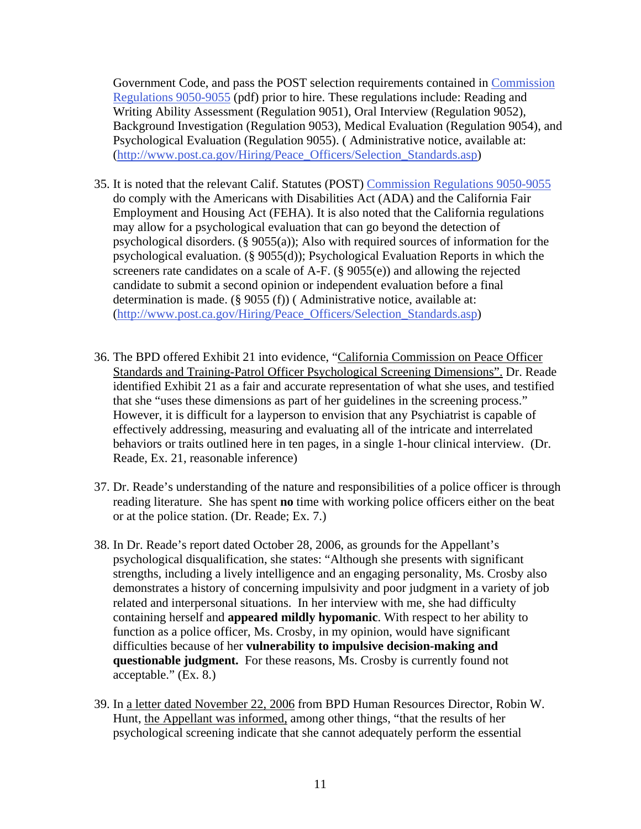Government Code, and pass the POST selection requirements contained in [Commission](http://www.post.ca.gov/Publications/PAM/PAM-ch5_selectionRequirements.pdf)  [Regulations 9050-9055](http://www.post.ca.gov/Publications/PAM/PAM-ch5_selectionRequirements.pdf) (pdf) prior to hire. These regulations include: Reading and Writing Ability Assessment (Regulation 9051), Oral Interview (Regulation 9052), Background Investigation (Regulation 9053), Medical Evaluation (Regulation 9054), and Psychological Evaluation (Regulation 9055). ( Administrative notice, available at: ([http://www.post.ca.gov/Hiring/Peace\\_Officers/Selection\\_Standards.asp\)](http://www.post.ca.gov/Hiring/Peace_Officers/Selection_Standards.asp)

- 35. It is noted that the relevant Calif. Statutes (POST) [Commission Regulations 9050-9055](http://www.post.ca.gov/Publications/PAM/PAM-ch5_selectionRequirements.pdf)  do comply with the Americans with Disabilities Act (ADA) and the California Fair Employment and Housing Act (FEHA). It is also noted that the California regulations may allow for a psychological evaluation that can go beyond the detection of psychological disorders. (§ 9055(a)); Also with required sources of information for the psychological evaluation. (§ 9055(d)); Psychological Evaluation Reports in which the screeners rate candidates on a scale of A-F. (§ 9055(e)) and allowing the rejected candidate to submit a second opinion or independent evaluation before a final determination is made. (§ 9055 (f)) ( Administrative notice, available at: ([http://www.post.ca.gov/Hiring/Peace\\_Officers/Selection\\_Standards.asp\)](http://www.post.ca.gov/Hiring/Peace_Officers/Selection_Standards.asp)
- 36. The BPD offered Exhibit 21 into evidence, "California Commission on Peace Officer Standards and Training-Patrol Officer Psychological Screening Dimensions". Dr. Reade identified Exhibit 21 as a fair and accurate representation of what she uses, and testified that she "uses these dimensions as part of her guidelines in the screening process." However, it is difficult for a layperson to envision that any Psychiatrist is capable of effectively addressing, measuring and evaluating all of the intricate and interrelated behaviors or traits outlined here in ten pages, in a single 1-hour clinical interview. (Dr. Reade, Ex. 21, reasonable inference)
- 37. Dr. Reade's understanding of the nature and responsibilities of a police officer is through reading literature. She has spent **no** time with working police officers either on the beat or at the police station. (Dr. Reade; Ex. 7.)
- 38. In Dr. Reade's report dated October 28, 2006, as grounds for the Appellant's psychological disqualification, she states: "Although she presents with significant strengths, including a lively intelligence and an engaging personality, Ms. Crosby also demonstrates a history of concerning impulsivity and poor judgment in a variety of job related and interpersonal situations. In her interview with me, she had difficulty containing herself and **appeared mildly hypomanic**. With respect to her ability to function as a police officer, Ms. Crosby, in my opinion, would have significant difficulties because of her **vulnerability to impulsive decision-making and questionable judgment.** For these reasons, Ms. Crosby is currently found not acceptable." (Ex. 8.)
- 39. In a letter dated November 22, 2006 from BPD Human Resources Director, Robin W. Hunt, the Appellant was informed, among other things, "that the results of her psychological screening indicate that she cannot adequately perform the essential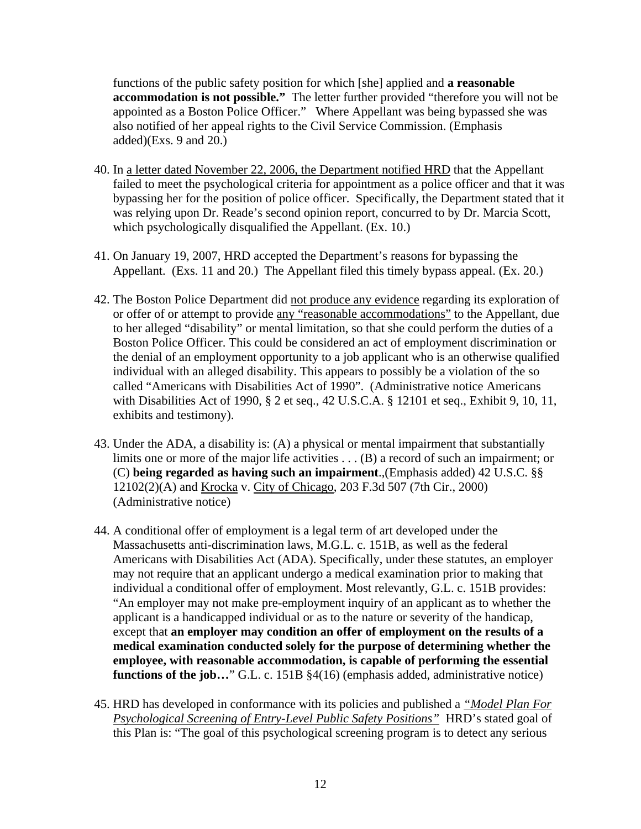functions of the public safety position for which [she] applied and **a reasonable accommodation is not possible."** The letter further provided "therefore you will not be appointed as a Boston Police Officer." Where Appellant was being bypassed she was also notified of her appeal rights to the Civil Service Commission. (Emphasis added) $(Exs. 9 and 20.)$ 

- 40. In a letter dated November 22, 2006, the Department notified HRD that the Appellant failed to meet the psychological criteria for appointment as a police officer and that it was bypassing her for the position of police officer. Specifically, the Department stated that it was relying upon Dr. Reade's second opinion report, concurred to by Dr. Marcia Scott, which psychologically disqualified the Appellant. (Ex. 10.)
- 41. On January 19, 2007, HRD accepted the Department's reasons for bypassing the Appellant. (Exs. 11 and 20.) The Appellant filed this timely bypass appeal. (Ex. 20.)
- 42. The Boston Police Department did not produce any evidence regarding its exploration of or offer of or attempt to provide any "reasonable accommodations" to the Appellant, due to her alleged "disability" or mental limitation, so that she could perform the duties of a Boston Police Officer. This could be considered an act of employment discrimination or the denial of an employment opportunity to a job applicant who is an otherwise qualified individual with an alleged disability. This appears to possibly be a violation of the so called "Americans with Disabilities Act of 1990". (Administrative notice Americans with Disabilities Act of 1990, § 2 et seq., 42 U.S.C.A. § 12101 et seq., Exhibit 9, 10, 11, exhibits and testimony).
- 43. Under the ADA, a disability is: (A) a physical or mental impairment that substantially limits one or more of the major life activities . . . (B) a record of such an impairment; or (C) **being regarded as having such an impairment**.,(Emphasis added) 42 U.S.C. §§ 12102(2)(A) and Krocka v. City of Chicago, 203 F.3d 507 (7th Cir., 2000) (Administrative notice)
- 44. A conditional offer of employment is a legal term of art developed under the Massachusetts anti-discrimination laws, M.G.L. c. 151B, as well as the federal Americans with Disabilities Act (ADA). Specifically, under these statutes, an employer may not require that an applicant undergo a medical examination prior to making that individual a conditional offer of employment. Most relevantly, G.L. c. 151B provides: "An employer may not make pre-employment inquiry of an applicant as to whether the applicant is a handicapped individual or as to the nature or severity of the handicap, except that **an employer may condition an offer of employment on the results of a medical examination conducted solely for the purpose of determining whether the employee, with reasonable accommodation, is capable of performing the essential functions of the job...**" G.L. c. 151B §4(16) (emphasis added, administrative notice)
- 45. HRD has developed in conformance with its policies and published a *"Model Plan For Psychological Screening of Entry-Level Public Safety Positions"* HRD's stated goal of this Plan is: "The goal of this psychological screening program is to detect any serious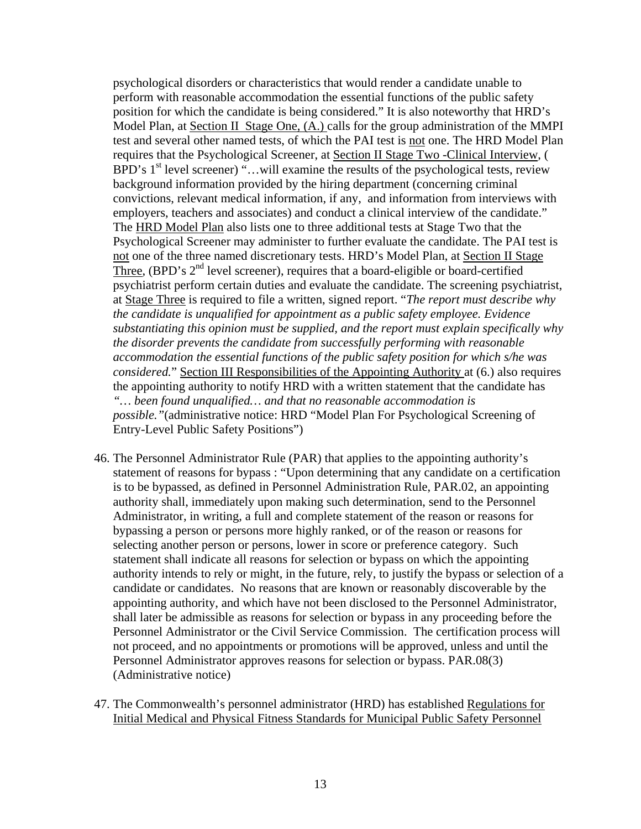psychological disorders or characteristics that would render a candidate unable to perform with reasonable accommodation the essential functions of the public safety position for which the candidate is being considered." It is also noteworthy that HRD's Model Plan, at Section II Stage One, (A.) calls for the group administration of the MMPI test and several other named tests, of which the PAI test is not one. The HRD Model Plan requires that the Psychological Screener, at Section II Stage Two -Clinical Interview, ( BPD's  $1<sup>st</sup>$  level screener) "...will examine the results of the psychological tests, review background information provided by the hiring department (concerning criminal convictions, relevant medical information, if any, and information from interviews with employers, teachers and associates) and conduct a clinical interview of the candidate." The HRD Model Plan also lists one to three additional tests at Stage Two that the Psychological Screener may administer to further evaluate the candidate. The PAI test is not one of the three named discretionary tests. HRD's Model Plan, at Section II Stage Three, (BPD's  $2<sup>nd</sup>$  level screener), requires that a board-eligible or board-certified psychiatrist perform certain duties and evaluate the candidate. The screening psychiatrist, at Stage Three is required to file a written, signed report. "*The report must describe why the candidate is unqualified for appointment as a public safety employee. Evidence substantiating this opinion must be supplied, and the report must explain specifically why the disorder prevents the candidate from successfully performing with reasonable accommodation the essential functions of the public safety position for which s/he was considered.*" Section III Responsibilities of the Appointing Authority at (6.) also requires the appointing authority to notify HRD with a written statement that the candidate has *"… been found unqualified… and that no reasonable accommodation is possible."*(administrative notice: HRD "Model Plan For Psychological Screening of Entry-Level Public Safety Positions")

- 46. The Personnel Administrator Rule (PAR) that applies to the appointing authority's statement of reasons for bypass : "Upon determining that any candidate on a certification is to be bypassed, as defined in Personnel Administration Rule, PAR.02, an appointing authority shall, immediately upon making such determination, send to the Personnel Administrator, in writing, a full and complete statement of the reason or reasons for bypassing a person or persons more highly ranked, or of the reason or reasons for selecting another person or persons, lower in score or preference category. Such statement shall indicate all reasons for selection or bypass on which the appointing authority intends to rely or might, in the future, rely, to justify the bypass or selection of a candidate or candidates. No reasons that are known or reasonably discoverable by the appointing authority, and which have not been disclosed to the Personnel Administrator, shall later be admissible as reasons for selection or bypass in any proceeding before the Personnel Administrator or the Civil Service Commission. The certification process will not proceed, and no appointments or promotions will be approved, unless and until the Personnel Administrator approves reasons for selection or bypass. PAR.08(3) (Administrative notice)
- 47. The Commonwealth's personnel administrator (HRD) has established Regulations for Initial Medical and Physical Fitness Standards for Municipal Public Safety Personnel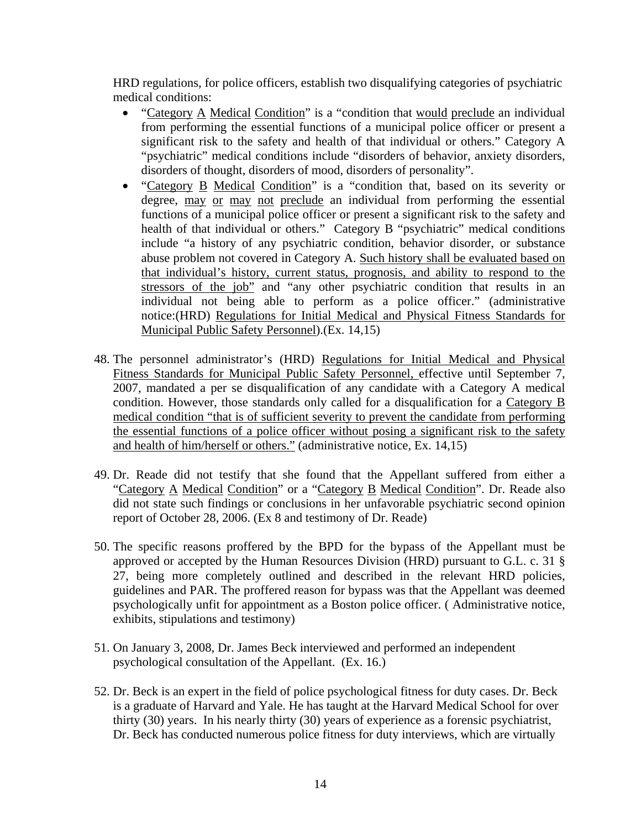HRD regulations, for police officers, establish two disqualifying categories of psychiatric medical conditions:

- "Category A Medical Condition" is a "condition that would preclude an individual from performing the essential functions of a municipal police officer or present a significant risk to the safety and health of that individual or others." Category A "psychiatric" medical conditions include "disorders of behavior, anxiety disorders, disorders of thought, disorders of mood, disorders of personality".
- "Category B Medical Condition" is a "condition that, based on its severity or degree, may or may not preclude an individual from performing the essential functions of a municipal police officer or present a significant risk to the safety and health of that individual or others." Category B "psychiatric" medical conditions include "a history of any psychiatric condition, behavior disorder, or substance abuse problem not covered in Category A. Such history shall be evaluated based on that individual's history, current status, prognosis, and ability to respond to the stressors of the job" and "any other psychiatric condition that results in an individual not being able to perform as a police officer." (administrative notice:(HRD) Regulations for Initial Medical and Physical Fitness Standards for Municipal Public Safety Personnel).(Ex. 14,15)
- 48. The personnel administrator's (HRD) Regulations for Initial Medical and Physical Fitness Standards for Municipal Public Safety Personnel, effective until September 7, 2007, mandated a per se disqualification of any candidate with a Category A medical condition. However, those standards only called for a disqualification for a Category B medical condition "that is of sufficient severity to prevent the candidate from performing the essential functions of a police officer without posing a significant risk to the safety and health of him/herself or others." (administrative notice, Ex. 14,15)
- 49. Dr. Reade did not testify that she found that the Appellant suffered from either a "Category A Medical Condition" or a "Category B Medical Condition". Dr. Reade also did not state such findings or conclusions in her unfavorable psychiatric second opinion report of October 28, 2006. (Ex 8 and testimony of Dr. Reade)
- 50. The specific reasons proffered by the BPD for the bypass of the Appellant must be approved or accepted by the Human Resources Division (HRD) pursuant to G.L. c. 31 § 27, being more completely outlined and described in the relevant HRD policies, guidelines and PAR. The proffered reason for bypass was that the Appellant was deemed psychologically unfit for appointment as a Boston police officer. ( Administrative notice, exhibits, stipulations and testimony)
- 51. On January 3, 2008, Dr. James Beck interviewed and performed an independent psychological consultation of the Appellant. (Ex. 16.)
- 52. Dr. Beck is an expert in the field of police psychological fitness for duty cases. Dr. Beck is a graduate of Harvard and Yale. He has taught at the Harvard Medical School for over thirty (30) years. In his nearly thirty (30) years of experience as a forensic psychiatrist, Dr. Beck has conducted numerous police fitness for duty interviews, which are virtually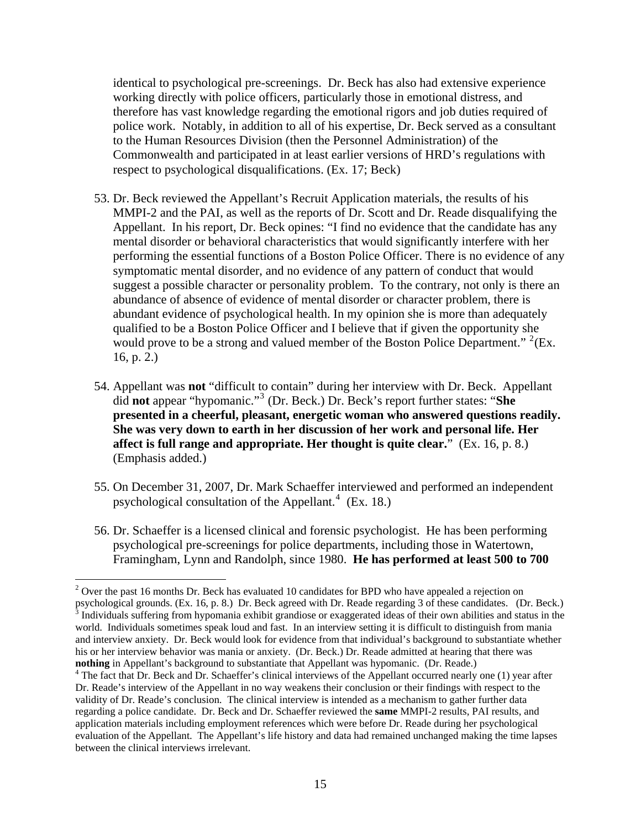identical to psychological pre-screenings. Dr. Beck has also had extensive experience working directly with police officers, particularly those in emotional distress, and therefore has vast knowledge regarding the emotional rigors and job duties required of police work. Notably, in addition to all of his expertise, Dr. Beck served as a consultant to the Human Resources Division (then the Personnel Administration) of the Commonwealth and participated in at least earlier versions of HRD's regulations with respect to psychological disqualifications. (Ex. 17; Beck)

- 53. Dr. Beck reviewed the Appellant's Recruit Application materials, the results of his MMPI-2 and the PAI, as well as the reports of Dr. Scott and Dr. Reade disqualifying the Appellant. In his report, Dr. Beck opines: "I find no evidence that the candidate has any mental disorder or behavioral characteristics that would significantly interfere with her performing the essential functions of a Boston Police Officer. There is no evidence of any symptomatic mental disorder, and no evidence of any pattern of conduct that would suggest a possible character or personality problem. To the contrary, not only is there an abundance of absence of evidence of mental disorder or character problem, there is abundant evidence of psychological health. In my opinion she is more than adequately qualified to be a Boston Police Officer and I believe that if given the opportunity she would prove to be a strong and valued member of the Boston Police Department."  $2$ (Ex. 16, p. 2.)
- 54. Appellant was **not** "difficult to contain" during her interview with Dr. Beck. Appellant did **not** appear "hypomanic."[3](#page-14-1) (Dr. Beck.) Dr. Beck's report further states: "**She presented in a cheerful, pleasant, energetic woman who answered questions readily. She was very down to earth in her discussion of her work and personal life. Her affect is full range and appropriate. Her thought is quite clear.**" (Ex. 16, p. 8.) (Emphasis added.)
- 55. On December 31, 2007, Dr. Mark Schaeffer interviewed and performed an independent psychological consultation of the Appellant. $4$  (Ex. 18.)
- 56. Dr. Schaeffer is a licensed clinical and forensic psychologist. He has been performing psychological pre-screenings for police departments, including those in Watertown, Framingham, Lynn and Randolph, since 1980. **He has performed at least 500 to 700**

 $\overline{a}$ 

<span id="page-14-1"></span><span id="page-14-0"></span> $2$  Over the past 16 months Dr. Beck has evaluated 10 candidates for BPD who have appealed a rejection on psychological grounds. (Ex. 16, p. 8.) Dr. Beck agreed with Dr. Reade regarding 3 of these candidates. (Dr. Beck.)<br><sup>3</sup> Individuals suffering from hypomania exhibit grandiose or exaggerated ideas of their own abilities and world. Individuals sometimes speak loud and fast. In an interview setting it is difficult to distinguish from mania and interview anxiety. Dr. Beck would look for evidence from that individual's background to substantiate whether his or her interview behavior was mania or anxiety. (Dr. Beck.) Dr. Reade admitted at hearing that there was **nothing** in Appellant's background to substantiate that Appellant was hypomanic. (Dr. Reade.) 4

<span id="page-14-2"></span><sup>&</sup>lt;sup>4</sup> The fact that Dr. Beck and Dr. Schaeffer's clinical interviews of the Appellant occurred nearly one (1) year after Dr. Reade's interview of the Appellant in no way weakens their conclusion or their findings with respect to the validity of Dr. Reade's conclusion. The clinical interview is intended as a mechanism to gather further data regarding a police candidate. Dr. Beck and Dr. Schaeffer reviewed the **same** MMPI-2 results, PAI results, and application materials including employment references which were before Dr. Reade during her psychological evaluation of the Appellant. The Appellant's life history and data had remained unchanged making the time lapses between the clinical interviews irrelevant.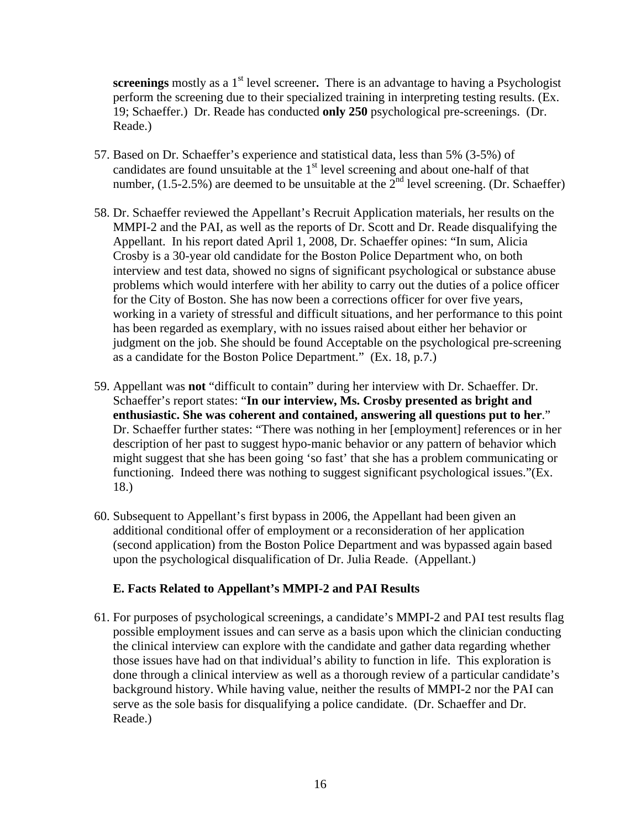**screenings** mostly as a 1<sup>st</sup> level screener. There is an advantage to having a Psychologist perform the screening due to their specialized training in interpreting testing results. (Ex. 19; Schaeffer.) Dr. Reade has conducted **only 250** psychological pre-screenings. (Dr. Reade.)

- 57. Based on Dr. Schaeffer's experience and statistical data, less than 5% (3-5%) of candidates are found unsuitable at the  $1<sup>st</sup>$  level screening and about one-half of that number,  $(1.5-2.5\%)$  are deemed to be unsuitable at the  $2<sup>nd</sup>$  level screening. (Dr. Schaeffer)
- 58. Dr. Schaeffer reviewed the Appellant's Recruit Application materials, her results on the MMPI-2 and the PAI, as well as the reports of Dr. Scott and Dr. Reade disqualifying the Appellant. In his report dated April 1, 2008, Dr. Schaeffer opines: "In sum, Alicia Crosby is a 30-year old candidate for the Boston Police Department who, on both interview and test data, showed no signs of significant psychological or substance abuse problems which would interfere with her ability to carry out the duties of a police officer for the City of Boston. She has now been a corrections officer for over five years, working in a variety of stressful and difficult situations, and her performance to this point has been regarded as exemplary, with no issues raised about either her behavior or judgment on the job. She should be found Acceptable on the psychological pre-screening as a candidate for the Boston Police Department." (Ex. 18, p.7.)
- 59. Appellant was **not** "difficult to contain" during her interview with Dr. Schaeffer. Dr. Schaeffer's report states: "**In our interview, Ms. Crosby presented as bright and enthusiastic. She was coherent and contained, answering all questions put to her**." Dr. Schaeffer further states: "There was nothing in her [employment] references or in her description of her past to suggest hypo-manic behavior or any pattern of behavior which might suggest that she has been going 'so fast' that she has a problem communicating or functioning. Indeed there was nothing to suggest significant psychological issues."(Ex. 18.)
- 60. Subsequent to Appellant's first bypass in 2006, the Appellant had been given an additional conditional offer of employment or a reconsideration of her application (second application) from the Boston Police Department and was bypassed again based upon the psychological disqualification of Dr. Julia Reade. (Appellant.)

### **E. Facts Related to Appellant's MMPI-2 and PAI Results**

61. For purposes of psychological screenings, a candidate's MMPI-2 and PAI test results flag possible employment issues and can serve as a basis upon which the clinician conducting the clinical interview can explore with the candidate and gather data regarding whether those issues have had on that individual's ability to function in life. This exploration is done through a clinical interview as well as a thorough review of a particular candidate's background history. While having value, neither the results of MMPI-2 nor the PAI can serve as the sole basis for disqualifying a police candidate. (Dr. Schaeffer and Dr. Reade.)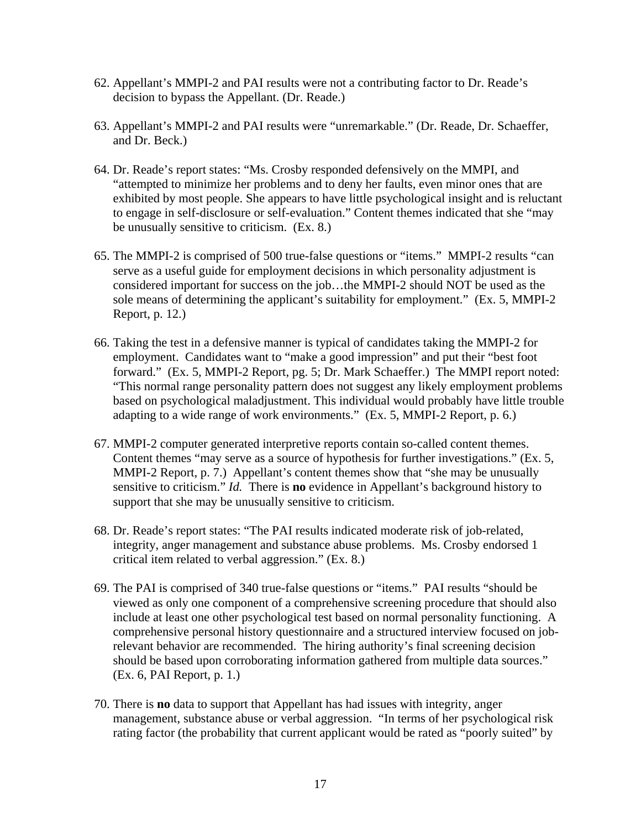- 62. Appellant's MMPI-2 and PAI results were not a contributing factor to Dr. Reade's decision to bypass the Appellant. (Dr. Reade.)
- 63. Appellant's MMPI-2 and PAI results were "unremarkable." (Dr. Reade, Dr. Schaeffer, and Dr. Beck.)
- 64. Dr. Reade's report states: "Ms. Crosby responded defensively on the MMPI, and "attempted to minimize her problems and to deny her faults, even minor ones that are exhibited by most people. She appears to have little psychological insight and is reluctant to engage in self-disclosure or self-evaluation." Content themes indicated that she "may be unusually sensitive to criticism. (Ex. 8.)
- 65. The MMPI-2 is comprised of 500 true-false questions or "items." MMPI-2 results "can serve as a useful guide for employment decisions in which personality adjustment is considered important for success on the job…the MMPI-2 should NOT be used as the sole means of determining the applicant's suitability for employment." (Ex. 5, MMPI-2 Report, p. 12.)
- 66. Taking the test in a defensive manner is typical of candidates taking the MMPI-2 for employment. Candidates want to "make a good impression" and put their "best foot forward." (Ex. 5, MMPI-2 Report, pg. 5; Dr. Mark Schaeffer.) The MMPI report noted: "This normal range personality pattern does not suggest any likely employment problems based on psychological maladjustment. This individual would probably have little trouble adapting to a wide range of work environments." (Ex. 5, MMPI-2 Report, p. 6.)
- 67. MMPI-2 computer generated interpretive reports contain so-called content themes. Content themes "may serve as a source of hypothesis for further investigations." (Ex. 5, MMPI-2 Report, p. 7.) Appellant's content themes show that "she may be unusually sensitive to criticism." *Id.* There is **no** evidence in Appellant's background history to support that she may be unusually sensitive to criticism.
- 68. Dr. Reade's report states: "The PAI results indicated moderate risk of job-related, integrity, anger management and substance abuse problems. Ms. Crosby endorsed 1 critical item related to verbal aggression." (Ex. 8.)
- 69. The PAI is comprised of 340 true-false questions or "items." PAI results "should be viewed as only one component of a comprehensive screening procedure that should also include at least one other psychological test based on normal personality functioning. A comprehensive personal history questionnaire and a structured interview focused on jobrelevant behavior are recommended. The hiring authority's final screening decision should be based upon corroborating information gathered from multiple data sources." (Ex. 6, PAI Report, p. 1.)
- 70. There is **no** data to support that Appellant has had issues with integrity, anger management, substance abuse or verbal aggression. "In terms of her psychological risk rating factor (the probability that current applicant would be rated as "poorly suited" by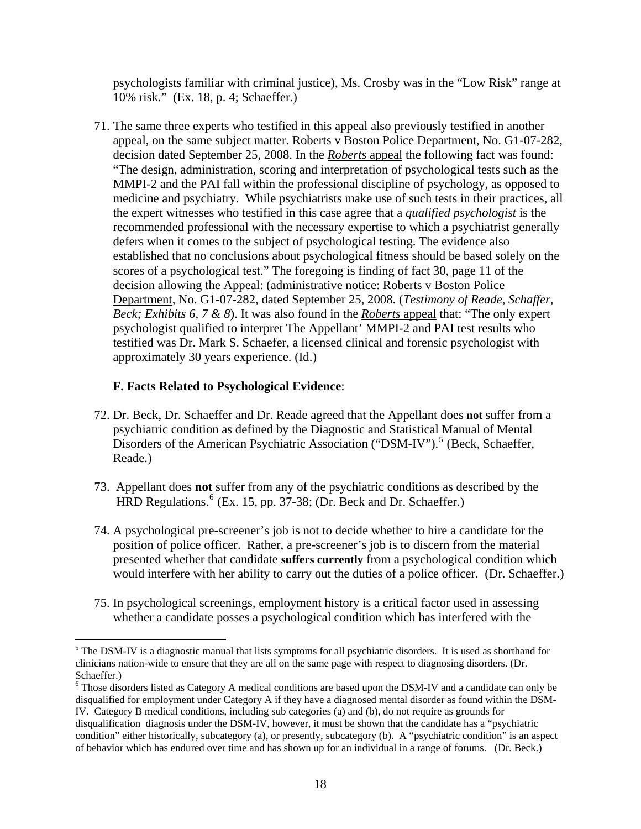psychologists familiar with criminal justice), Ms. Crosby was in the "Low Risk" range at 10% risk." (Ex. 18, p. 4; Schaeffer.)

71. The same three experts who testified in this appeal also previously testified in another appeal, on the same subject matter. Roberts v Boston Police Department, No. G1-07-282, decision dated September 25, 2008. In the *Roberts* appeal the following fact was found: "The design, administration, scoring and interpretation of psychological tests such as the MMPI-2 and the PAI fall within the professional discipline of psychology, as opposed to medicine and psychiatry. While psychiatrists make use of such tests in their practices, all the expert witnesses who testified in this case agree that a *qualified psychologist* is the recommended professional with the necessary expertise to which a psychiatrist generally defers when it comes to the subject of psychological testing. The evidence also established that no conclusions about psychological fitness should be based solely on the scores of a psychological test." The foregoing is finding of fact 30, page 11 of the decision allowing the Appeal: (administrative notice: Roberts v Boston Police Department, No. G1-07-282, dated September 25, 2008. (*Testimony of Reade, Schaffer, Beck; Exhibits 6, 7 & 8*). It was also found in the *Roberts* appeal that: "The only expert psychologist qualified to interpret The Appellant' MMPI-2 and PAI test results who testified was Dr. Mark S. Schaefer, a licensed clinical and forensic psychologist with approximately 30 years experience. (Id.)

# **F. Facts Related to Psychological Evidence**:

 $\overline{a}$ 

- 72. Dr. Beck, Dr. Schaeffer and Dr. Reade agreed that the Appellant does **not** suffer from a psychiatric condition as defined by the Diagnostic and Statistical Manual of Mental Disorders of the American Psychiatric Association ("DSM-IV").<sup>[5](#page-17-0)</sup> (Beck, Schaeffer, Reade.)
- 73. Appellant does **not** suffer from any of the psychiatric conditions as described by the HRD Regulations.<sup>[6](#page-17-1)</sup> (Ex. 15, pp. 37-38; (Dr. Beck and Dr. Schaeffer.)
- 74. A psychological pre-screener's job is not to decide whether to hire a candidate for the position of police officer. Rather, a pre-screener's job is to discern from the material presented whether that candidate **suffers currently** from a psychological condition which would interfere with her ability to carry out the duties of a police officer. (Dr. Schaeffer.)
- 75. In psychological screenings, employment history is a critical factor used in assessing whether a candidate posses a psychological condition which has interfered with the

<span id="page-17-0"></span><sup>&</sup>lt;sup>5</sup> The DSM-IV is a diagnostic manual that lists symptoms for all psychiatric disorders. It is used as shorthand for clinicians nation-wide to ensure that they are all on the same page with respect to diagnosing disorders. (Dr. Schaeffer.)

<span id="page-17-1"></span><sup>&</sup>lt;sup>6</sup> Those disorders listed as Category A medical conditions are based upon the DSM-IV and a candidate can only be disqualified for employment under Category A if they have a diagnosed mental disorder as found within the DSM-IV. Category B medical conditions, including sub categories (a) and (b), do not require as grounds for disqualification diagnosis under the DSM-IV, however, it must be shown that the candidate has a "psychiatric condition" either historically, subcategory (a), or presently, subcategory (b). A "psychiatric condition" is an aspect of behavior which has endured over time and has shown up for an individual in a range of forums. (Dr. Beck.)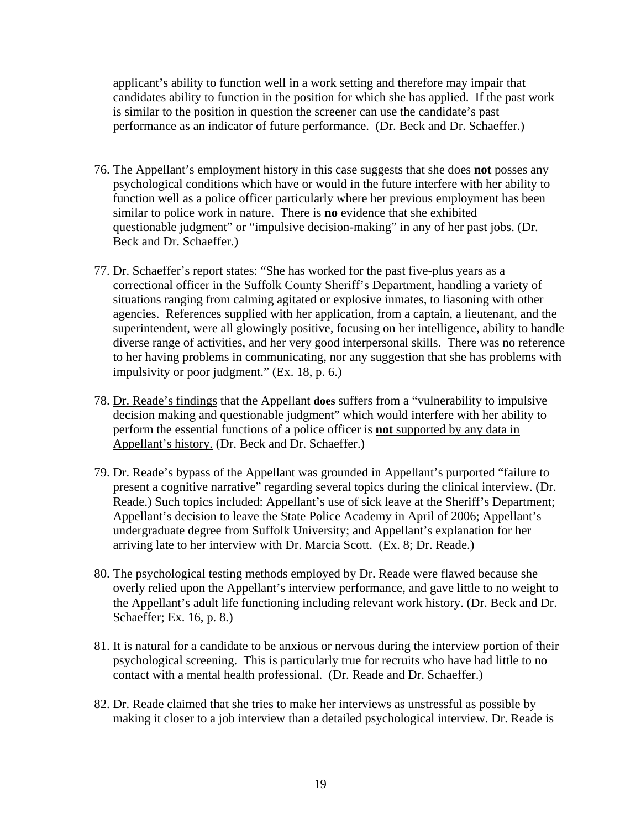applicant's ability to function well in a work setting and therefore may impair that candidates ability to function in the position for which she has applied. If the past work is similar to the position in question the screener can use the candidate's past performance as an indicator of future performance. (Dr. Beck and Dr. Schaeffer.)

- 76. The Appellant's employment history in this case suggests that she does **not** posses any psychological conditions which have or would in the future interfere with her ability to function well as a police officer particularly where her previous employment has been similar to police work in nature. There is **no** evidence that she exhibited questionable judgment" or "impulsive decision-making" in any of her past jobs. (Dr. Beck and Dr. Schaeffer.)
- 77. Dr. Schaeffer's report states: "She has worked for the past five-plus years as a correctional officer in the Suffolk County Sheriff's Department, handling a variety of situations ranging from calming agitated or explosive inmates, to liasoning with other agencies. References supplied with her application, from a captain, a lieutenant, and the superintendent, were all glowingly positive, focusing on her intelligence, ability to handle diverse range of activities, and her very good interpersonal skills. There was no reference to her having problems in communicating, nor any suggestion that she has problems with impulsivity or poor judgment." (Ex. 18, p. 6.)
- 78. Dr. Reade's findings that the Appellant **does** suffers from a "vulnerability to impulsive decision making and questionable judgment" which would interfere with her ability to perform the essential functions of a police officer is **not** supported by any data in Appellant's history. (Dr. Beck and Dr. Schaeffer.)
- 79. Dr. Reade's bypass of the Appellant was grounded in Appellant's purported "failure to present a cognitive narrative" regarding several topics during the clinical interview. (Dr. Reade.) Such topics included: Appellant's use of sick leave at the Sheriff's Department; Appellant's decision to leave the State Police Academy in April of 2006; Appellant's undergraduate degree from Suffolk University; and Appellant's explanation for her arriving late to her interview with Dr. Marcia Scott. (Ex. 8; Dr. Reade.)
- 80. The psychological testing methods employed by Dr. Reade were flawed because she overly relied upon the Appellant's interview performance, and gave little to no weight to the Appellant's adult life functioning including relevant work history. (Dr. Beck and Dr. Schaeffer; Ex. 16, p. 8.)
- 81. It is natural for a candidate to be anxious or nervous during the interview portion of their psychological screening. This is particularly true for recruits who have had little to no contact with a mental health professional. (Dr. Reade and Dr. Schaeffer.)
- 82. Dr. Reade claimed that she tries to make her interviews as unstressful as possible by making it closer to a job interview than a detailed psychological interview. Dr. Reade is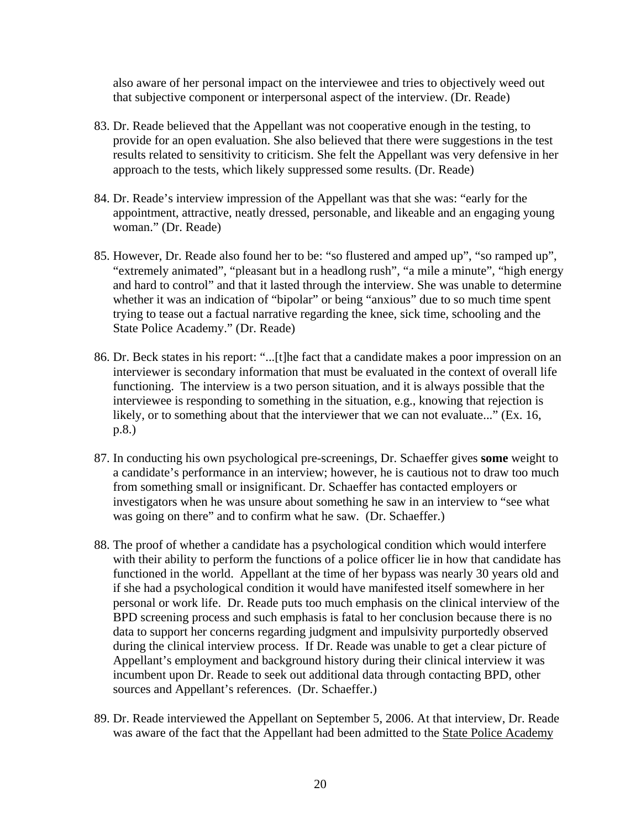also aware of her personal impact on the interviewee and tries to objectively weed out that subjective component or interpersonal aspect of the interview. (Dr. Reade)

- 83. Dr. Reade believed that the Appellant was not cooperative enough in the testing, to provide for an open evaluation. She also believed that there were suggestions in the test results related to sensitivity to criticism. She felt the Appellant was very defensive in her approach to the tests, which likely suppressed some results. (Dr. Reade)
- 84. Dr. Reade's interview impression of the Appellant was that she was: "early for the appointment, attractive, neatly dressed, personable, and likeable and an engaging young woman." (Dr. Reade)
- 85. However, Dr. Reade also found her to be: "so flustered and amped up", "so ramped up", "extremely animated", "pleasant but in a headlong rush", "a mile a minute", "high energy and hard to control" and that it lasted through the interview. She was unable to determine whether it was an indication of "bipolar" or being "anxious" due to so much time spent trying to tease out a factual narrative regarding the knee, sick time, schooling and the State Police Academy." (Dr. Reade)
- 86. Dr. Beck states in his report: "...[t]he fact that a candidate makes a poor impression on an interviewer is secondary information that must be evaluated in the context of overall life functioning. The interview is a two person situation, and it is always possible that the interviewee is responding to something in the situation, e.g., knowing that rejection is likely, or to something about that the interviewer that we can not evaluate..." (Ex. 16, p.8.)
- 87. In conducting his own psychological pre-screenings, Dr. Schaeffer gives **some** weight to a candidate's performance in an interview; however, he is cautious not to draw too much from something small or insignificant. Dr. Schaeffer has contacted employers or investigators when he was unsure about something he saw in an interview to "see what was going on there" and to confirm what he saw. (Dr. Schaeffer.)
- 88. The proof of whether a candidate has a psychological condition which would interfere with their ability to perform the functions of a police officer lie in how that candidate has functioned in the world. Appellant at the time of her bypass was nearly 30 years old and if she had a psychological condition it would have manifested itself somewhere in her personal or work life. Dr. Reade puts too much emphasis on the clinical interview of the BPD screening process and such emphasis is fatal to her conclusion because there is no data to support her concerns regarding judgment and impulsivity purportedly observed during the clinical interview process. If Dr. Reade was unable to get a clear picture of Appellant's employment and background history during their clinical interview it was incumbent upon Dr. Reade to seek out additional data through contacting BPD, other sources and Appellant's references. (Dr. Schaeffer.)
- 89. Dr. Reade interviewed the Appellant on September 5, 2006. At that interview, Dr. Reade was aware of the fact that the Appellant had been admitted to the State Police Academy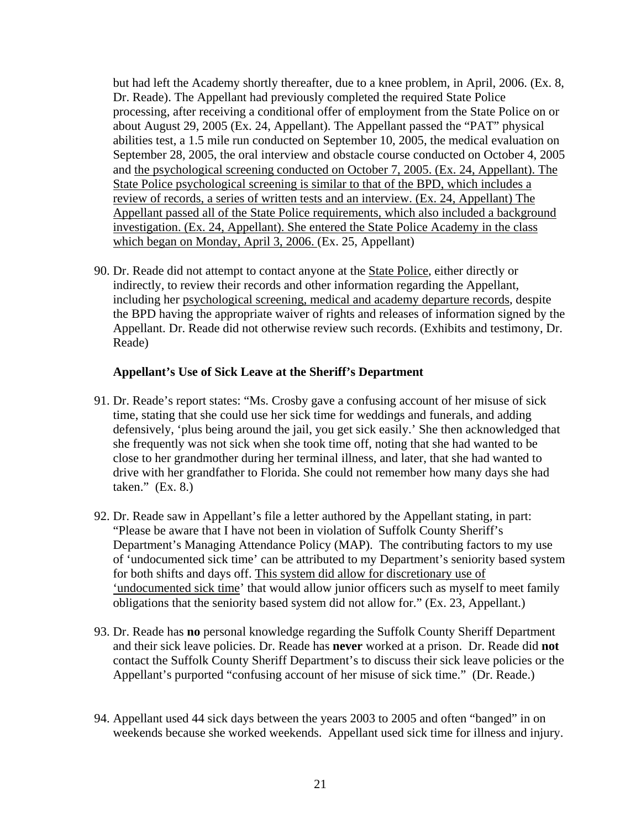but had left the Academy shortly thereafter, due to a knee problem, in April, 2006. (Ex. 8, Dr. Reade). The Appellant had previously completed the required State Police processing, after receiving a conditional offer of employment from the State Police on or about August 29, 2005 (Ex. 24, Appellant). The Appellant passed the "PAT" physical abilities test, a 1.5 mile run conducted on September 10, 2005, the medical evaluation on September 28, 2005, the oral interview and obstacle course conducted on October 4, 2005 and the psychological screening conducted on October 7, 2005. (Ex. 24, Appellant). The State Police psychological screening is similar to that of the BPD, which includes a review of records, a series of written tests and an interview. (Ex. 24, Appellant) The Appellant passed all of the State Police requirements, which also included a background investigation. (Ex. 24, Appellant). She entered the State Police Academy in the class which began on Monday, April 3, 2006. (Ex. 25, Appellant)

90. Dr. Reade did not attempt to contact anyone at the State Police, either directly or indirectly, to review their records and other information regarding the Appellant, including her psychological screening, medical and academy departure records, despite the BPD having the appropriate waiver of rights and releases of information signed by the Appellant. Dr. Reade did not otherwise review such records. (Exhibits and testimony, Dr. Reade)

### **Appellant's Use of Sick Leave at the Sheriff's Department**

- 91. Dr. Reade's report states: "Ms. Crosby gave a confusing account of her misuse of sick time, stating that she could use her sick time for weddings and funerals, and adding defensively, 'plus being around the jail, you get sick easily.' She then acknowledged that she frequently was not sick when she took time off, noting that she had wanted to be close to her grandmother during her terminal illness, and later, that she had wanted to drive with her grandfather to Florida. She could not remember how many days she had taken." (Ex. 8.)
- 92. Dr. Reade saw in Appellant's file a letter authored by the Appellant stating, in part: "Please be aware that I have not been in violation of Suffolk County Sheriff's Department's Managing Attendance Policy (MAP). The contributing factors to my use of 'undocumented sick time' can be attributed to my Department's seniority based system for both shifts and days off. This system did allow for discretionary use of 'undocumented sick time' that would allow junior officers such as myself to meet family obligations that the seniority based system did not allow for." (Ex. 23, Appellant.)
- 93. Dr. Reade has **no** personal knowledge regarding the Suffolk County Sheriff Department and their sick leave policies. Dr. Reade has **never** worked at a prison. Dr. Reade did **not**  contact the Suffolk County Sheriff Department's to discuss their sick leave policies or the Appellant's purported "confusing account of her misuse of sick time." (Dr. Reade.)
- 94. Appellant used 44 sick days between the years 2003 to 2005 and often "banged" in on weekends because she worked weekends. Appellant used sick time for illness and injury.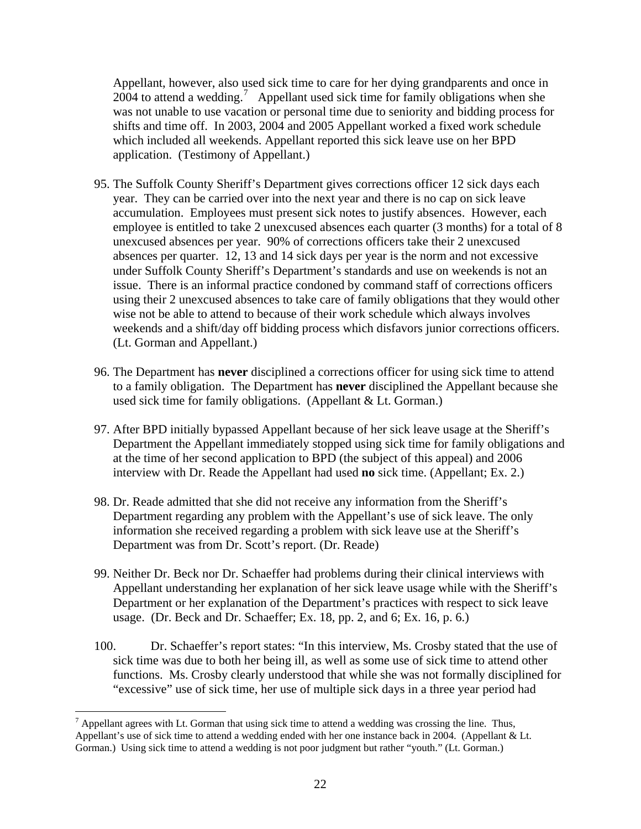Appellant, however, also used sick time to care for her dying grandparents and once in  $2004$  to attend a wedding.<sup>[7](#page-21-0)</sup> Appellant used sick time for family obligations when she was not unable to use vacation or personal time due to seniority and bidding process for shifts and time off. In 2003, 2004 and 2005 Appellant worked a fixed work schedule which included all weekends. Appellant reported this sick leave use on her BPD application. (Testimony of Appellant.)

- 95. The Suffolk County Sheriff's Department gives corrections officer 12 sick days each year. They can be carried over into the next year and there is no cap on sick leave accumulation. Employees must present sick notes to justify absences. However, each employee is entitled to take 2 unexcused absences each quarter (3 months) for a total of 8 unexcused absences per year. 90% of corrections officers take their 2 unexcused absences per quarter. 12, 13 and 14 sick days per year is the norm and not excessive under Suffolk County Sheriff's Department's standards and use on weekends is not an issue. There is an informal practice condoned by command staff of corrections officers using their 2 unexcused absences to take care of family obligations that they would other wise not be able to attend to because of their work schedule which always involves weekends and a shift/day off bidding process which disfavors junior corrections officers. (Lt. Gorman and Appellant.)
- 96. The Department has **never** disciplined a corrections officer for using sick time to attend to a family obligation. The Department has **never** disciplined the Appellant because she used sick time for family obligations. (Appellant & Lt. Gorman.)
- 97. After BPD initially bypassed Appellant because of her sick leave usage at the Sheriff's Department the Appellant immediately stopped using sick time for family obligations and at the time of her second application to BPD (the subject of this appeal) and 2006 interview with Dr. Reade the Appellant had used **no** sick time. (Appellant; Ex. 2.)
- 98. Dr. Reade admitted that she did not receive any information from the Sheriff's Department regarding any problem with the Appellant's use of sick leave. The only information she received regarding a problem with sick leave use at the Sheriff's Department was from Dr. Scott's report. (Dr. Reade)
- 99. Neither Dr. Beck nor Dr. Schaeffer had problems during their clinical interviews with Appellant understanding her explanation of her sick leave usage while with the Sheriff's Department or her explanation of the Department's practices with respect to sick leave usage. (Dr. Beck and Dr. Schaeffer; Ex. 18, pp. 2, and 6; Ex. 16, p. 6.)
- 100. Dr. Schaeffer's report states: "In this interview, Ms. Crosby stated that the use of sick time was due to both her being ill, as well as some use of sick time to attend other functions. Ms. Crosby clearly understood that while she was not formally disciplined for "excessive" use of sick time, her use of multiple sick days in a three year period had

 $\overline{a}$ 

<span id="page-21-0"></span> $<sup>7</sup>$  Appellant agrees with Lt. Gorman that using sick time to attend a wedding was crossing the line. Thus,</sup> Appellant's use of sick time to attend a wedding ended with her one instance back in 2004. (Appellant & Lt. Gorman.) Using sick time to attend a wedding is not poor judgment but rather "youth." (Lt. Gorman.)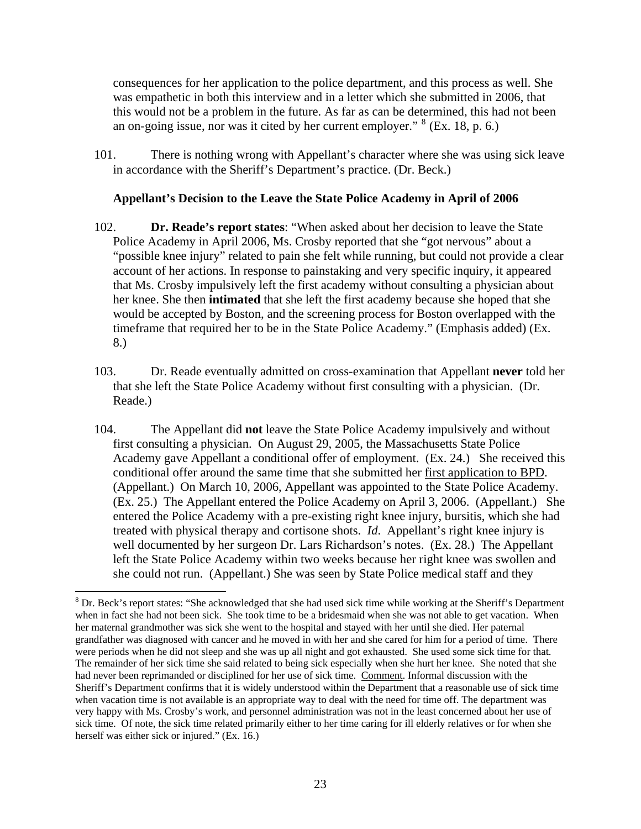consequences for her application to the police department, and this process as well. She was empathetic in both this interview and in a letter which she submitted in 2006, that this would not be a problem in the future. As far as can be determined, this had not been an on-going issue, nor was it cited by her current employer."  $8$  (Ex. 18, p. 6.)

101. There is nothing wrong with Appellant's character where she was using sick leave in accordance with the Sheriff's Department's practice. (Dr. Beck.)

### **Appellant's Decision to the Leave the State Police Academy in April of 2006**

- 102. **Dr. Reade's report states**: "When asked about her decision to leave the State Police Academy in April 2006, Ms. Crosby reported that she "got nervous" about a "possible knee injury" related to pain she felt while running, but could not provide a clear account of her actions. In response to painstaking and very specific inquiry, it appeared that Ms. Crosby impulsively left the first academy without consulting a physician about her knee. She then **intimated** that she left the first academy because she hoped that she would be accepted by Boston, and the screening process for Boston overlapped with the timeframe that required her to be in the State Police Academy." (Emphasis added) (Ex. 8.)
- 103. Dr. Reade eventually admitted on cross-examination that Appellant **never** told her that she left the State Police Academy without first consulting with a physician. (Dr. Reade.)
- 104. The Appellant did **not** leave the State Police Academy impulsively and without first consulting a physician. On August 29, 2005, the Massachusetts State Police Academy gave Appellant a conditional offer of employment. (Ex. 24.) She received this conditional offer around the same time that she submitted her first application to BPD. (Appellant.) On March 10, 2006, Appellant was appointed to the State Police Academy. (Ex. 25.) The Appellant entered the Police Academy on April 3, 2006. (Appellant.) She entered the Police Academy with a pre-existing right knee injury, bursitis, which she had treated with physical therapy and cortisone shots. *Id*. Appellant's right knee injury is well documented by her surgeon Dr. Lars Richardson's notes. (Ex. 28.) The Appellant left the State Police Academy within two weeks because her right knee was swollen and she could not run. (Appellant.) She was seen by State Police medical staff and they

<span id="page-22-0"></span> $\overline{a}$  $8$  Dr. Beck's report states: "She acknowledged that she had used sick time while working at the Sheriff's Department when in fact she had not been sick. She took time to be a bridesmaid when she was not able to get vacation. When her maternal grandmother was sick she went to the hospital and stayed with her until she died. Her paternal grandfather was diagnosed with cancer and he moved in with her and she cared for him for a period of time. There were periods when he did not sleep and she was up all night and got exhausted. She used some sick time for that. The remainder of her sick time she said related to being sick especially when she hurt her knee. She noted that she had never been reprimanded or disciplined for her use of sick time. Comment. Informal discussion with the Sheriff's Department confirms that it is widely understood within the Department that a reasonable use of sick time when vacation time is not available is an appropriate way to deal with the need for time off. The department was very happy with Ms. Crosby's work, and personnel administration was not in the least concerned about her use of sick time. Of note, the sick time related primarily either to her time caring for ill elderly relatives or for when she herself was either sick or injured." (Ex. 16.)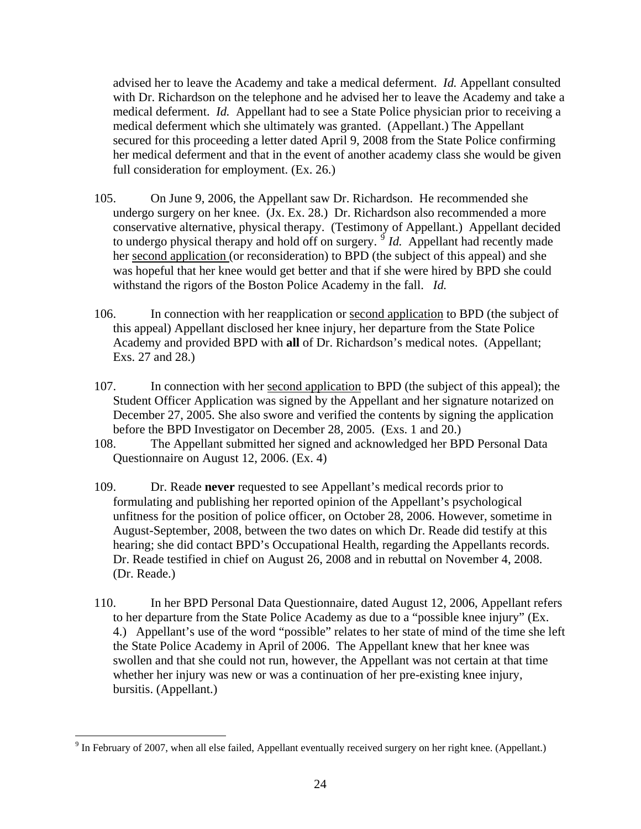advised her to leave the Academy and take a medical deferment. *Id.* Appellant consulted with Dr. Richardson on the telephone and he advised her to leave the Academy and take a medical deferment. *Id.* Appellant had to see a State Police physician prior to receiving a medical deferment which she ultimately was granted. (Appellant.) The Appellant secured for this proceeding a letter dated April 9, 2008 from the State Police confirming her medical deferment and that in the event of another academy class she would be given full consideration for employment. (Ex. 26.)

- 105. On June 9, 2006, the Appellant saw Dr. Richardson. He recommended she undergo surgery on her knee. (Jx. Ex. 28.) Dr. Richardson also recommended a more conservative alternative, physical therapy. (Testimony of Appellant.) Appellant decided to undergo physical therapy and hold off on surgery.  $\frac{9}{9}$  $\frac{9}{9}$  $\frac{9}{9}$  *Id.* Appellant had recently made her second application (or reconsideration) to BPD (the subject of this appeal) and she was hopeful that her knee would get better and that if she were hired by BPD she could withstand the rigors of the Boston Police Academy in the fall. *Id.*
- 106. In connection with her reapplication or second application to BPD (the subject of this appeal) Appellant disclosed her knee injury, her departure from the State Police Academy and provided BPD with **all** of Dr. Richardson's medical notes. (Appellant; Exs. 27 and 28.)
- 107. In connection with her second application to BPD (the subject of this appeal); the Student Officer Application was signed by the Appellant and her signature notarized on December 27, 2005. She also swore and verified the contents by signing the application before the BPD Investigator on December 28, 2005. (Exs. 1 and 20.)
- 108. The Appellant submitted her signed and acknowledged her BPD Personal Data Questionnaire on August 12, 2006. (Ex. 4)
- 109. Dr. Reade **never** requested to see Appellant's medical records prior to formulating and publishing her reported opinion of the Appellant's psychological unfitness for the position of police officer, on October 28, 2006. However, sometime in August-September, 2008, between the two dates on which Dr. Reade did testify at this hearing; she did contact BPD's Occupational Health, regarding the Appellants records. Dr. Reade testified in chief on August 26, 2008 and in rebuttal on November 4, 2008. (Dr. Reade.)
- 110. In her BPD Personal Data Questionnaire, dated August 12, 2006, Appellant refers to her departure from the State Police Academy as due to a "possible knee injury" (Ex. 4.) Appellant's use of the word "possible" relates to her state of mind of the time she left the State Police Academy in April of 2006. The Appellant knew that her knee was swollen and that she could not run, however, the Appellant was not certain at that time whether her injury was new or was a continuation of her pre-existing knee injury, bursitis. (Appellant.)

 $\overline{a}$ 

<span id="page-23-0"></span> $9 \text{ In February of } 2007$ , when all else failed, Appellant eventually received surgery on her right knee. (Appellant.)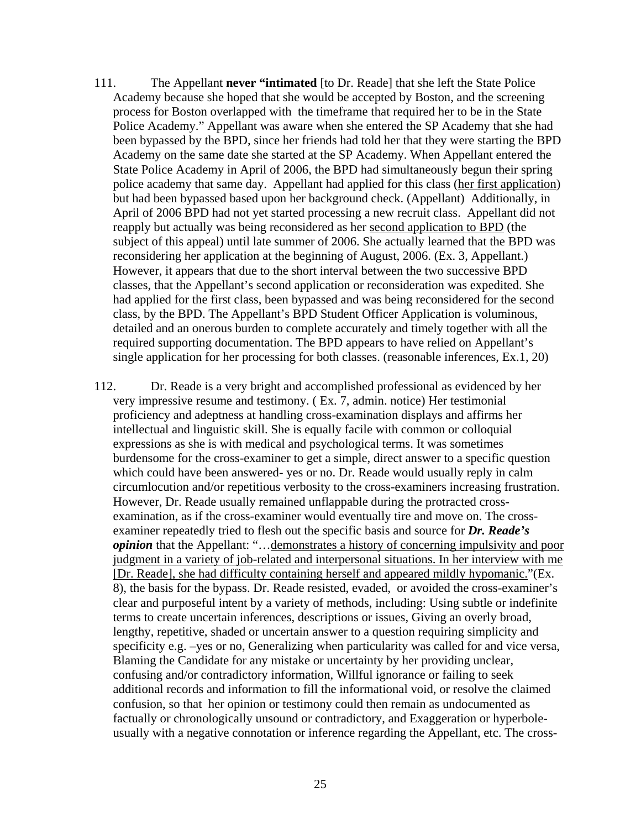- 111. The Appellant **never "intimated** [to Dr. Reade] that she left the State Police Academy because she hoped that she would be accepted by Boston, and the screening process for Boston overlapped with the timeframe that required her to be in the State Police Academy." Appellant was aware when she entered the SP Academy that she had been bypassed by the BPD, since her friends had told her that they were starting the BPD Academy on the same date she started at the SP Academy. When Appellant entered the State Police Academy in April of 2006, the BPD had simultaneously begun their spring police academy that same day. Appellant had applied for this class (her first application) but had been bypassed based upon her background check. (Appellant) Additionally, in April of 2006 BPD had not yet started processing a new recruit class. Appellant did not reapply but actually was being reconsidered as her second application to BPD (the subject of this appeal) until late summer of 2006. She actually learned that the BPD was reconsidering her application at the beginning of August, 2006. (Ex. 3, Appellant.) However, it appears that due to the short interval between the two successive BPD classes, that the Appellant's second application or reconsideration was expedited. She had applied for the first class, been bypassed and was being reconsidered for the second class, by the BPD. The Appellant's BPD Student Officer Application is voluminous, detailed and an onerous burden to complete accurately and timely together with all the required supporting documentation. The BPD appears to have relied on Appellant's single application for her processing for both classes. (reasonable inferences, Ex.1, 20)
- 112. Dr. Reade is a very bright and accomplished professional as evidenced by her very impressive resume and testimony. ( Ex. 7, admin. notice) Her testimonial proficiency and adeptness at handling cross-examination displays and affirms her intellectual and linguistic skill. She is equally facile with common or colloquial expressions as she is with medical and psychological terms. It was sometimes burdensome for the cross-examiner to get a simple, direct answer to a specific question which could have been answered- yes or no. Dr. Reade would usually reply in calm circumlocution and/or repetitious verbosity to the cross-examiners increasing frustration. However, Dr. Reade usually remained unflappable during the protracted crossexamination, as if the cross-examiner would eventually tire and move on. The crossexaminer repeatedly tried to flesh out the specific basis and source for *Dr. Reade's opinion* that the Appellant: "... demonstrates a history of concerning impulsivity and poor judgment in a variety of job-related and interpersonal situations. In her interview with me [Dr. Reade], she had difficulty containing herself and appeared mildly hypomanic."(Ex. 8), the basis for the bypass. Dr. Reade resisted, evaded, or avoided the cross-examiner's clear and purposeful intent by a variety of methods, including: Using subtle or indefinite terms to create uncertain inferences, descriptions or issues, Giving an overly broad, lengthy, repetitive, shaded or uncertain answer to a question requiring simplicity and specificity e.g. –yes or no, Generalizing when particularity was called for and vice versa, Blaming the Candidate for any mistake or uncertainty by her providing unclear, confusing and/or contradictory information, Willful ignorance or failing to seek additional records and information to fill the informational void, or resolve the claimed confusion, so that her opinion or testimony could then remain as undocumented as factually or chronologically unsound or contradictory, and Exaggeration or hyperboleusually with a negative connotation or inference regarding the Appellant, etc. The cross-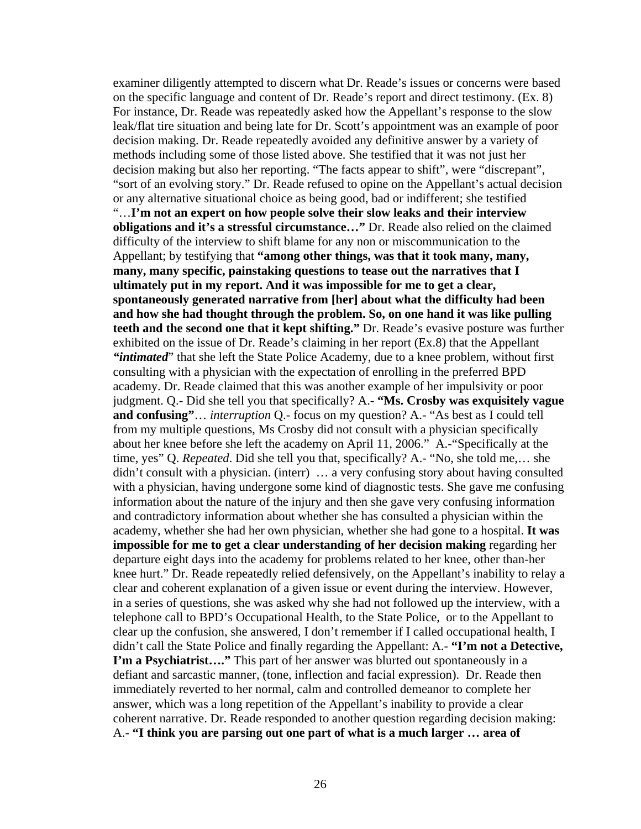examiner diligently attempted to discern what Dr. Reade's issues or concerns were based on the specific language and content of Dr. Reade's report and direct testimony. (Ex. 8) For instance, Dr. Reade was repeatedly asked how the Appellant's response to the slow leak/flat tire situation and being late for Dr. Scott's appointment was an example of poor decision making. Dr. Reade repeatedly avoided any definitive answer by a variety of methods including some of those listed above. She testified that it was not just her decision making but also her reporting. "The facts appear to shift", were "discrepant", "sort of an evolving story." Dr. Reade refused to opine on the Appellant's actual decision or any alternative situational choice as being good, bad or indifferent; she testified "…**I'm not an expert on how people solve their slow leaks and their interview obligations and it's a stressful circumstance…"** Dr. Reade also relied on the claimed difficulty of the interview to shift blame for any non or miscommunication to the Appellant; by testifying that **"among other things, was that it took many, many, many, many specific, painstaking questions to tease out the narratives that I ultimately put in my report. And it was impossible for me to get a clear, spontaneously generated narrative from [her] about what the difficulty had been and how she had thought through the problem. So, on one hand it was like pulling teeth and the second one that it kept shifting."** Dr. Reade's evasive posture was further exhibited on the issue of Dr. Reade's claiming in her report (Ex.8) that the Appellant *"intimated*" that she left the State Police Academy, due to a knee problem, without first consulting with a physician with the expectation of enrolling in the preferred BPD academy. Dr. Reade claimed that this was another example of her impulsivity or poor judgment. Q.- Did she tell you that specifically? A.- **"Ms. Crosby was exquisitely vague and confusing"**… *interruption* Q.- focus on my question? A.- "As best as I could tell from my multiple questions, Ms Crosby did not consult with a physician specifically about her knee before she left the academy on April 11, 2006." A.-"Specifically at the time, yes" Q. *Repeated*. Did she tell you that, specifically? A.- "No, she told me,… she didn't consult with a physician. (interr) … a very confusing story about having consulted with a physician, having undergone some kind of diagnostic tests. She gave me confusing information about the nature of the injury and then she gave very confusing information and contradictory information about whether she has consulted a physician within the academy, whether she had her own physician, whether she had gone to a hospital. **It was impossible for me to get a clear understanding of her decision making** regarding her departure eight days into the academy for problems related to her knee, other than-her knee hurt." Dr. Reade repeatedly relied defensively, on the Appellant's inability to relay a clear and coherent explanation of a given issue or event during the interview. However, in a series of questions, she was asked why she had not followed up the interview, with a telephone call to BPD's Occupational Health, to the State Police, or to the Appellant to clear up the confusion, she answered, I don't remember if I called occupational health, I didn't call the State Police and finally regarding the Appellant: A.- **"I'm not a Detective, I'm a Psychiatrist....**" This part of her answer was blurted out spontaneously in a defiant and sarcastic manner, (tone, inflection and facial expression). Dr. Reade then immediately reverted to her normal, calm and controlled demeanor to complete her answer, which was a long repetition of the Appellant's inability to provide a clear coherent narrative. Dr. Reade responded to another question regarding decision making: A.- **"I think you are parsing out one part of what is a much larger … area of**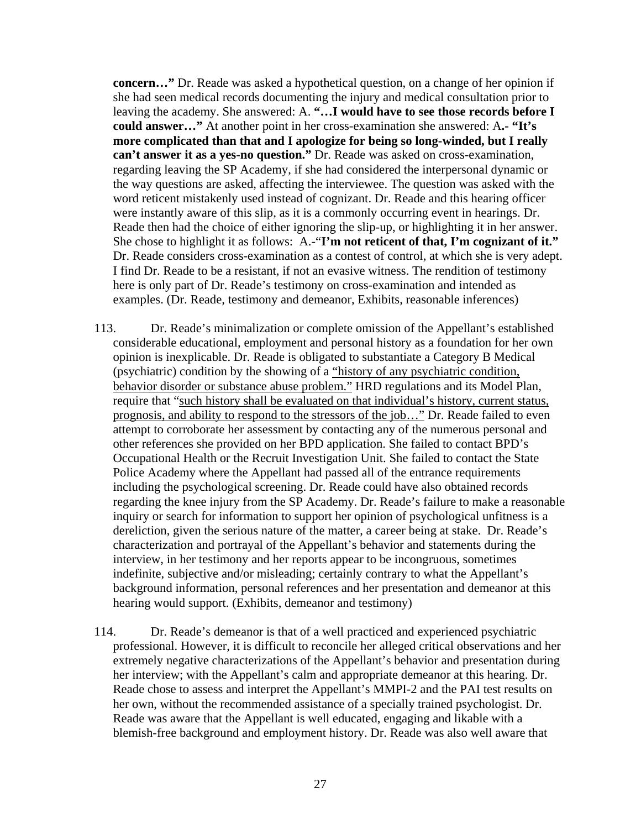**concern…"** Dr. Reade was asked a hypothetical question, on a change of her opinion if she had seen medical records documenting the injury and medical consultation prior to leaving the academy. She answered: A. **"…I would have to see those records before I could answer…"** At another point in her cross-examination she answered: A**.- "It's more complicated than that and I apologize for being so long-winded, but I really can't answer it as a yes-no question."** Dr. Reade was asked on cross-examination, regarding leaving the SP Academy, if she had considered the interpersonal dynamic or the way questions are asked, affecting the interviewee. The question was asked with the word reticent mistakenly used instead of cognizant. Dr. Reade and this hearing officer were instantly aware of this slip, as it is a commonly occurring event in hearings. Dr. Reade then had the choice of either ignoring the slip-up, or highlighting it in her answer. She chose to highlight it as follows: A.<sup>-"</sup>I'm not reticent of that, I'm cognizant of it." Dr. Reade considers cross-examination as a contest of control, at which she is very adept. I find Dr. Reade to be a resistant, if not an evasive witness. The rendition of testimony here is only part of Dr. Reade's testimony on cross-examination and intended as examples. (Dr. Reade, testimony and demeanor, Exhibits, reasonable inferences)

- 113. Dr. Reade's minimalization or complete omission of the Appellant's established considerable educational, employment and personal history as a foundation for her own opinion is inexplicable. Dr. Reade is obligated to substantiate a Category B Medical (psychiatric) condition by the showing of a "history of any psychiatric condition, behavior disorder or substance abuse problem." HRD regulations and its Model Plan, require that "such history shall be evaluated on that individual's history, current status, prognosis, and ability to respond to the stressors of the job…" Dr. Reade failed to even attempt to corroborate her assessment by contacting any of the numerous personal and other references she provided on her BPD application. She failed to contact BPD's Occupational Health or the Recruit Investigation Unit. She failed to contact the State Police Academy where the Appellant had passed all of the entrance requirements including the psychological screening. Dr. Reade could have also obtained records regarding the knee injury from the SP Academy. Dr. Reade's failure to make a reasonable inquiry or search for information to support her opinion of psychological unfitness is a dereliction, given the serious nature of the matter, a career being at stake. Dr. Reade's characterization and portrayal of the Appellant's behavior and statements during the interview, in her testimony and her reports appear to be incongruous, sometimes indefinite, subjective and/or misleading; certainly contrary to what the Appellant's background information, personal references and her presentation and demeanor at this hearing would support. (Exhibits, demeanor and testimony)
- 114. Dr. Reade's demeanor is that of a well practiced and experienced psychiatric professional. However, it is difficult to reconcile her alleged critical observations and her extremely negative characterizations of the Appellant's behavior and presentation during her interview; with the Appellant's calm and appropriate demeanor at this hearing. Dr. Reade chose to assess and interpret the Appellant's MMPI-2 and the PAI test results on her own, without the recommended assistance of a specially trained psychologist. Dr. Reade was aware that the Appellant is well educated, engaging and likable with a blemish-free background and employment history. Dr. Reade was also well aware that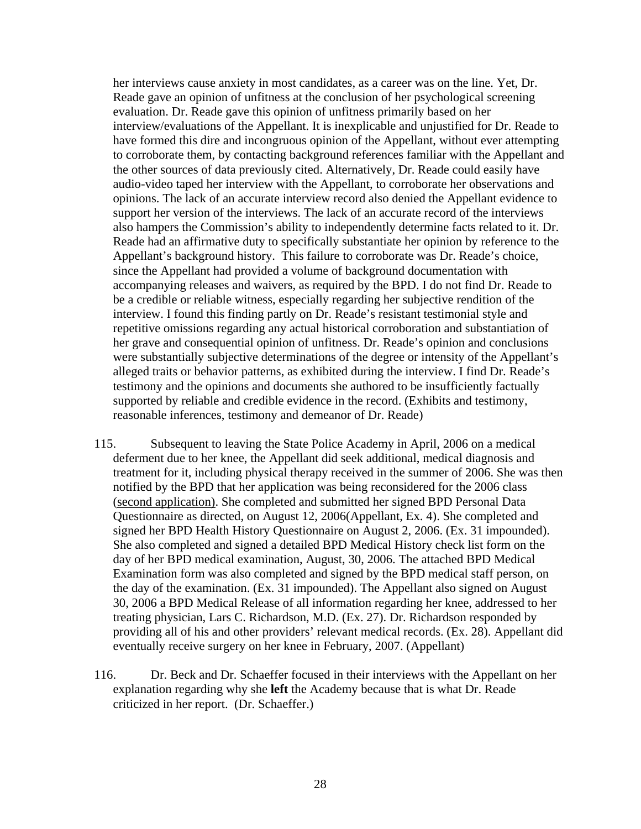her interviews cause anxiety in most candidates, as a career was on the line. Yet, Dr. Reade gave an opinion of unfitness at the conclusion of her psychological screening evaluation. Dr. Reade gave this opinion of unfitness primarily based on her interview/evaluations of the Appellant. It is inexplicable and unjustified for Dr. Reade to have formed this dire and incongruous opinion of the Appellant, without ever attempting to corroborate them, by contacting background references familiar with the Appellant and the other sources of data previously cited. Alternatively, Dr. Reade could easily have audio-video taped her interview with the Appellant, to corroborate her observations and opinions. The lack of an accurate interview record also denied the Appellant evidence to support her version of the interviews. The lack of an accurate record of the interviews also hampers the Commission's ability to independently determine facts related to it. Dr. Reade had an affirmative duty to specifically substantiate her opinion by reference to the Appellant's background history. This failure to corroborate was Dr. Reade's choice, since the Appellant had provided a volume of background documentation with accompanying releases and waivers, as required by the BPD. I do not find Dr. Reade to be a credible or reliable witness, especially regarding her subjective rendition of the interview. I found this finding partly on Dr. Reade's resistant testimonial style and repetitive omissions regarding any actual historical corroboration and substantiation of her grave and consequential opinion of unfitness. Dr. Reade's opinion and conclusions were substantially subjective determinations of the degree or intensity of the Appellant's alleged traits or behavior patterns, as exhibited during the interview. I find Dr. Reade's testimony and the opinions and documents she authored to be insufficiently factually supported by reliable and credible evidence in the record. (Exhibits and testimony, reasonable inferences, testimony and demeanor of Dr. Reade)

- 115. Subsequent to leaving the State Police Academy in April, 2006 on a medical deferment due to her knee, the Appellant did seek additional, medical diagnosis and treatment for it, including physical therapy received in the summer of 2006. She was then notified by the BPD that her application was being reconsidered for the 2006 class (second application). She completed and submitted her signed BPD Personal Data Questionnaire as directed, on August 12, 2006(Appellant, Ex. 4). She completed and signed her BPD Health History Questionnaire on August 2, 2006. (Ex. 31 impounded). She also completed and signed a detailed BPD Medical History check list form on the day of her BPD medical examination, August, 30, 2006. The attached BPD Medical Examination form was also completed and signed by the BPD medical staff person, on the day of the examination. (Ex. 31 impounded). The Appellant also signed on August 30, 2006 a BPD Medical Release of all information regarding her knee, addressed to her treating physician, Lars C. Richardson, M.D. (Ex. 27). Dr. Richardson responded by providing all of his and other providers' relevant medical records. (Ex. 28). Appellant did eventually receive surgery on her knee in February, 2007. (Appellant)
- 116. Dr. Beck and Dr. Schaeffer focused in their interviews with the Appellant on her explanation regarding why she **left** the Academy because that is what Dr. Reade criticized in her report. (Dr. Schaeffer.)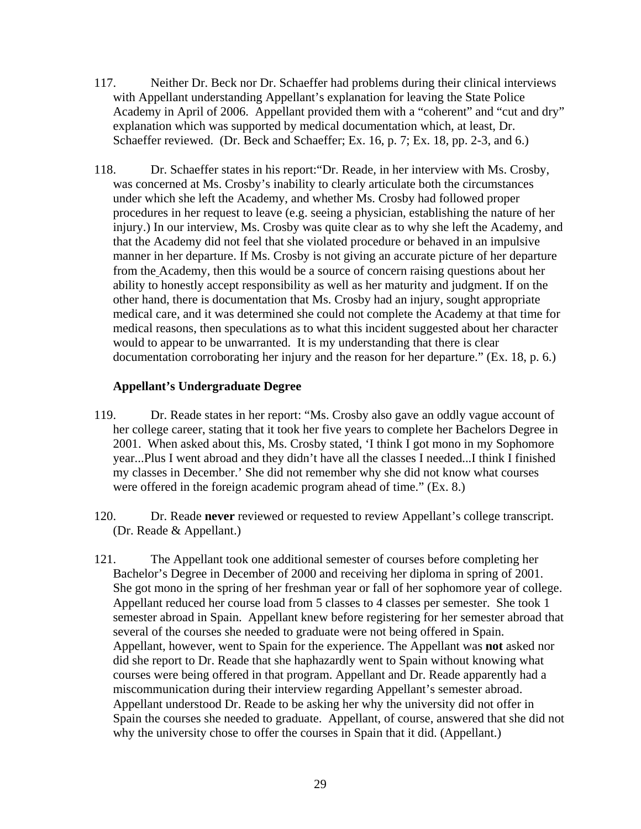- 117. Neither Dr. Beck nor Dr. Schaeffer had problems during their clinical interviews with Appellant understanding Appellant's explanation for leaving the State Police Academy in April of 2006. Appellant provided them with a "coherent" and "cut and dry" explanation which was supported by medical documentation which, at least, Dr. Schaeffer reviewed. (Dr. Beck and Schaeffer; Ex. 16, p. 7; Ex. 18, pp. 2-3, and 6.)
- 118. Dr. Schaeffer states in his report:"Dr. Reade, in her interview with Ms. Crosby, was concerned at Ms. Crosby's inability to clearly articulate both the circumstances under which she left the Academy, and whether Ms. Crosby had followed proper procedures in her request to leave (e.g. seeing a physician, establishing the nature of her injury.) In our interview, Ms. Crosby was quite clear as to why she left the Academy, and that the Academy did not feel that she violated procedure or behaved in an impulsive manner in her departure. If Ms. Crosby is not giving an accurate picture of her departure from the Academy, then this would be a source of concern raising questions about her ability to honestly accept responsibility as well as her maturity and judgment. If on the other hand, there is documentation that Ms. Crosby had an injury, sought appropriate medical care, and it was determined she could not complete the Academy at that time for medical reasons, then speculations as to what this incident suggested about her character would to appear to be unwarranted. It is my understanding that there is clear documentation corroborating her injury and the reason for her departure." (Ex. 18, p. 6.)

### **Appellant's Undergraduate Degree**

- 119. Dr. Reade states in her report: "Ms. Crosby also gave an oddly vague account of her college career, stating that it took her five years to complete her Bachelors Degree in 2001. When asked about this, Ms. Crosby stated, 'I think I got mono in my Sophomore year...Plus I went abroad and they didn't have all the classes I needed...I think I finished my classes in December.' She did not remember why she did not know what courses were offered in the foreign academic program ahead of time." (Ex. 8.)
- 120. Dr. Reade **never** reviewed or requested to review Appellant's college transcript. (Dr. Reade & Appellant.)
- 121. The Appellant took one additional semester of courses before completing her Bachelor's Degree in December of 2000 and receiving her diploma in spring of 2001. She got mono in the spring of her freshman year or fall of her sophomore year of college. Appellant reduced her course load from 5 classes to 4 classes per semester. She took 1 semester abroad in Spain. Appellant knew before registering for her semester abroad that several of the courses she needed to graduate were not being offered in Spain. Appellant, however, went to Spain for the experience. The Appellant was **not** asked nor did she report to Dr. Reade that she haphazardly went to Spain without knowing what courses were being offered in that program. Appellant and Dr. Reade apparently had a miscommunication during their interview regarding Appellant's semester abroad. Appellant understood Dr. Reade to be asking her why the university did not offer in Spain the courses she needed to graduate. Appellant, of course, answered that she did not why the university chose to offer the courses in Spain that it did. (Appellant.)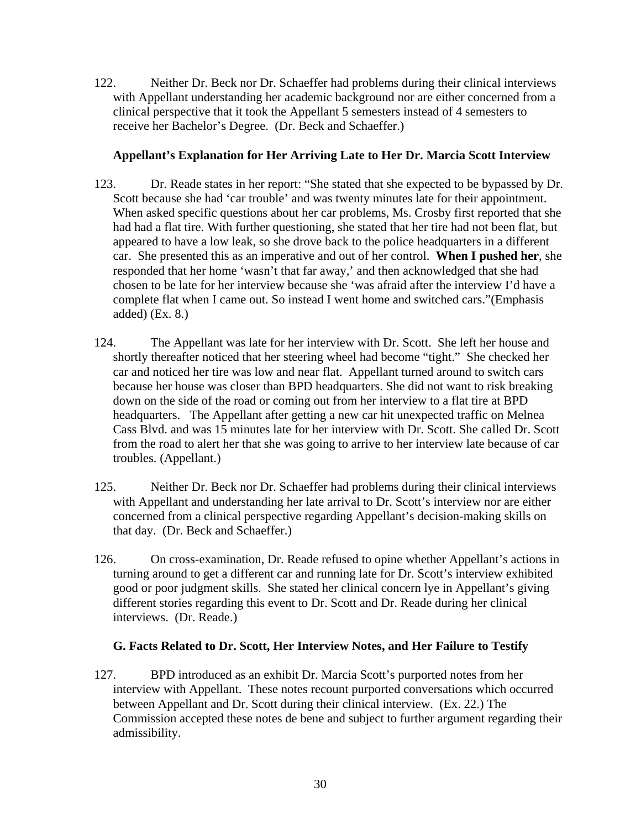122. Neither Dr. Beck nor Dr. Schaeffer had problems during their clinical interviews with Appellant understanding her academic background nor are either concerned from a clinical perspective that it took the Appellant 5 semesters instead of 4 semesters to receive her Bachelor's Degree. (Dr. Beck and Schaeffer.)

# **Appellant's Explanation for Her Arriving Late to Her Dr. Marcia Scott Interview**

- 123. Dr. Reade states in her report: "She stated that she expected to be bypassed by Dr. Scott because she had 'car trouble' and was twenty minutes late for their appointment. When asked specific questions about her car problems, Ms. Crosby first reported that she had had a flat tire. With further questioning, she stated that her tire had not been flat, but appeared to have a low leak, so she drove back to the police headquarters in a different car. She presented this as an imperative and out of her control. **When I pushed her**, she responded that her home 'wasn't that far away,' and then acknowledged that she had chosen to be late for her interview because she 'was afraid after the interview I'd have a complete flat when I came out. So instead I went home and switched cars."(Emphasis added) (Ex. 8.)
- 124. The Appellant was late for her interview with Dr. Scott. She left her house and shortly thereafter noticed that her steering wheel had become "tight." She checked her car and noticed her tire was low and near flat. Appellant turned around to switch cars because her house was closer than BPD headquarters. She did not want to risk breaking down on the side of the road or coming out from her interview to a flat tire at BPD headquarters. The Appellant after getting a new car hit unexpected traffic on Melnea Cass Blvd. and was 15 minutes late for her interview with Dr. Scott. She called Dr. Scott from the road to alert her that she was going to arrive to her interview late because of car troubles. (Appellant.)
- 125. Neither Dr. Beck nor Dr. Schaeffer had problems during their clinical interviews with Appellant and understanding her late arrival to Dr. Scott's interview nor are either concerned from a clinical perspective regarding Appellant's decision-making skills on that day. (Dr. Beck and Schaeffer.)
- 126. On cross-examination, Dr. Reade refused to opine whether Appellant's actions in turning around to get a different car and running late for Dr. Scott's interview exhibited good or poor judgment skills. She stated her clinical concern lye in Appellant's giving different stories regarding this event to Dr. Scott and Dr. Reade during her clinical interviews. (Dr. Reade.)

# **G. Facts Related to Dr. Scott, Her Interview Notes, and Her Failure to Testify**

127. BPD introduced as an exhibit Dr. Marcia Scott's purported notes from her interview with Appellant. These notes recount purported conversations which occurred between Appellant and Dr. Scott during their clinical interview. (Ex. 22.) The Commission accepted these notes de bene and subject to further argument regarding their admissibility.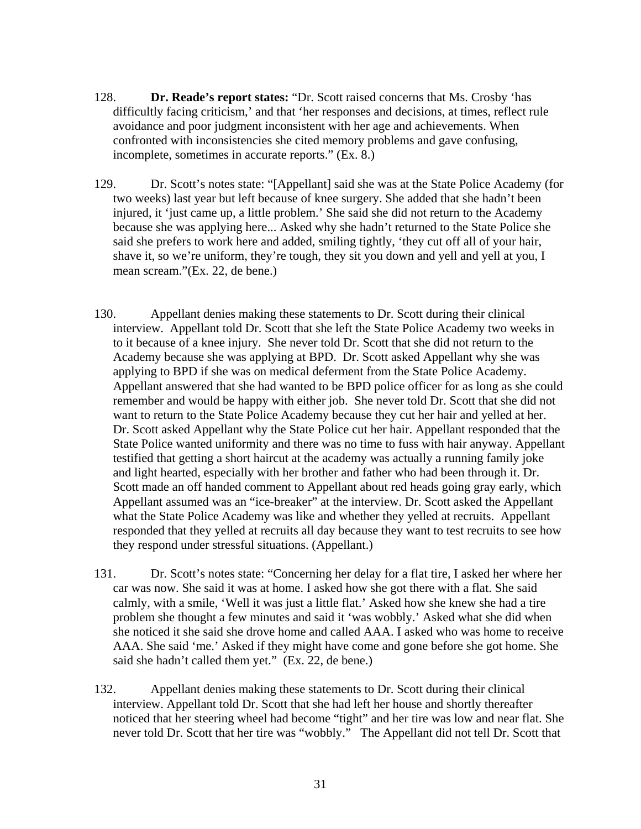- 128. **Dr. Reade's report states:** "Dr. Scott raised concerns that Ms. Crosby 'has difficultly facing criticism,' and that 'her responses and decisions, at times, reflect rule avoidance and poor judgment inconsistent with her age and achievements. When confronted with inconsistencies she cited memory problems and gave confusing, incomplete, sometimes in accurate reports." (Ex. 8.)
- 129. Dr. Scott's notes state: "[Appellant] said she was at the State Police Academy (for two weeks) last year but left because of knee surgery. She added that she hadn't been injured, it 'just came up, a little problem.' She said she did not return to the Academy because she was applying here... Asked why she hadn't returned to the State Police she said she prefers to work here and added, smiling tightly, 'they cut off all of your hair, shave it, so we're uniform, they're tough, they sit you down and yell and yell at you, I mean scream."(Ex. 22, de bene.)
- 130. Appellant denies making these statements to Dr. Scott during their clinical interview. Appellant told Dr. Scott that she left the State Police Academy two weeks in to it because of a knee injury. She never told Dr. Scott that she did not return to the Academy because she was applying at BPD. Dr. Scott asked Appellant why she was applying to BPD if she was on medical deferment from the State Police Academy. Appellant answered that she had wanted to be BPD police officer for as long as she could remember and would be happy with either job. She never told Dr. Scott that she did not want to return to the State Police Academy because they cut her hair and yelled at her. Dr. Scott asked Appellant why the State Police cut her hair. Appellant responded that the State Police wanted uniformity and there was no time to fuss with hair anyway. Appellant testified that getting a short haircut at the academy was actually a running family joke and light hearted, especially with her brother and father who had been through it. Dr. Scott made an off handed comment to Appellant about red heads going gray early, which Appellant assumed was an "ice-breaker" at the interview. Dr. Scott asked the Appellant what the State Police Academy was like and whether they yelled at recruits. Appellant responded that they yelled at recruits all day because they want to test recruits to see how they respond under stressful situations. (Appellant.)
- 131. Dr. Scott's notes state: "Concerning her delay for a flat tire, I asked her where her car was now. She said it was at home. I asked how she got there with a flat. She said calmly, with a smile, 'Well it was just a little flat.' Asked how she knew she had a tire problem she thought a few minutes and said it 'was wobbly.' Asked what she did when she noticed it she said she drove home and called AAA. I asked who was home to receive AAA. She said 'me.' Asked if they might have come and gone before she got home. She said she hadn't called them yet." (Ex. 22, de bene.)
- 132. Appellant denies making these statements to Dr. Scott during their clinical interview. Appellant told Dr. Scott that she had left her house and shortly thereafter noticed that her steering wheel had become "tight" and her tire was low and near flat. She never told Dr. Scott that her tire was "wobbly." The Appellant did not tell Dr. Scott that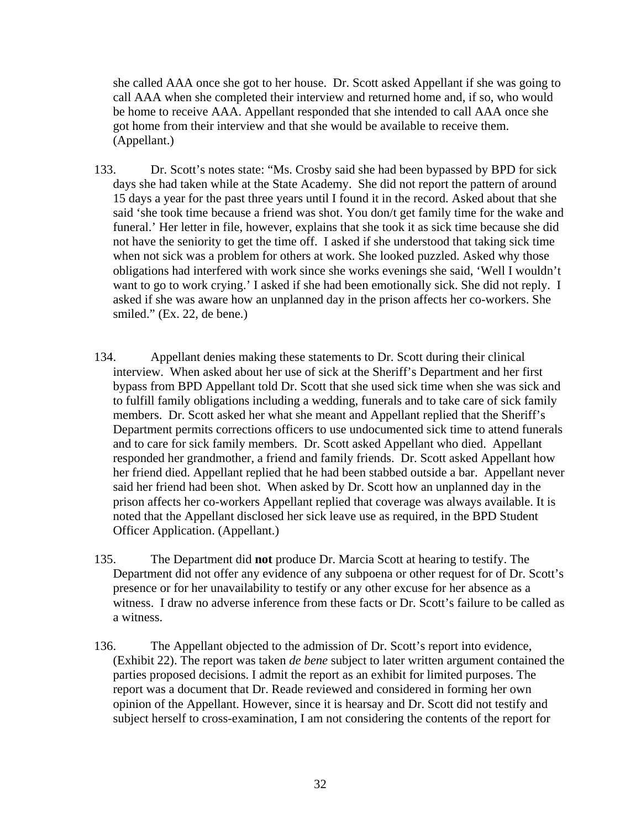she called AAA once she got to her house. Dr. Scott asked Appellant if she was going to call AAA when she completed their interview and returned home and, if so, who would be home to receive AAA. Appellant responded that she intended to call AAA once she got home from their interview and that she would be available to receive them. (Appellant.)

- 133. Dr. Scott's notes state: "Ms. Crosby said she had been bypassed by BPD for sick days she had taken while at the State Academy. She did not report the pattern of around 15 days a year for the past three years until I found it in the record. Asked about that she said 'she took time because a friend was shot. You don/t get family time for the wake and funeral.' Her letter in file, however, explains that she took it as sick time because she did not have the seniority to get the time off. I asked if she understood that taking sick time when not sick was a problem for others at work. She looked puzzled. Asked why those obligations had interfered with work since she works evenings she said, 'Well I wouldn't want to go to work crying.' I asked if she had been emotionally sick. She did not reply. I asked if she was aware how an unplanned day in the prison affects her co-workers. She smiled." (Ex. 22, de bene.)
- 134. Appellant denies making these statements to Dr. Scott during their clinical interview. When asked about her use of sick at the Sheriff's Department and her first bypass from BPD Appellant told Dr. Scott that she used sick time when she was sick and to fulfill family obligations including a wedding, funerals and to take care of sick family members. Dr. Scott asked her what she meant and Appellant replied that the Sheriff's Department permits corrections officers to use undocumented sick time to attend funerals and to care for sick family members. Dr. Scott asked Appellant who died. Appellant responded her grandmother, a friend and family friends. Dr. Scott asked Appellant how her friend died. Appellant replied that he had been stabbed outside a bar. Appellant never said her friend had been shot. When asked by Dr. Scott how an unplanned day in the prison affects her co-workers Appellant replied that coverage was always available. It is noted that the Appellant disclosed her sick leave use as required, in the BPD Student Officer Application. (Appellant.)
- 135. The Department did **not** produce Dr. Marcia Scott at hearing to testify. The Department did not offer any evidence of any subpoena or other request for of Dr. Scott's presence or for her unavailability to testify or any other excuse for her absence as a witness. I draw no adverse inference from these facts or Dr. Scott's failure to be called as a witness.
- 136. The Appellant objected to the admission of Dr. Scott's report into evidence, (Exhibit 22). The report was taken *de bene* subject to later written argument contained the parties proposed decisions. I admit the report as an exhibit for limited purposes. The report was a document that Dr. Reade reviewed and considered in forming her own opinion of the Appellant. However, since it is hearsay and Dr. Scott did not testify and subject herself to cross-examination, I am not considering the contents of the report for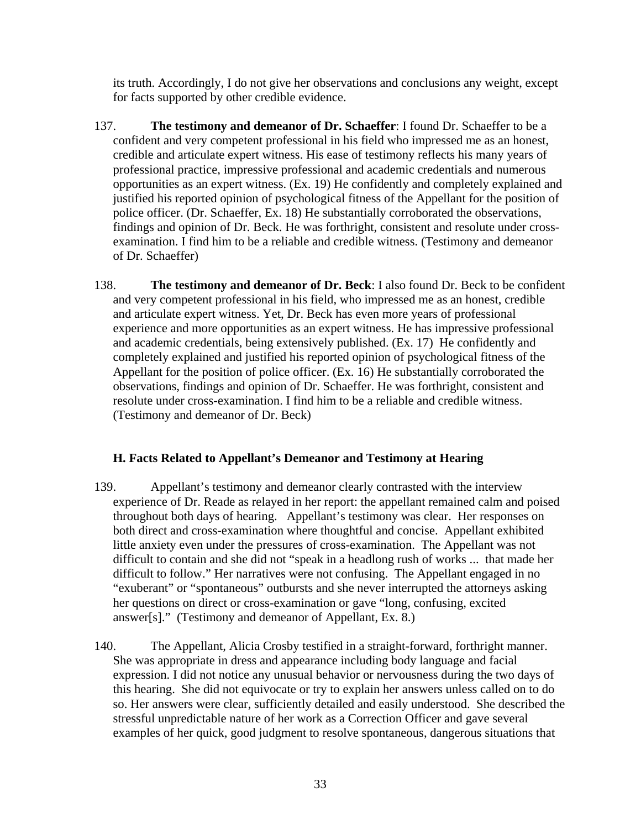its truth. Accordingly, I do not give her observations and conclusions any weight, except for facts supported by other credible evidence.

- 137. **The testimony and demeanor of Dr. Schaeffer**: I found Dr. Schaeffer to be a confident and very competent professional in his field who impressed me as an honest, credible and articulate expert witness. His ease of testimony reflects his many years of professional practice, impressive professional and academic credentials and numerous opportunities as an expert witness. (Ex. 19) He confidently and completely explained and justified his reported opinion of psychological fitness of the Appellant for the position of police officer. (Dr. Schaeffer, Ex. 18) He substantially corroborated the observations, findings and opinion of Dr. Beck. He was forthright, consistent and resolute under crossexamination. I find him to be a reliable and credible witness. (Testimony and demeanor of Dr. Schaeffer)
- 138. **The testimony and demeanor of Dr. Beck**: I also found Dr. Beck to be confident and very competent professional in his field, who impressed me as an honest, credible and articulate expert witness. Yet, Dr. Beck has even more years of professional experience and more opportunities as an expert witness. He has impressive professional and academic credentials, being extensively published. (Ex. 17) He confidently and completely explained and justified his reported opinion of psychological fitness of the Appellant for the position of police officer. (Ex. 16) He substantially corroborated the observations, findings and opinion of Dr. Schaeffer. He was forthright, consistent and resolute under cross-examination. I find him to be a reliable and credible witness. (Testimony and demeanor of Dr. Beck)

# **H. Facts Related to Appellant's Demeanor and Testimony at Hearing**

- 139. Appellant's testimony and demeanor clearly contrasted with the interview experience of Dr. Reade as relayed in her report: the appellant remained calm and poised throughout both days of hearing. Appellant's testimony was clear. Her responses on both direct and cross-examination where thoughtful and concise. Appellant exhibited little anxiety even under the pressures of cross-examination. The Appellant was not difficult to contain and she did not "speak in a headlong rush of works ... that made her difficult to follow." Her narratives were not confusing. The Appellant engaged in no "exuberant" or "spontaneous" outbursts and she never interrupted the attorneys asking her questions on direct or cross-examination or gave "long, confusing, excited answer[s]." (Testimony and demeanor of Appellant, Ex. 8.)
- 140. The Appellant, Alicia Crosby testified in a straight-forward, forthright manner. She was appropriate in dress and appearance including body language and facial expression. I did not notice any unusual behavior or nervousness during the two days of this hearing. She did not equivocate or try to explain her answers unless called on to do so. Her answers were clear, sufficiently detailed and easily understood. She described the stressful unpredictable nature of her work as a Correction Officer and gave several examples of her quick, good judgment to resolve spontaneous, dangerous situations that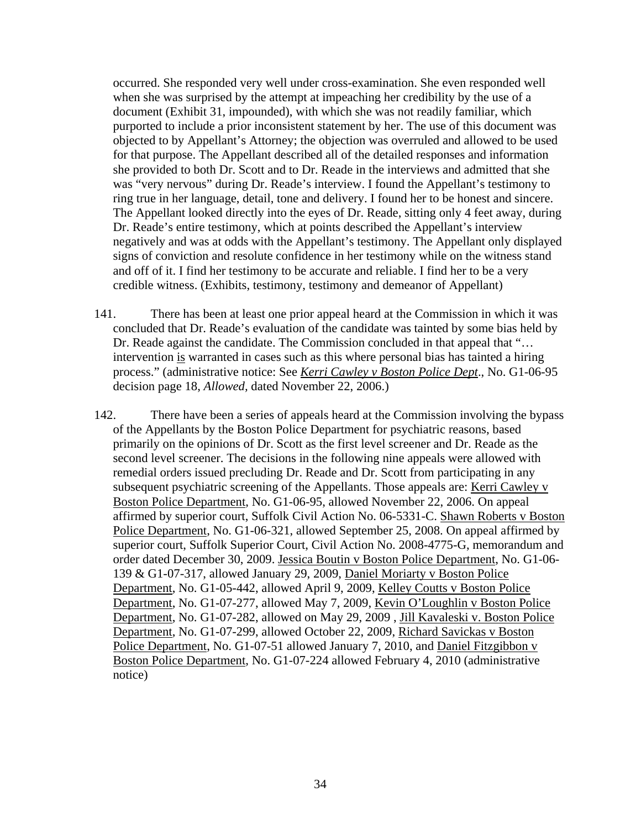occurred. She responded very well under cross-examination. She even responded well when she was surprised by the attempt at impeaching her credibility by the use of a document (Exhibit 31, impounded), with which she was not readily familiar, which purported to include a prior inconsistent statement by her. The use of this document was objected to by Appellant's Attorney; the objection was overruled and allowed to be used for that purpose. The Appellant described all of the detailed responses and information she provided to both Dr. Scott and to Dr. Reade in the interviews and admitted that she was "very nervous" during Dr. Reade's interview. I found the Appellant's testimony to ring true in her language, detail, tone and delivery. I found her to be honest and sincere. The Appellant looked directly into the eyes of Dr. Reade, sitting only 4 feet away, during Dr. Reade's entire testimony, which at points described the Appellant's interview negatively and was at odds with the Appellant's testimony. The Appellant only displayed signs of conviction and resolute confidence in her testimony while on the witness stand and off of it. I find her testimony to be accurate and reliable. I find her to be a very credible witness. (Exhibits, testimony, testimony and demeanor of Appellant)

- 141. There has been at least one prior appeal heard at the Commission in which it was concluded that Dr. Reade's evaluation of the candidate was tainted by some bias held by Dr. Reade against the candidate. The Commission concluded in that appeal that "... intervention is warranted in cases such as this where personal bias has tainted a hiring process." (administrative notice: See *Kerri Cawley v Boston Police Dept*., No. G1-06-95 decision page 18, *Allowed,* dated November 22, 2006.)
- 142. There have been a series of appeals heard at the Commission involving the bypass of the Appellants by the Boston Police Department for psychiatric reasons, based primarily on the opinions of Dr. Scott as the first level screener and Dr. Reade as the second level screener. The decisions in the following nine appeals were allowed with remedial orders issued precluding Dr. Reade and Dr. Scott from participating in any subsequent psychiatric screening of the Appellants. Those appeals are: Kerri Cawley v Boston Police Department, No. G1-06-95, allowed November 22, 2006. On appeal affirmed by superior court, Suffolk Civil Action No. 06-5331-C. Shawn Roberts v Boston Police Department, No. G1-06-321, allowed September 25, 2008. On appeal affirmed by superior court, Suffolk Superior Court, Civil Action No. 2008-4775-G, memorandum and order dated December 30, 2009. Jessica Boutin v Boston Police Department, No. G1-06- 139 & G1-07-317, allowed January 29, 2009, Daniel Moriarty v Boston Police Department, No. G1-05-442, allowed April 9, 2009, Kelley Coutts v Boston Police Department, No. G1-07-277, allowed May 7, 2009, Kevin O'Loughlin v Boston Police Department, No. G1-07-282, allowed on May 29, 2009 , Jill Kavaleski v. Boston Police Department, No. G1-07-299, allowed October 22, 2009, Richard Savickas v Boston Police Department, No. G1-07-51 allowed January 7, 2010, and Daniel Fitzgibbon v Boston Police Department, No. G1-07-224 allowed February 4, 2010 (administrative notice)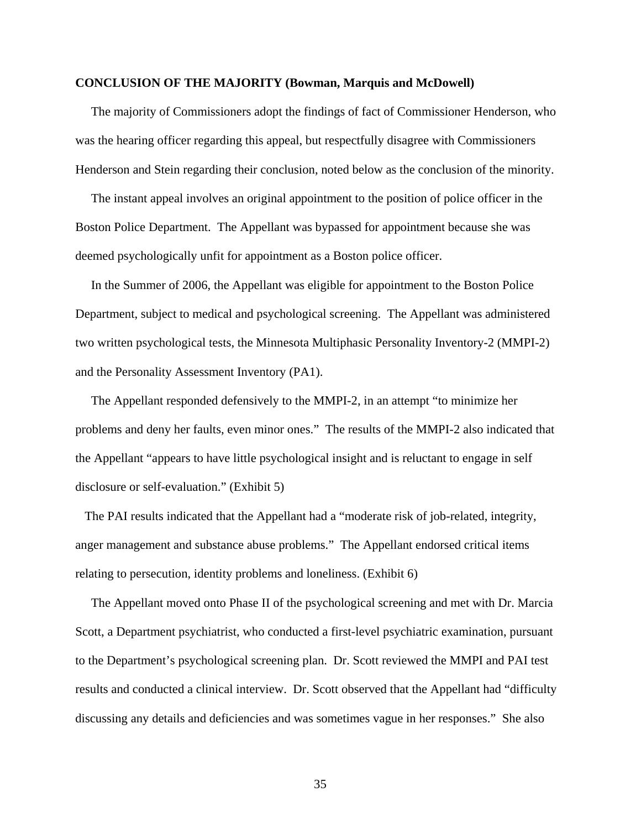#### **CONCLUSION OF THE MAJORITY (Bowman, Marquis and McDowell)**

 The majority of Commissioners adopt the findings of fact of Commissioner Henderson, who was the hearing officer regarding this appeal, but respectfully disagree with Commissioners Henderson and Stein regarding their conclusion, noted below as the conclusion of the minority.

 The instant appeal involves an original appointment to the position of police officer in the Boston Police Department. The Appellant was bypassed for appointment because she was deemed psychologically unfit for appointment as a Boston police officer.

 In the Summer of 2006, the Appellant was eligible for appointment to the Boston Police Department, subject to medical and psychological screening. The Appellant was administered two written psychological tests, the Minnesota Multiphasic Personality Inventory-2 (MMPI-2) and the Personality Assessment Inventory (PA1).

 The Appellant responded defensively to the MMPI-2, in an attempt "to minimize her problems and deny her faults, even minor ones." The results of the MMPI-2 also indicated that the Appellant "appears to have little psychological insight and is reluctant to engage in self disclosure or self-evaluation." (Exhibit 5)

 The PAI results indicated that the Appellant had a "moderate risk of job-related, integrity, anger management and substance abuse problems." The Appellant endorsed critical items relating to persecution, identity problems and loneliness. (Exhibit 6)

 The Appellant moved onto Phase II of the psychological screening and met with Dr. Marcia Scott, a Department psychiatrist, who conducted a first-level psychiatric examination, pursuant to the Department's psychological screening plan. Dr. Scott reviewed the MMPI and PAI test results and conducted a clinical interview. Dr. Scott observed that the Appellant had "difficulty discussing any details and deficiencies and was sometimes vague in her responses." She also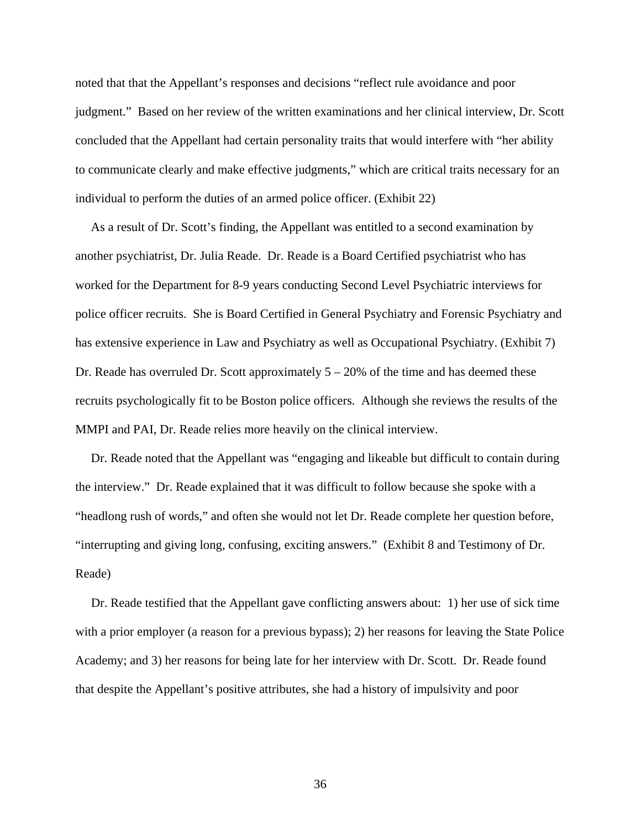noted that that the Appellant's responses and decisions "reflect rule avoidance and poor judgment." Based on her review of the written examinations and her clinical interview, Dr. Scott concluded that the Appellant had certain personality traits that would interfere with "her ability to communicate clearly and make effective judgments," which are critical traits necessary for an individual to perform the duties of an armed police officer. (Exhibit 22)

 As a result of Dr. Scott's finding, the Appellant was entitled to a second examination by another psychiatrist, Dr. Julia Reade. Dr. Reade is a Board Certified psychiatrist who has worked for the Department for 8-9 years conducting Second Level Psychiatric interviews for police officer recruits. She is Board Certified in General Psychiatry and Forensic Psychiatry and has extensive experience in Law and Psychiatry as well as Occupational Psychiatry. (Exhibit 7) Dr. Reade has overruled Dr. Scott approximately  $5 - 20\%$  of the time and has deemed these recruits psychologically fit to be Boston police officers. Although she reviews the results of the MMPI and PAI, Dr. Reade relies more heavily on the clinical interview.

 Dr. Reade noted that the Appellant was "engaging and likeable but difficult to contain during the interview." Dr. Reade explained that it was difficult to follow because she spoke with a "headlong rush of words," and often she would not let Dr. Reade complete her question before, "interrupting and giving long, confusing, exciting answers." (Exhibit 8 and Testimony of Dr. Reade)

 Dr. Reade testified that the Appellant gave conflicting answers about: 1) her use of sick time with a prior employer (a reason for a previous bypass); 2) her reasons for leaving the State Police Academy; and 3) her reasons for being late for her interview with Dr. Scott. Dr. Reade found that despite the Appellant's positive attributes, she had a history of impulsivity and poor

36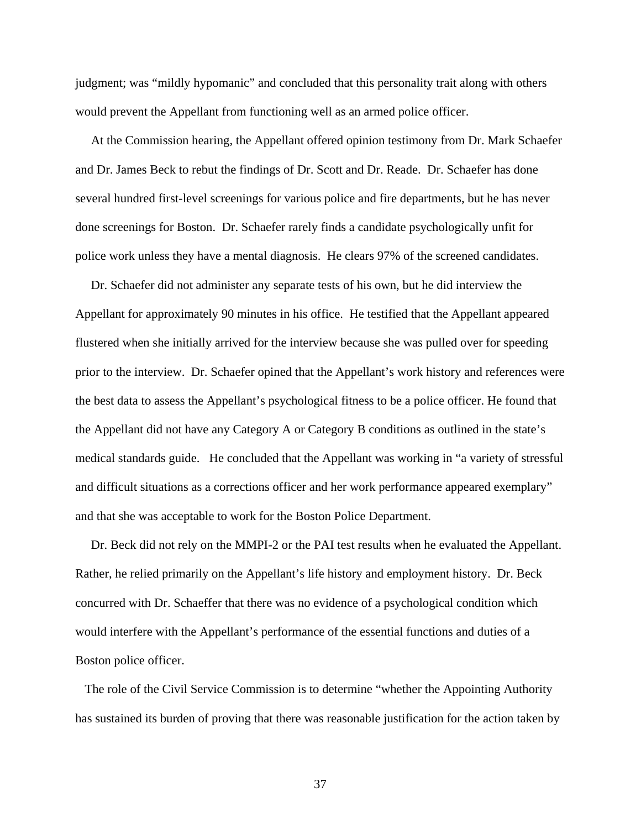judgment; was "mildly hypomanic" and concluded that this personality trait along with others would prevent the Appellant from functioning well as an armed police officer.

 At the Commission hearing, the Appellant offered opinion testimony from Dr. Mark Schaefer and Dr. James Beck to rebut the findings of Dr. Scott and Dr. Reade. Dr. Schaefer has done several hundred first-level screenings for various police and fire departments, but he has never done screenings for Boston. Dr. Schaefer rarely finds a candidate psychologically unfit for police work unless they have a mental diagnosis. He clears 97% of the screened candidates.

 Dr. Schaefer did not administer any separate tests of his own, but he did interview the Appellant for approximately 90 minutes in his office. He testified that the Appellant appeared flustered when she initially arrived for the interview because she was pulled over for speeding prior to the interview. Dr. Schaefer opined that the Appellant's work history and references were the best data to assess the Appellant's psychological fitness to be a police officer. He found that the Appellant did not have any Category A or Category B conditions as outlined in the state's medical standards guide. He concluded that the Appellant was working in "a variety of stressful and difficult situations as a corrections officer and her work performance appeared exemplary" and that she was acceptable to work for the Boston Police Department.

 Dr. Beck did not rely on the MMPI-2 or the PAI test results when he evaluated the Appellant. Rather, he relied primarily on the Appellant's life history and employment history. Dr. Beck concurred with Dr. Schaeffer that there was no evidence of a psychological condition which would interfere with the Appellant's performance of the essential functions and duties of a Boston police officer.

 The role of the Civil Service Commission is to determine "whether the Appointing Authority has sustained its burden of proving that there was reasonable justification for the action taken by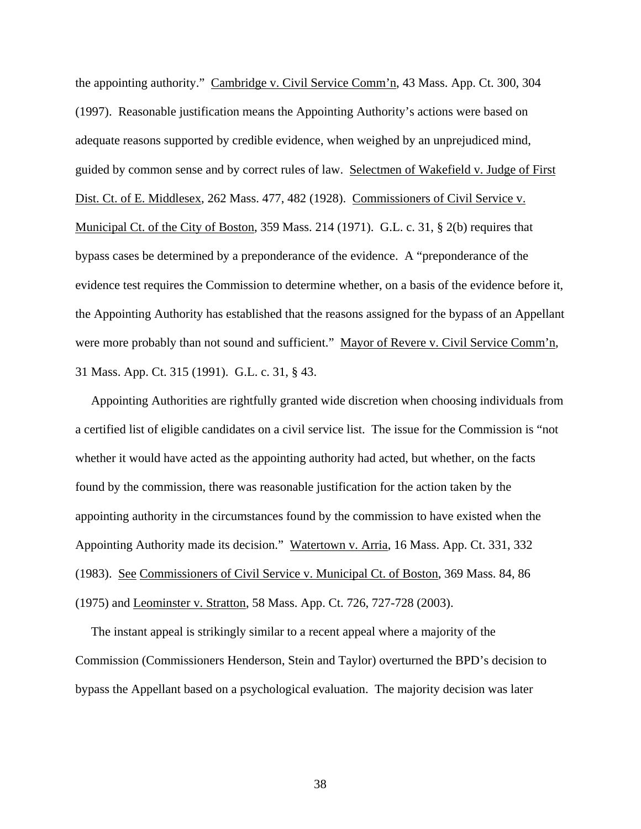the appointing authority." Cambridge v. Civil Service Comm'n, 43 Mass. App. Ct. 300, 304 (1997). Reasonable justification means the Appointing Authority's actions were based on adequate reasons supported by credible evidence, when weighed by an unprejudiced mind, guided by common sense and by correct rules of law. Selectmen of Wakefield v. Judge of First Dist. Ct. of E. Middlesex, 262 Mass. 477, 482 (1928). Commissioners of Civil Service v. Municipal Ct. of the City of Boston, 359 Mass. 214 (1971). G.L. c. 31, § 2(b) requires that bypass cases be determined by a preponderance of the evidence. A "preponderance of the evidence test requires the Commission to determine whether, on a basis of the evidence before it, the Appointing Authority has established that the reasons assigned for the bypass of an Appellant were more probably than not sound and sufficient." Mayor of Revere v. Civil Service Comm'n, 31 Mass. App. Ct. 315 (1991). G.L. c. 31, § 43.

 Appointing Authorities are rightfully granted wide discretion when choosing individuals from a certified list of eligible candidates on a civil service list. The issue for the Commission is "not whether it would have acted as the appointing authority had acted, but whether, on the facts found by the commission, there was reasonable justification for the action taken by the appointing authority in the circumstances found by the commission to have existed when the Appointing Authority made its decision." Watertown v. Arria, 16 Mass. App. Ct. 331, 332 (1983). See Commissioners of Civil Service v. Municipal Ct. of Boston, 369 Mass. 84, 86 (1975) and Leominster v. Stratton, 58 Mass. App. Ct. 726, 727-728 (2003).

 The instant appeal is strikingly similar to a recent appeal where a majority of the Commission (Commissioners Henderson, Stein and Taylor) overturned the BPD's decision to bypass the Appellant based on a psychological evaluation. The majority decision was later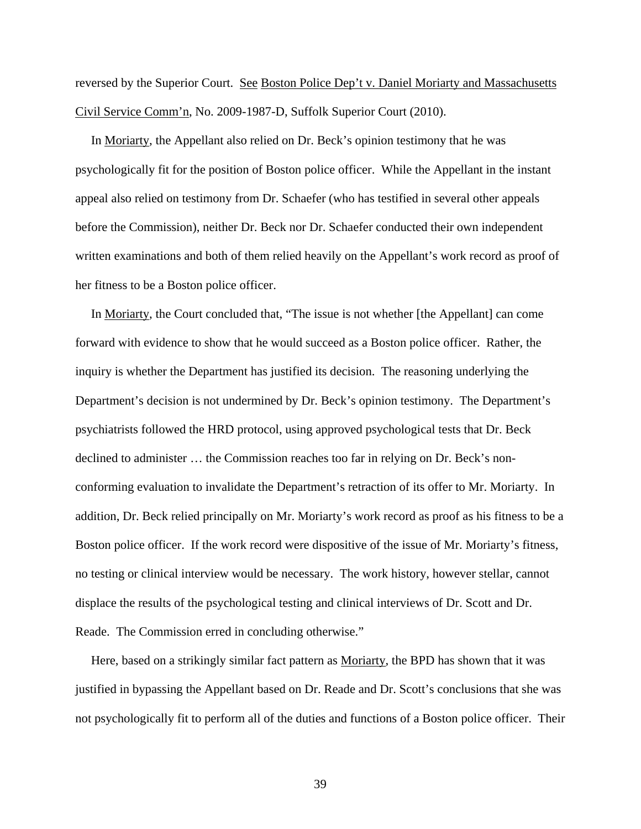reversed by the Superior Court. See Boston Police Dep't v. Daniel Moriarty and Massachusetts Civil Service Comm'n, No. 2009-1987-D, Suffolk Superior Court (2010).

 In Moriarty, the Appellant also relied on Dr. Beck's opinion testimony that he was psychologically fit for the position of Boston police officer. While the Appellant in the instant appeal also relied on testimony from Dr. Schaefer (who has testified in several other appeals before the Commission), neither Dr. Beck nor Dr. Schaefer conducted their own independent written examinations and both of them relied heavily on the Appellant's work record as proof of her fitness to be a Boston police officer.

 In Moriarty, the Court concluded that, "The issue is not whether [the Appellant] can come forward with evidence to show that he would succeed as a Boston police officer. Rather, the inquiry is whether the Department has justified its decision. The reasoning underlying the Department's decision is not undermined by Dr. Beck's opinion testimony. The Department's psychiatrists followed the HRD protocol, using approved psychological tests that Dr. Beck declined to administer … the Commission reaches too far in relying on Dr. Beck's nonconforming evaluation to invalidate the Department's retraction of its offer to Mr. Moriarty. In addition, Dr. Beck relied principally on Mr. Moriarty's work record as proof as his fitness to be a Boston police officer. If the work record were dispositive of the issue of Mr. Moriarty's fitness, no testing or clinical interview would be necessary. The work history, however stellar, cannot displace the results of the psychological testing and clinical interviews of Dr. Scott and Dr. Reade. The Commission erred in concluding otherwise."

Here, based on a strikingly similar fact pattern as Moriarty, the BPD has shown that it was justified in bypassing the Appellant based on Dr. Reade and Dr. Scott's conclusions that she was not psychologically fit to perform all of the duties and functions of a Boston police officer. Their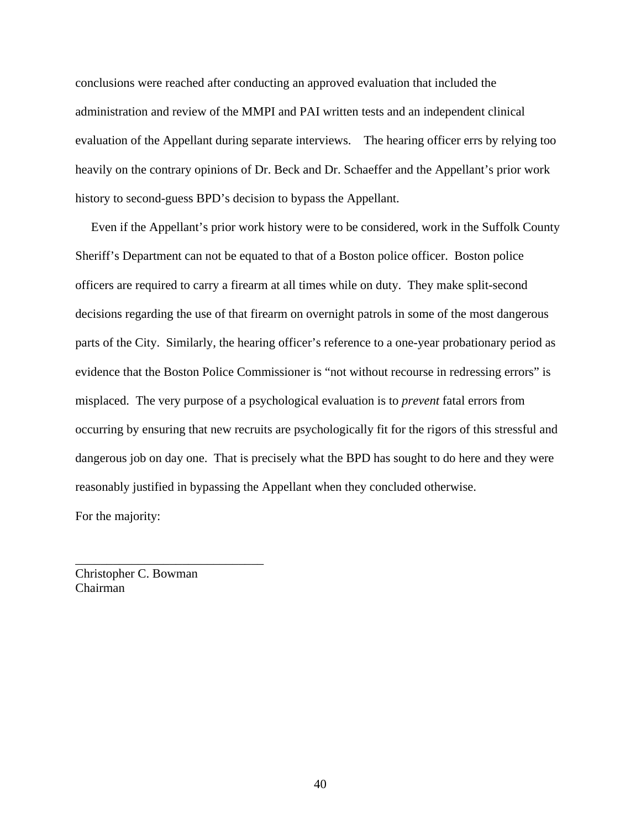conclusions were reached after conducting an approved evaluation that included the administration and review of the MMPI and PAI written tests and an independent clinical evaluation of the Appellant during separate interviews. The hearing officer errs by relying too heavily on the contrary opinions of Dr. Beck and Dr. Schaeffer and the Appellant's prior work history to second-guess BPD's decision to bypass the Appellant.

 Even if the Appellant's prior work history were to be considered, work in the Suffolk County Sheriff's Department can not be equated to that of a Boston police officer. Boston police officers are required to carry a firearm at all times while on duty. They make split-second decisions regarding the use of that firearm on overnight patrols in some of the most dangerous parts of the City. Similarly, the hearing officer's reference to a one-year probationary period as evidence that the Boston Police Commissioner is "not without recourse in redressing errors" is misplaced. The very purpose of a psychological evaluation is to *prevent* fatal errors from occurring by ensuring that new recruits are psychologically fit for the rigors of this stressful and dangerous job on day one. That is precisely what the BPD has sought to do here and they were reasonably justified in bypassing the Appellant when they concluded otherwise.

For the majority:

Christopher C. Bowman Chairman

\_\_\_\_\_\_\_\_\_\_\_\_\_\_\_\_\_\_\_\_\_\_\_\_\_\_\_\_\_\_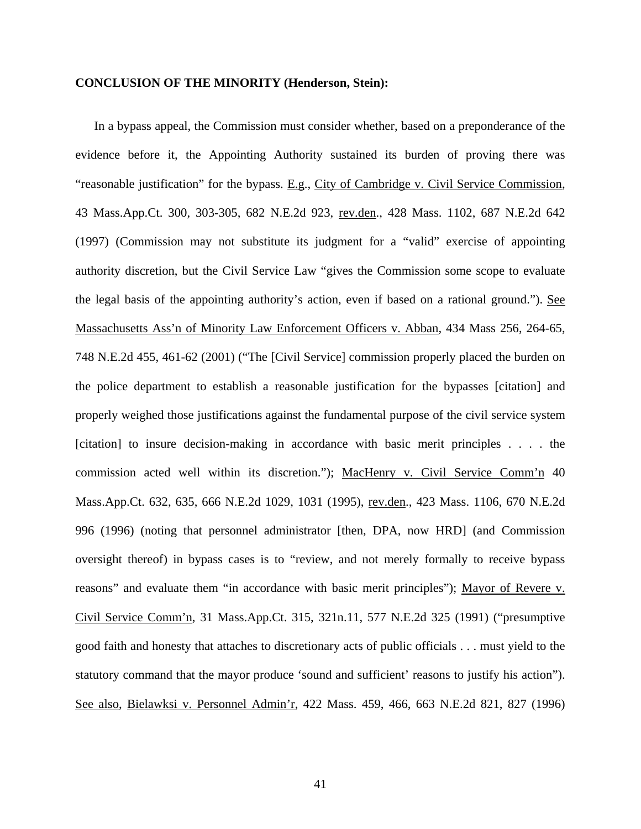#### **CONCLUSION OF THE MINORITY (Henderson, Stein):**

In a bypass appeal, the Commission must consider whether, based on a preponderance of the evidence before it, the Appointing Authority sustained its burden of proving there was "reasonable justification" for the bypass. E.g., City of Cambridge v. Civil Service Commission, 43 Mass.App.Ct. 300, 303-305, 682 N.E.2d 923, rev.den., 428 Mass. 1102, 687 N.E.2d 642 (1997) (Commission may not substitute its judgment for a "valid" exercise of appointing authority discretion, but the Civil Service Law "gives the Commission some scope to evaluate the legal basis of the appointing authority's action, even if based on a rational ground."). See Massachusetts Ass'n of Minority Law Enforcement Officers v. Abban, 434 Mass 256, 264-65, 748 N.E.2d 455, 461-62 (2001) ("The [Civil Service] commission properly placed the burden on the police department to establish a reasonable justification for the bypasses [citation] and properly weighed those justifications against the fundamental purpose of the civil service system [citation] to insure decision-making in accordance with basic merit principles . . . . the commission acted well within its discretion."); MacHenry v. Civil Service Comm'n 40 Mass.App.Ct. 632, 635, 666 N.E.2d 1029, 1031 (1995), rev.den., 423 Mass. 1106, 670 N.E.2d 996 (1996) (noting that personnel administrator [then, DPA, now HRD] (and Commission oversight thereof) in bypass cases is to "review, and not merely formally to receive bypass reasons" and evaluate them "in accordance with basic merit principles"); Mayor of Revere v. Civil Service Comm'n, 31 Mass.App.Ct. 315, 321n.11, 577 N.E.2d 325 (1991) ("presumptive good faith and honesty that attaches to discretionary acts of public officials . . . must yield to the statutory command that the mayor produce 'sound and sufficient' reasons to justify his action"). See also, Bielawksi v. Personnel Admin'r, 422 Mass. 459, 466, 663 N.E.2d 821, 827 (1996)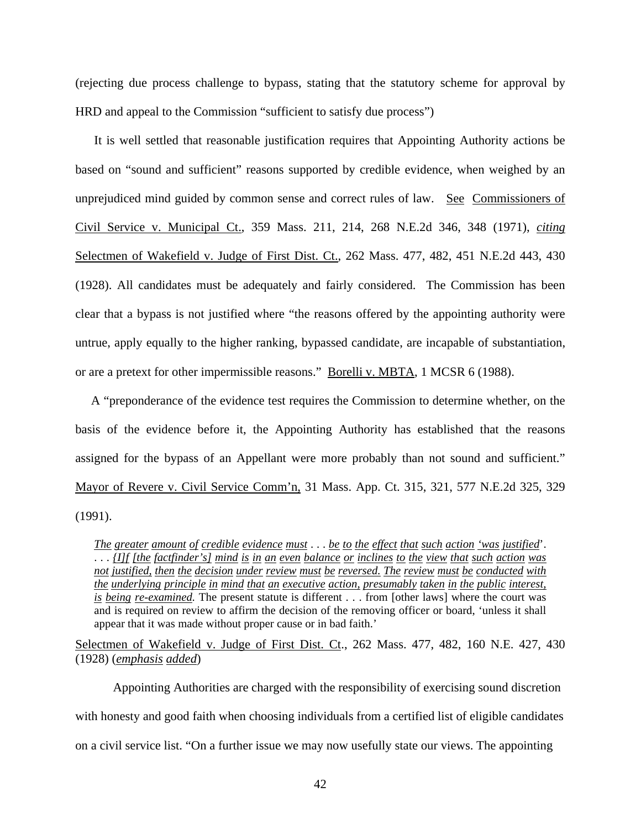(rejecting due process challenge to bypass, stating that the statutory scheme for approval by HRD and appeal to the Commission "sufficient to satisfy due process")

 It is well settled that reasonable justification requires that Appointing Authority actions be based on "sound and sufficient" reasons supported by credible evidence, when weighed by an unprejudiced mind guided by common sense and correct rules of law. See Commissioners of Civil Service v. Municipal Ct., 359 Mass. 211, 214, 268 N.E.2d 346, 348 (1971), *citing* Selectmen of Wakefield v. Judge of First Dist. Ct., 262 Mass. 477, 482, 451 N.E.2d 443, 430 (1928). All candidates must be adequately and fairly considered. The Commission has been clear that a bypass is not justified where "the reasons offered by the appointing authority were untrue, apply equally to the higher ranking, bypassed candidate, are incapable of substantiation, or are a pretext for other impermissible reasons." Borelli v. MBTA, 1 MCSR 6 (1988).

 A "preponderance of the evidence test requires the Commission to determine whether, on the basis of the evidence before it, the Appointing Authority has established that the reasons assigned for the bypass of an Appellant were more probably than not sound and sufficient." Mayor of Revere v. Civil Service Comm'n, 31 Mass. App. Ct. 315, 321, 577 N.E.2d 325, 329 (1991).

*The greater amount of credible evidence must*  $\cdots$  *be to the effect that such action 'was justified'*. . . . *{I]f [the factfinder's] mind is in an even balance or inclines to the view that such action was* --------------- - - -------- ------ --------------- not justified, then the decision under review must be reversed. The review must be conducted with<br>the underlying principle in mind that an executive action, presumably taken in the public interest. *the underlying principle in mind that an executive action, presumably taken in the public interest,*<br>the underlying principle in mind that an executive action, presumably taken in the public interest, *is being re-examined.* The present statute is different . . . from [other laws] where the court was in the present statute is different . . . from [other laws] where the court was and in previous on province of the removi and is required on review to affirm the decision of the removing officer or board, 'unless it shall appear that it was made without proper cause or in bad faith.'

Selectmen of Wakefield v. Judge of First Dist. Ct., 262 Mass. 477, 482, 160 N.E. 427, 430 (1928) (*emphasis added*)

Appointing Authorities are charged with the responsibility of exercising sound discretion with honesty and good faith when choosing individuals from a certified list of eligible candidates on a civil service list. "On a further issue we may now usefully state our views. The appointing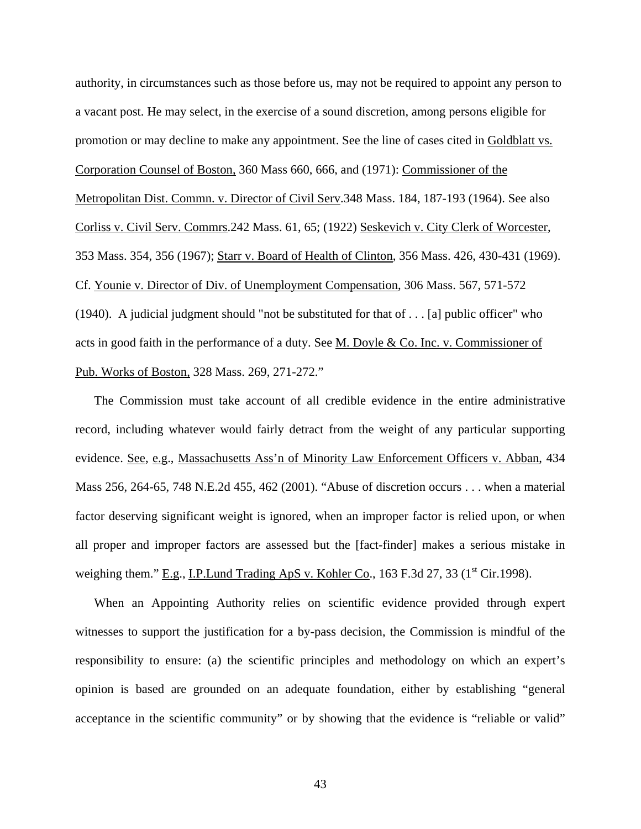authority, in circumstances such as those before us, may not be required to appoint any person to a vacant post. He may select, in the exercise of a sound discretion, among persons eligible for promotion or may decline to make any appointment. See the line of cases cited in Goldblatt vs. Corporation Counsel of Boston, 360 Mass 660, 666, and (1971): Commissioner of the Metropolitan Dist. Commn. v. Director of Civil Serv.348 Mass. 184, 187-193 (1964). See also Corliss v. Civil Serv. Commrs.242 Mass. 61, 65; (1922) Seskevich v. City Clerk of Worcester, 353 Mass. 354, 356 (1967); Starr v. Board of Health of Clinton, 356 Mass. 426, 430-431 (1969). Cf. Younie v. Director of Div. of Unemployment Compensation, 306 Mass. 567, 571-572 (1940). A judicial judgment should "not be substituted for that of . . . [a] public officer" who acts in good faith in the performance of a duty. See M. Doyle & Co. Inc. v. Commissioner of Pub. Works of Boston, 328 Mass. 269, 271-272."

The Commission must take account of all credible evidence in the entire administrative record, including whatever would fairly detract from the weight of any particular supporting evidence. See, e.g., Massachusetts Ass'n of Minority Law Enforcement Officers v. Abban, 434 Mass 256, 264-65, 748 N.E.2d 455, 462 (2001). "Abuse of discretion occurs . . . when a material factor deserving significant weight is ignored, when an improper factor is relied upon, or when all proper and improper factors are assessed but the [fact-finder] makes a serious mistake in weighing them." E.g., I.P. Lund Trading ApS v. Kohler Co., 163 F.3d 27, 33 (1<sup>st</sup> Cir.1998).

When an Appointing Authority relies on scientific evidence provided through expert witnesses to support the justification for a by-pass decision, the Commission is mindful of the responsibility to ensure: (a) the scientific principles and methodology on which an expert's opinion is based are grounded on an adequate foundation, either by establishing "general acceptance in the scientific community" or by showing that the evidence is "reliable or valid"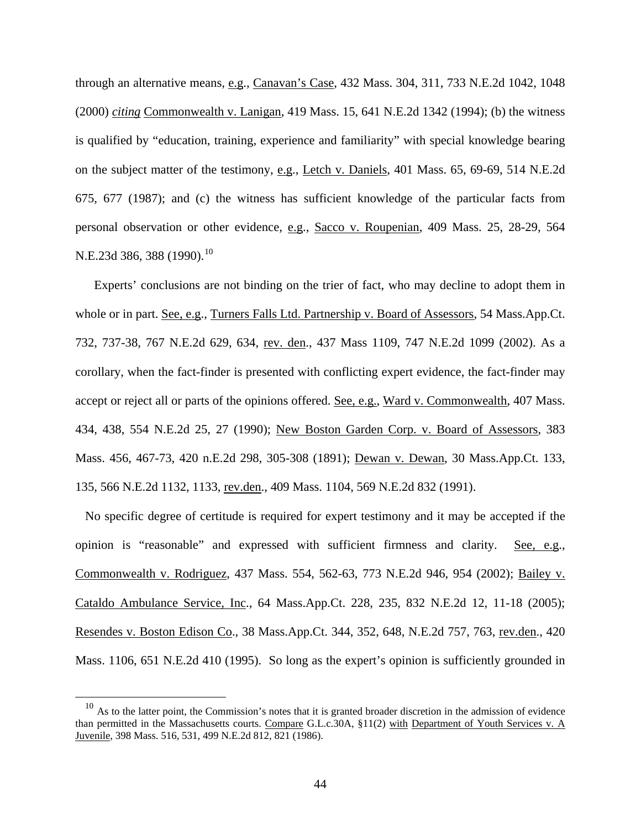through an alternative means, e.g., Canavan's Case, 432 Mass. 304, 311, 733 N.E.2d 1042, 1048 (2000) *citing* Commonwealth v. Lanigan, 419 Mass. 15, 641 N.E.2d 1342 (1994); (b) the witness is qualified by "education, training, experience and familiarity" with special knowledge bearing on the subject matter of the testimony, e.g., Letch v. Daniels, 401 Mass. 65, 69-69, 514 N.E.2d 675, 677 (1987); and (c) the witness has sufficient knowledge of the particular facts from personal observation or other evidence, e.g., Sacco v. Roupenian, 409 Mass. 25, 28-29, 564 N.E.23d 386, 388 (1990).<sup>[10](#page-43-0)</sup>

Experts' conclusions are not binding on the trier of fact, who may decline to adopt them in whole or in part. See, e.g., Turners Falls Ltd. Partnership v. Board of Assessors, 54 Mass.App.Ct. 732, 737-38, 767 N.E.2d 629, 634, rev. den., 437 Mass 1109, 747 N.E.2d 1099 (2002). As a corollary, when the fact-finder is presented with conflicting expert evidence, the fact-finder may accept or reject all or parts of the opinions offered. See, e.g., Ward v. Commonwealth, 407 Mass. 434, 438, 554 N.E.2d 25, 27 (1990); New Boston Garden Corp. v. Board of Assessors, 383 Mass. 456, 467-73, 420 n.E.2d 298, 305-308 (1891); Dewan v. Dewan, 30 Mass.App.Ct. 133, 135, 566 N.E.2d 1132, 1133, rev.den., 409 Mass. 1104, 569 N.E.2d 832 (1991).

No specific degree of certitude is required for expert testimony and it may be accepted if the opinion is "reasonable" and expressed with sufficient firmness and clarity. See, e.g., Commonwealth v. Rodriguez, 437 Mass. 554, 562-63, 773 N.E.2d 946, 954 (2002); Bailey v. Cataldo Ambulance Service, Inc., 64 Mass.App.Ct. 228, 235, 832 N.E.2d 12, 11-18 (2005); Resendes v. Boston Edison Co., 38 Mass.App.Ct. 344, 352, 648, N.E.2d 757, 763, rev.den., 420 Mass. 1106, 651 N.E.2d 410 (1995). So long as the expert's opinion is sufficiently grounded in

<span id="page-43-0"></span> $10$  As to the latter point, the Commission's notes that it is granted broader discretion in the admission of evidence than permitted in the Massachusetts courts. Compare G.L.c.30A, §11(2) with Department of Youth Services v. A Juvenile, 398 Mass. 516, 531, 499 N.E.2d 812, 821 (1986).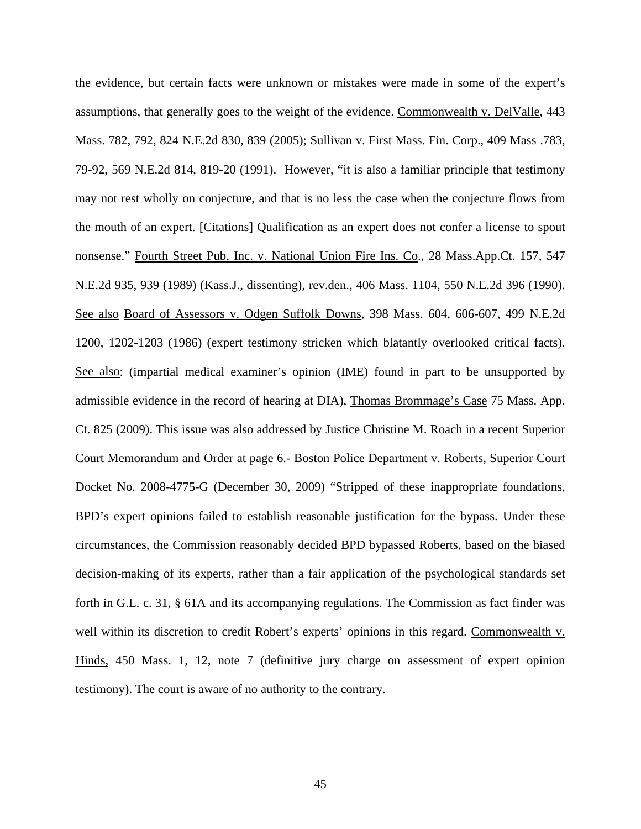the evidence, but certain facts were unknown or mistakes were made in some of the expert's assumptions, that generally goes to the weight of the evidence. Commonwealth v. DelValle, 443 Mass. 782, 792, 824 N.E.2d 830, 839 (2005); Sullivan v. First Mass. Fin. Corp., 409 Mass .783, 79-92, 569 N.E.2d 814, 819-20 (1991). However, "it is also a familiar principle that testimony may not rest wholly on conjecture, and that is no less the case when the conjecture flows from the mouth of an expert. [Citations] Qualification as an expert does not confer a license to spout nonsense." Fourth Street Pub, Inc. v. National Union Fire Ins. Co., 28 Mass.App.Ct. 157, 547 N.E.2d 935, 939 (1989) (Kass.J., dissenting), rev.den., 406 Mass. 1104, 550 N.E.2d 396 (1990). See also Board of Assessors v. Odgen Suffolk Downs, 398 Mass. 604, 606-607, 499 N.E.2d 1200, 1202-1203 (1986) (expert testimony stricken which blatantly overlooked critical facts). See also: (impartial medical examiner's opinion (IME) found in part to be unsupported by admissible evidence in the record of hearing at DIA), Thomas Brommage's Case 75 Mass. App. Ct. 825 (2009). This issue was also addressed by Justice Christine M. Roach in a recent Superior Court Memorandum and Order at page 6.- Boston Police Department v. Roberts, Superior Court Docket No. 2008-4775-G (December 30, 2009) "Stripped of these inappropriate foundations, BPD's expert opinions failed to establish reasonable justification for the bypass. Under these circumstances, the Commission reasonably decided BPD bypassed Roberts, based on the biased decision-making of its experts, rather than a fair application of the psychological standards set forth in G.L. c. 31, § 61A and its accompanying regulations. The Commission as fact finder was well within its discretion to credit Robert's experts' opinions in this regard. Commonwealth v. Hinds, 450 Mass. 1, 12, note 7 (definitive jury charge on assessment of expert opinion testimony). The court is aware of no authority to the contrary.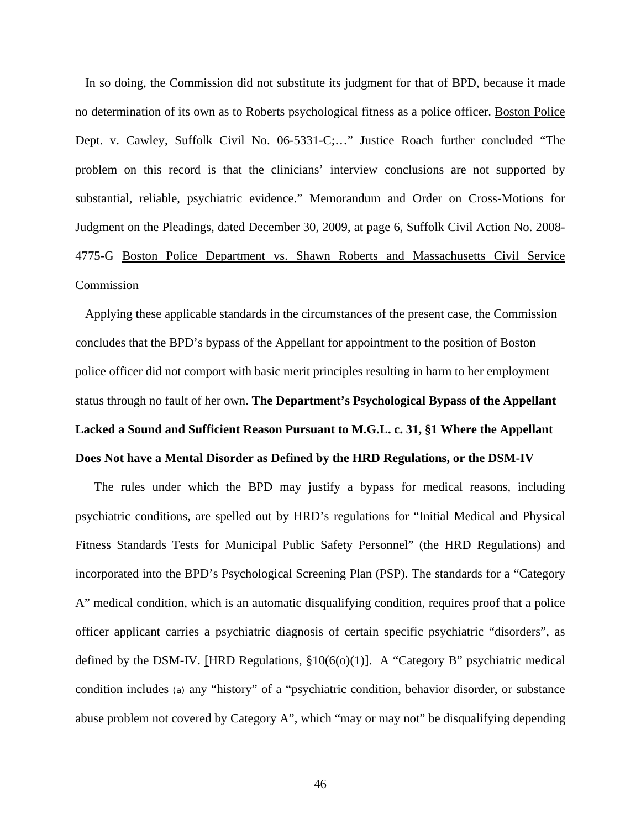In so doing, the Commission did not substitute its judgment for that of BPD, because it made no determination of its own as to Roberts psychological fitness as a police officer. Boston Police Dept. v. Cawley, Suffolk Civil No. 06-5331-C;…" Justice Roach further concluded "The problem on this record is that the clinicians' interview conclusions are not supported by substantial, reliable, psychiatric evidence." Memorandum and Order on Cross-Motions for Judgment on the Pleadings, dated December 30, 2009, at page 6, Suffolk Civil Action No. 2008- 4775-G Boston Police Department vs. Shawn Roberts and Massachusetts Civil Service Commission

Applying these applicable standards in the circumstances of the present case, the Commission concludes that the BPD's bypass of the Appellant for appointment to the position of Boston police officer did not comport with basic merit principles resulting in harm to her employment status through no fault of her own. **The Department's Psychological Bypass of the Appellant Lacked a Sound and Sufficient Reason Pursuant to M.G.L. c. 31, §1 Where the Appellant Does Not have a Mental Disorder as Defined by the HRD Regulations, or the DSM-IV**

The rules under which the BPD may justify a bypass for medical reasons, including psychiatric conditions, are spelled out by HRD's regulations for "Initial Medical and Physical Fitness Standards Tests for Municipal Public Safety Personnel" (the HRD Regulations) and incorporated into the BPD's Psychological Screening Plan (PSP). The standards for a "Category A" medical condition, which is an automatic disqualifying condition, requires proof that a police officer applicant carries a psychiatric diagnosis of certain specific psychiatric "disorders", as defined by the DSM-IV. [HRD Regulations,  $$10(6(0)(1)]$ . A "Category B" psychiatric medical condition includes (a) any "history" of a "psychiatric condition, behavior disorder, or substance abuse problem not covered by Category A", which "may or may not" be disqualifying depending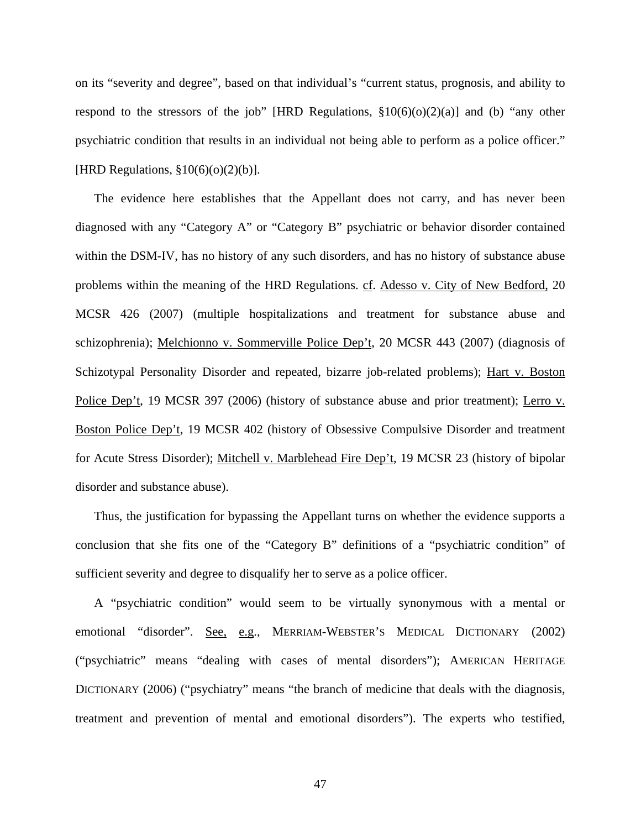on its "severity and degree", based on that individual's "current status, prognosis, and ability to respond to the stressors of the job" [HRD Regulations,  $\S10(6)(0)(2)(a)$ ] and (b) "any other psychiatric condition that results in an individual not being able to perform as a police officer." [HRD Regulations, §10(6)(o)(2)(b)].

The evidence here establishes that the Appellant does not carry, and has never been diagnosed with any "Category A" or "Category B" psychiatric or behavior disorder contained within the DSM-IV, has no history of any such disorders, and has no history of substance abuse problems within the meaning of the HRD Regulations. cf. Adesso v. City of New Bedford, 20 MCSR 426 (2007) (multiple hospitalizations and treatment for substance abuse and schizophrenia); Melchionno v. Sommerville Police Dep't, 20 MCSR 443 (2007) (diagnosis of Schizotypal Personality Disorder and repeated, bizarre job-related problems); Hart v. Boston Police Dep't, 19 MCSR 397 (2006) (history of substance abuse and prior treatment); Lerro v. Boston Police Dep't, 19 MCSR 402 (history of Obsessive Compulsive Disorder and treatment for Acute Stress Disorder); Mitchell v. Marblehead Fire Dep't, 19 MCSR 23 (history of bipolar disorder and substance abuse).

Thus, the justification for bypassing the Appellant turns on whether the evidence supports a conclusion that she fits one of the "Category B" definitions of a "psychiatric condition" of sufficient severity and degree to disqualify her to serve as a police officer.

A "psychiatric condition" would seem to be virtually synonymous with a mental or emotional "disorder". See, e.g., MERRIAM-WEBSTER'S MEDICAL DICTIONARY (2002) ("psychiatric" means "dealing with cases of mental disorders"); AMERICAN HERITAGE DICTIONARY (2006) ("psychiatry" means "the branch of medicine that deals with the diagnosis, treatment and prevention of mental and emotional disorders"). The experts who testified,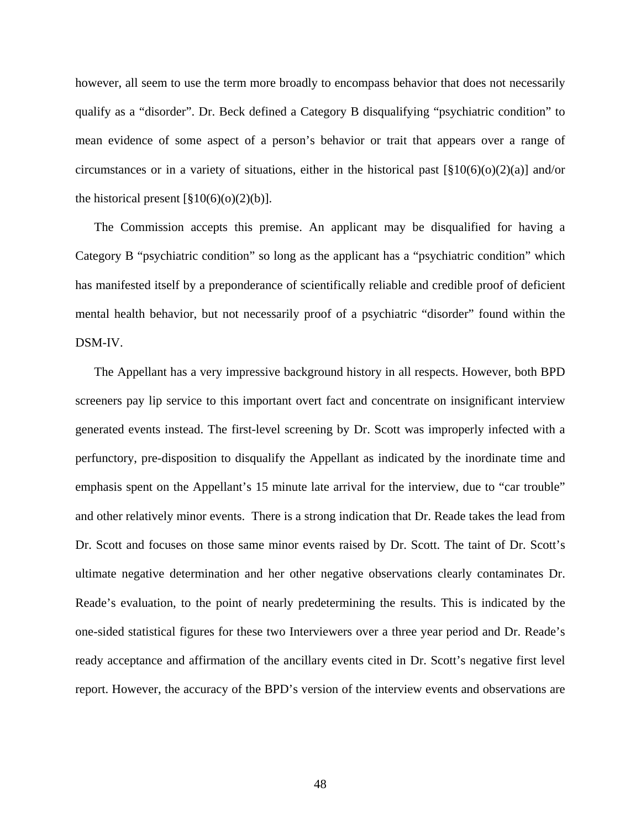however, all seem to use the term more broadly to encompass behavior that does not necessarily qualify as a "disorder". Dr. Beck defined a Category B disqualifying "psychiatric condition" to mean evidence of some aspect of a person's behavior or trait that appears over a range of circumstances or in a variety of situations, either in the historical past  $\left[\frac{810(6)(0)(2)(a)}{2}\right]$  and/or the historical present  $\lceil \frac{8}{9} \cdot 10(6)(0)(2)(b) \rceil$ .

The Commission accepts this premise. An applicant may be disqualified for having a Category B "psychiatric condition" so long as the applicant has a "psychiatric condition" which has manifested itself by a preponderance of scientifically reliable and credible proof of deficient mental health behavior, but not necessarily proof of a psychiatric "disorder" found within the DSM-IV.

The Appellant has a very impressive background history in all respects. However, both BPD screeners pay lip service to this important overt fact and concentrate on insignificant interview generated events instead. The first-level screening by Dr. Scott was improperly infected with a perfunctory, pre-disposition to disqualify the Appellant as indicated by the inordinate time and emphasis spent on the Appellant's 15 minute late arrival for the interview, due to "car trouble" and other relatively minor events. There is a strong indication that Dr. Reade takes the lead from Dr. Scott and focuses on those same minor events raised by Dr. Scott. The taint of Dr. Scott's ultimate negative determination and her other negative observations clearly contaminates Dr. Reade's evaluation, to the point of nearly predetermining the results. This is indicated by the one-sided statistical figures for these two Interviewers over a three year period and Dr. Reade's ready acceptance and affirmation of the ancillary events cited in Dr. Scott's negative first level report. However, the accuracy of the BPD's version of the interview events and observations are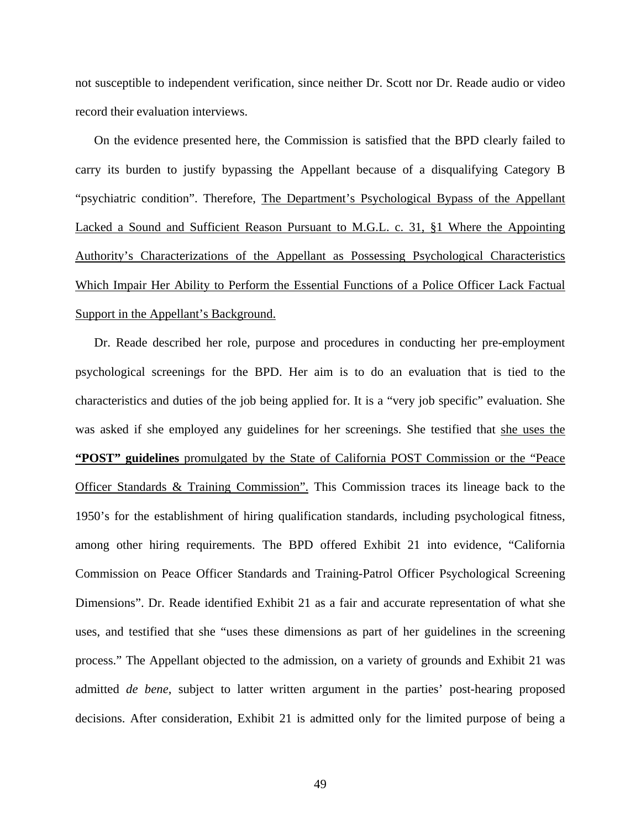not susceptible to independent verification, since neither Dr. Scott nor Dr. Reade audio or video record their evaluation interviews.

On the evidence presented here, the Commission is satisfied that the BPD clearly failed to carry its burden to justify bypassing the Appellant because of a disqualifying Category B "psychiatric condition". Therefore, The Department's Psychological Bypass of the Appellant Lacked a Sound and Sufficient Reason Pursuant to M.G.L. c. 31, §1 Where the Appointing Authority's Characterizations of the Appellant as Possessing Psychological Characteristics Which Impair Her Ability to Perform the Essential Functions of a Police Officer Lack Factual Support in the Appellant's Background.

Dr. Reade described her role, purpose and procedures in conducting her pre-employment psychological screenings for the BPD. Her aim is to do an evaluation that is tied to the characteristics and duties of the job being applied for. It is a "very job specific" evaluation. She was asked if she employed any guidelines for her screenings. She testified that she uses the **"POST" guidelines** promulgated by the State of California POST Commission or the "Peace Officer Standards & Training Commission". This Commission traces its lineage back to the 1950's for the establishment of hiring qualification standards, including psychological fitness, among other hiring requirements. The BPD offered Exhibit 21 into evidence, "California Commission on Peace Officer Standards and Training-Patrol Officer Psychological Screening Dimensions". Dr. Reade identified Exhibit 21 as a fair and accurate representation of what she uses, and testified that she "uses these dimensions as part of her guidelines in the screening process." The Appellant objected to the admission, on a variety of grounds and Exhibit 21 was admitted *de bene*, subject to latter written argument in the parties' post-hearing proposed decisions. After consideration, Exhibit 21 is admitted only for the limited purpose of being a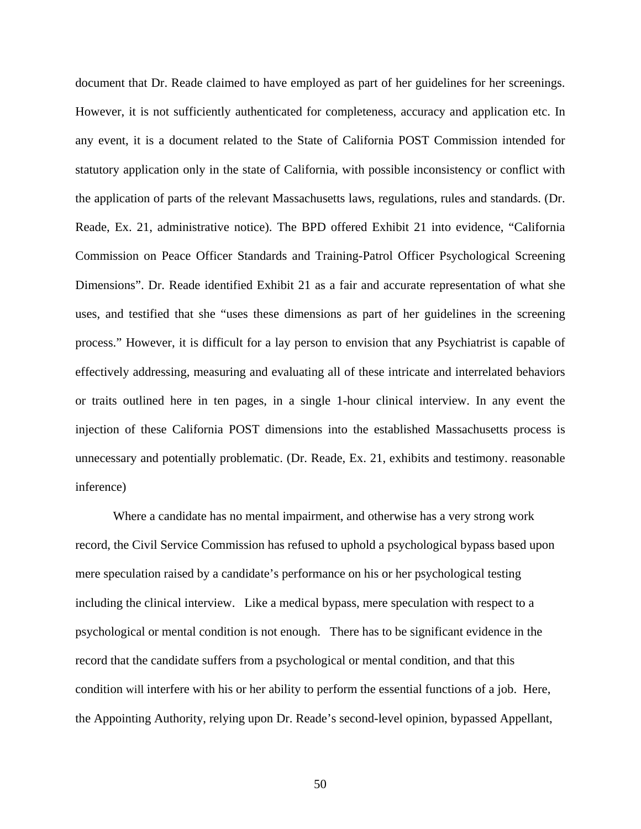document that Dr. Reade claimed to have employed as part of her guidelines for her screenings. However, it is not sufficiently authenticated for completeness, accuracy and application etc. In any event, it is a document related to the State of California POST Commission intended for statutory application only in the state of California, with possible inconsistency or conflict with the application of parts of the relevant Massachusetts laws, regulations, rules and standards. (Dr. Reade, Ex. 21, administrative notice). The BPD offered Exhibit 21 into evidence, "California Commission on Peace Officer Standards and Training-Patrol Officer Psychological Screening Dimensions". Dr. Reade identified Exhibit 21 as a fair and accurate representation of what she uses, and testified that she "uses these dimensions as part of her guidelines in the screening process." However, it is difficult for a lay person to envision that any Psychiatrist is capable of effectively addressing, measuring and evaluating all of these intricate and interrelated behaviors or traits outlined here in ten pages, in a single 1-hour clinical interview. In any event the injection of these California POST dimensions into the established Massachusetts process is unnecessary and potentially problematic. (Dr. Reade, Ex. 21, exhibits and testimony. reasonable inference)

 Where a candidate has no mental impairment, and otherwise has a very strong work record, the Civil Service Commission has refused to uphold a psychological bypass based upon mere speculation raised by a candidate's performance on his or her psychological testing including the clinical interview. Like a medical bypass, mere speculation with respect to a psychological or mental condition is not enough. There has to be significant evidence in the record that the candidate suffers from a psychological or mental condition, and that this condition will interfere with his or her ability to perform the essential functions of a job. Here, the Appointing Authority, relying upon Dr. Reade's second-level opinion, bypassed Appellant,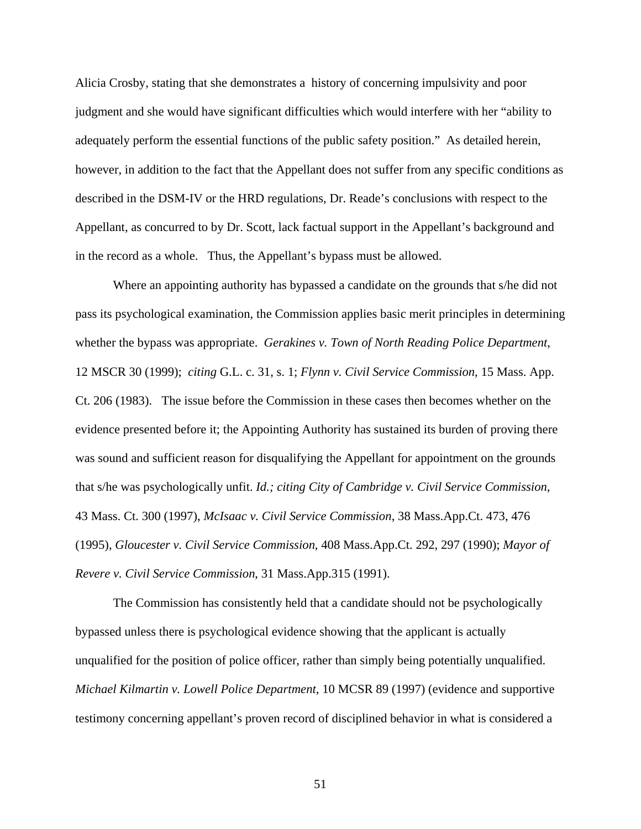Alicia Crosby, stating that she demonstrates a history of concerning impulsivity and poor judgment and she would have significant difficulties which would interfere with her "ability to adequately perform the essential functions of the public safety position." As detailed herein, however, in addition to the fact that the Appellant does not suffer from any specific conditions as described in the DSM-IV or the HRD regulations, Dr. Reade's conclusions with respect to the Appellant, as concurred to by Dr. Scott, lack factual support in the Appellant's background and in the record as a whole. Thus, the Appellant's bypass must be allowed.

Where an appointing authority has bypassed a candidate on the grounds that s/he did not pass its psychological examination, the Commission applies basic merit principles in determining whether the bypass was appropriate. *Gerakines v. Town of North Reading Police Department*, 12 MSCR 30 (1999); *citing* G.L. c. 31, s. 1; *Flynn v. Civil Service Commission*, 15 Mass. App. Ct. 206 (1983). The issue before the Commission in these cases then becomes whether on the evidence presented before it; the Appointing Authority has sustained its burden of proving there was sound and sufficient reason for disqualifying the Appellant for appointment on the grounds that s/he was psychologically unfit. *Id.; citing City of Cambridge v. Civil Service Commission*, 43 Mass. Ct. 300 (1997), *McIsaac v. Civil Service Commission*, 38 Mass.App.Ct. 473, 476 (1995), *Gloucester v. Civil Service Commission*, 408 Mass.App.Ct. 292, 297 (1990); *Mayor of Revere v. Civil Service Commission*, 31 Mass.App.315 (1991).

The Commission has consistently held that a candidate should not be psychologically bypassed unless there is psychological evidence showing that the applicant is actually unqualified for the position of police officer, rather than simply being potentially unqualified. *Michael Kilmartin v. Lowell Police Department*, 10 MCSR 89 (1997) (evidence and supportive testimony concerning appellant's proven record of disciplined behavior in what is considered a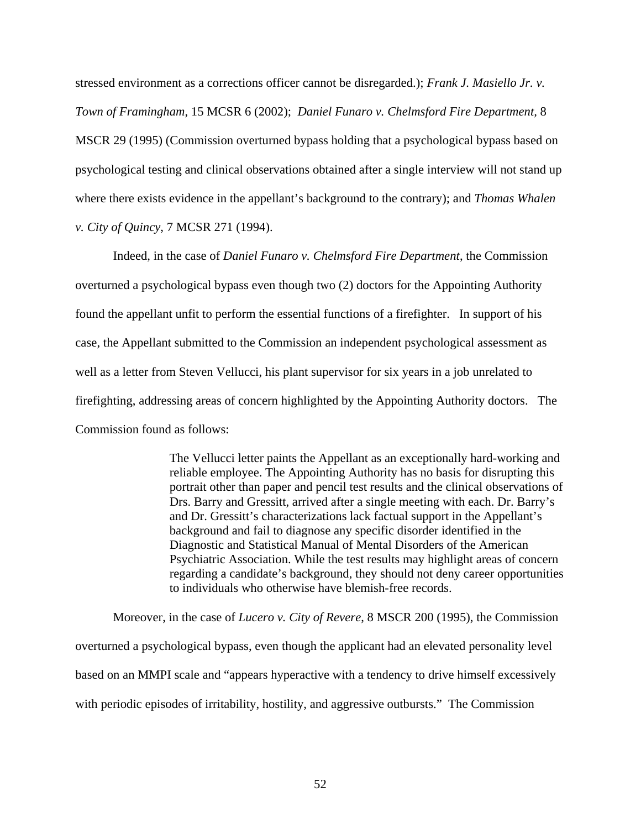stressed environment as a corrections officer cannot be disregarded.); *Frank J. Masiello Jr. v. Town of Framingham*, 15 MCSR 6 (2002); *Daniel Funaro v. Chelmsford Fire Department,* 8 MSCR 29 (1995) (Commission overturned bypass holding that a psychological bypass based on psychological testing and clinical observations obtained after a single interview will not stand up where there exists evidence in the appellant's background to the contrary); and *Thomas Whalen v. City of Quincy*, 7 MCSR 271 (1994).

Indeed, in the case of *Daniel Funaro v. Chelmsford Fire Department*, the Commission overturned a psychological bypass even though two (2) doctors for the Appointing Authority found the appellant unfit to perform the essential functions of a firefighter. In support of his case, the Appellant submitted to the Commission an independent psychological assessment as well as a letter from Steven Vellucci, his plant supervisor for six years in a job unrelated to firefighting, addressing areas of concern highlighted by the Appointing Authority doctors. The Commission found as follows:

> The Vellucci letter paints the Appellant as an exceptionally hard-working and reliable employee. The Appointing Authority has no basis for disrupting this portrait other than paper and pencil test results and the clinical observations of Drs. Barry and Gressitt, arrived after a single meeting with each. Dr. Barry's and Dr. Gressitt's characterizations lack factual support in the Appellant's background and fail to diagnose any specific disorder identified in the Diagnostic and Statistical Manual of Mental Disorders of the American Psychiatric Association. While the test results may highlight areas of concern regarding a candidate's background, they should not deny career opportunities to individuals who otherwise have blemish-free records.

Moreover, in the case of *Lucero v. City of Revere*, 8 MSCR 200 (1995), the Commission overturned a psychological bypass, even though the applicant had an elevated personality level based on an MMPI scale and "appears hyperactive with a tendency to drive himself excessively with periodic episodes of irritability, hostility, and aggressive outbursts." The Commission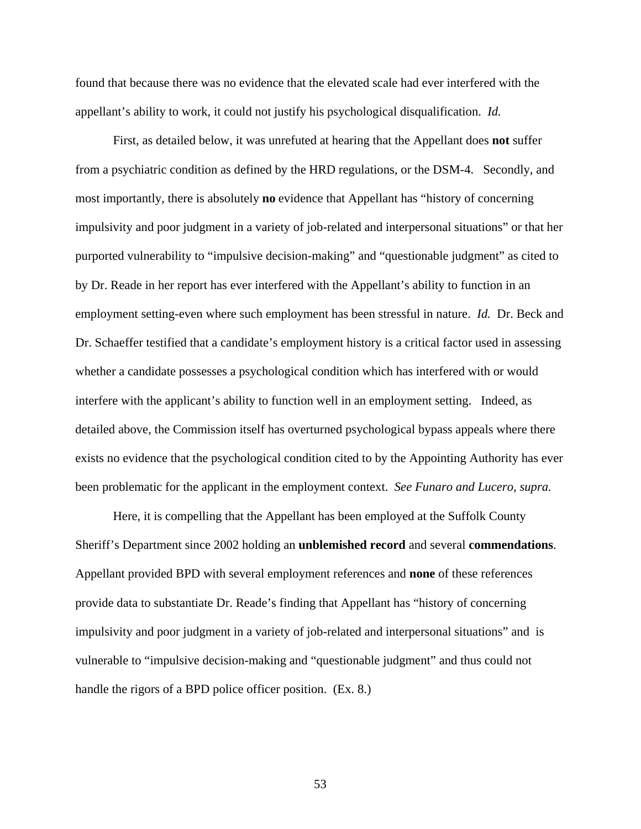found that because there was no evidence that the elevated scale had ever interfered with the appellant's ability to work, it could not justify his psychological disqualification. *Id.*

First, as detailed below, it was unrefuted at hearing that the Appellant does **not** suffer from a psychiatric condition as defined by the HRD regulations, or the DSM-4. Secondly, and most importantly, there is absolutely **no** evidence that Appellant has "history of concerning impulsivity and poor judgment in a variety of job-related and interpersonal situations" or that her purported vulnerability to "impulsive decision-making" and "questionable judgment" as cited to by Dr. Reade in her report has ever interfered with the Appellant's ability to function in an employment setting-even where such employment has been stressful in nature. *Id.* Dr. Beck and Dr. Schaeffer testified that a candidate's employment history is a critical factor used in assessing whether a candidate possesses a psychological condition which has interfered with or would interfere with the applicant's ability to function well in an employment setting. Indeed, as detailed above, the Commission itself has overturned psychological bypass appeals where there exists no evidence that the psychological condition cited to by the Appointing Authority has ever been problematic for the applicant in the employment context. *See Funaro and Lucero, supra.*

Here, it is compelling that the Appellant has been employed at the Suffolk County Sheriff's Department since 2002 holding an **unblemished record** and several **commendations**. Appellant provided BPD with several employment references and **none** of these references provide data to substantiate Dr. Reade's finding that Appellant has "history of concerning impulsivity and poor judgment in a variety of job-related and interpersonal situations" and is vulnerable to "impulsive decision-making and "questionable judgment" and thus could not handle the rigors of a BPD police officer position. (Ex. 8.)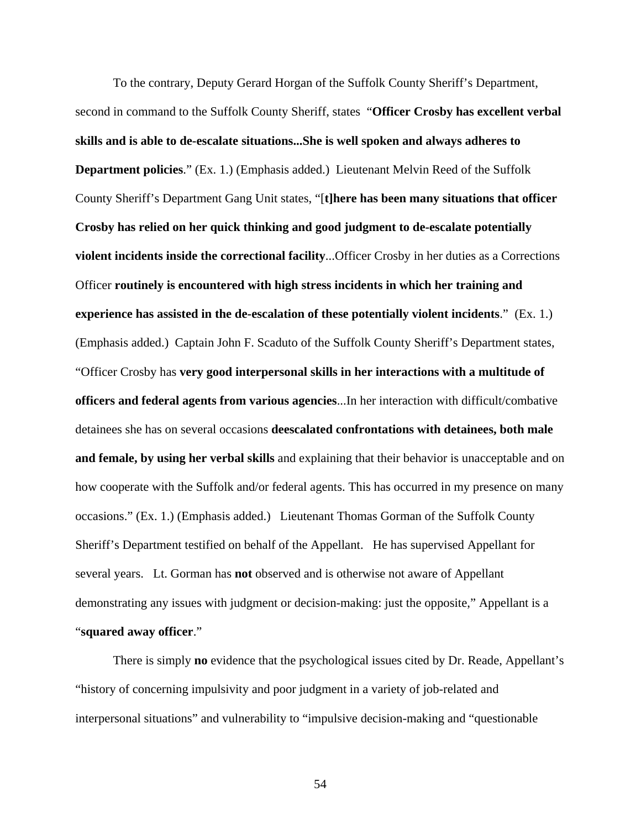To the contrary, Deputy Gerard Horgan of the Suffolk County Sheriff's Department, second in command to the Suffolk County Sheriff, states "**Officer Crosby has excellent verbal skills and is able to de-escalate situations...She is well spoken and always adheres to Department policies**." (Ex. 1.) (Emphasis added.) Lieutenant Melvin Reed of the Suffolk County Sheriff's Department Gang Unit states, "[**t]here has been many situations that officer Crosby has relied on her quick thinking and good judgment to de-escalate potentially violent incidents inside the correctional facility**...Officer Crosby in her duties as a Corrections Officer **routinely is encountered with high stress incidents in which her training and experience has assisted in the de-escalation of these potentially violent incidents**." (Ex. 1.) (Emphasis added.) Captain John F. Scaduto of the Suffolk County Sheriff's Department states, "Officer Crosby has **very good interpersonal skills in her interactions with a multitude of officers and federal agents from various agencies**...In her interaction with difficult/combative detainees she has on several occasions **deescalated confrontations with detainees, both male and female, by using her verbal skills** and explaining that their behavior is unacceptable and on how cooperate with the Suffolk and/or federal agents. This has occurred in my presence on many occasions." (Ex. 1.) (Emphasis added.) Lieutenant Thomas Gorman of the Suffolk County Sheriff's Department testified on behalf of the Appellant. He has supervised Appellant for several years. Lt. Gorman has **not** observed and is otherwise not aware of Appellant demonstrating any issues with judgment or decision-making: just the opposite," Appellant is a "**squared away officer**."

There is simply **no** evidence that the psychological issues cited by Dr. Reade, Appellant's "history of concerning impulsivity and poor judgment in a variety of job-related and interpersonal situations" and vulnerability to "impulsive decision-making and "questionable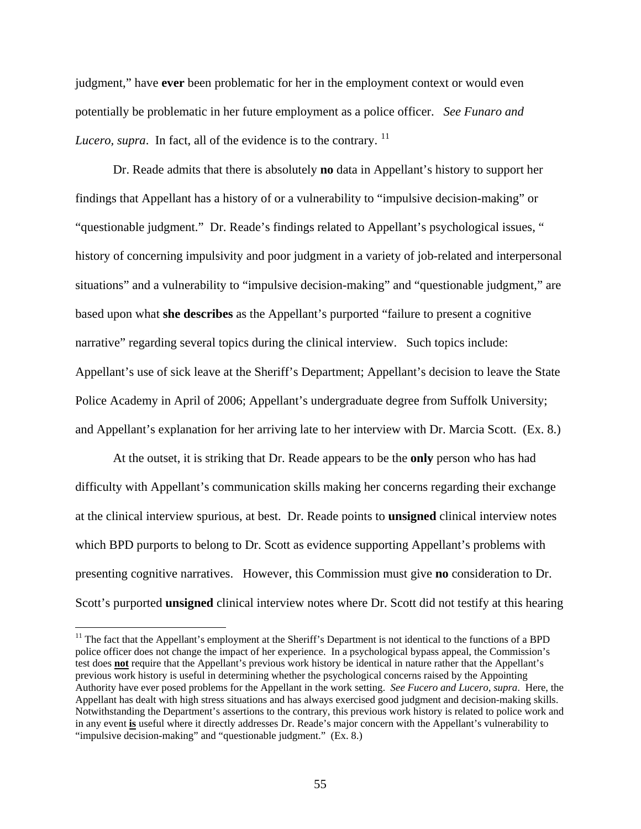judgment," have **ever** been problematic for her in the employment context or would even potentially be problematic in her future employment as a police officer. *See Funaro and Lucero, supra.* In fact, all of the evidence is to the contrary.  $^{11}$  $^{11}$  $^{11}$ 

Dr. Reade admits that there is absolutely **no** data in Appellant's history to support her findings that Appellant has a history of or a vulnerability to "impulsive decision-making" or "questionable judgment." Dr. Reade's findings related to Appellant's psychological issues, " history of concerning impulsivity and poor judgment in a variety of job-related and interpersonal situations" and a vulnerability to "impulsive decision-making" and "questionable judgment," are based upon what **she describes** as the Appellant's purported "failure to present a cognitive narrative" regarding several topics during the clinical interview. Such topics include: Appellant's use of sick leave at the Sheriff's Department; Appellant's decision to leave the State Police Academy in April of 2006; Appellant's undergraduate degree from Suffolk University; and Appellant's explanation for her arriving late to her interview with Dr. Marcia Scott. (Ex. 8.)

At the outset, it is striking that Dr. Reade appears to be the **only** person who has had difficulty with Appellant's communication skills making her concerns regarding their exchange at the clinical interview spurious, at best. Dr. Reade points to **unsigned** clinical interview notes which BPD purports to belong to Dr. Scott as evidence supporting Appellant's problems with presenting cognitive narratives. However, this Commission must give **no** consideration to Dr. Scott's purported **unsigned** clinical interview notes where Dr. Scott did not testify at this hearing

 $\overline{a}$ 

<span id="page-54-0"></span> $11$  The fact that the Appellant's employment at the Sheriff's Department is not identical to the functions of a BPD police officer does not change the impact of her experience. In a psychological bypass appeal, the Commission's test does **not** require that the Appellant's previous work history be identical in nature rather that the Appellant's previous work history is useful in determining whether the psychological concerns raised by the Appointing Authority have ever posed problems for the Appellant in the work setting. *See Fucero and Lucero, supra*. Here, the Appellant has dealt with high stress situations and has always exercised good judgment and decision-making skills. Notwithstanding the Department's assertions to the contrary, this previous work history is related to police work and in any event **is** useful where it directly addresses Dr. Reade's major concern with the Appellant's vulnerability to "impulsive decision-making" and "questionable judgment." (Ex. 8.)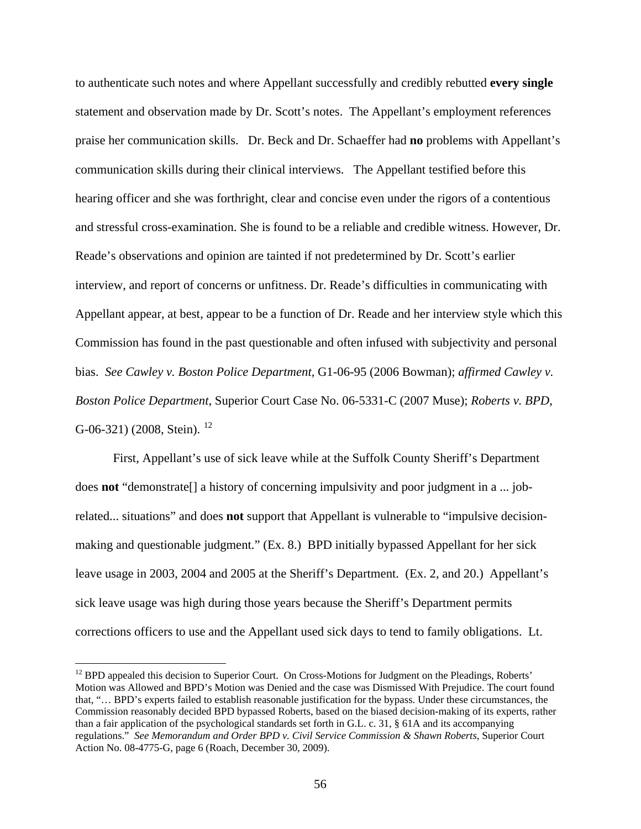to authenticate such notes and where Appellant successfully and credibly rebutted **every single** statement and observation made by Dr. Scott's notes. The Appellant's employment references praise her communication skills. Dr. Beck and Dr. Schaeffer had **no** problems with Appellant's communication skills during their clinical interviews. The Appellant testified before this hearing officer and she was forthright, clear and concise even under the rigors of a contentious and stressful cross-examination. She is found to be a reliable and credible witness. However, Dr. Reade's observations and opinion are tainted if not predetermined by Dr. Scott's earlier interview, and report of concerns or unfitness. Dr. Reade's difficulties in communicating with Appellant appear, at best, appear to be a function of Dr. Reade and her interview style which this Commission has found in the past questionable and often infused with subjectivity and personal bias. *See Cawley v. Boston Police Department,* G1-06-95 (2006 Bowman); *affirmed Cawley v. Boston Police Department*, Superior Court Case No. 06-5331-C (2007 Muse); *Roberts v. BPD*, G-06-321) (2008, Stein).  $^{12}$  $^{12}$  $^{12}$ 

 First, Appellant's use of sick leave while at the Suffolk County Sheriff's Department does **not** "demonstrate[] a history of concerning impulsivity and poor judgment in a ... jobrelated... situations" and does **not** support that Appellant is vulnerable to "impulsive decisionmaking and questionable judgment." (Ex. 8.) BPD initially bypassed Appellant for her sick leave usage in 2003, 2004 and 2005 at the Sheriff's Department. (Ex. 2, and 20.) Appellant's sick leave usage was high during those years because the Sheriff's Department permits corrections officers to use and the Appellant used sick days to tend to family obligations. Lt.

 $\overline{a}$ 

<span id="page-55-0"></span><sup>&</sup>lt;sup>12</sup> BPD appealed this decision to Superior Court. On Cross-Motions for Judgment on the Pleadings, Roberts' Motion was Allowed and BPD's Motion was Denied and the case was Dismissed With Prejudice. The court found that, "… BPD's experts failed to establish reasonable justification for the bypass. Under these circumstances, the Commission reasonably decided BPD bypassed Roberts, based on the biased decision-making of its experts, rather than a fair application of the psychological standards set forth in G.L. c. 31, § 61A and its accompanying regulations." *See Memorandum and Order BPD v. Civil Service Commission & Shawn Roberts*, Superior Court Action No. 08-4775-G, page 6 (Roach, December 30, 2009).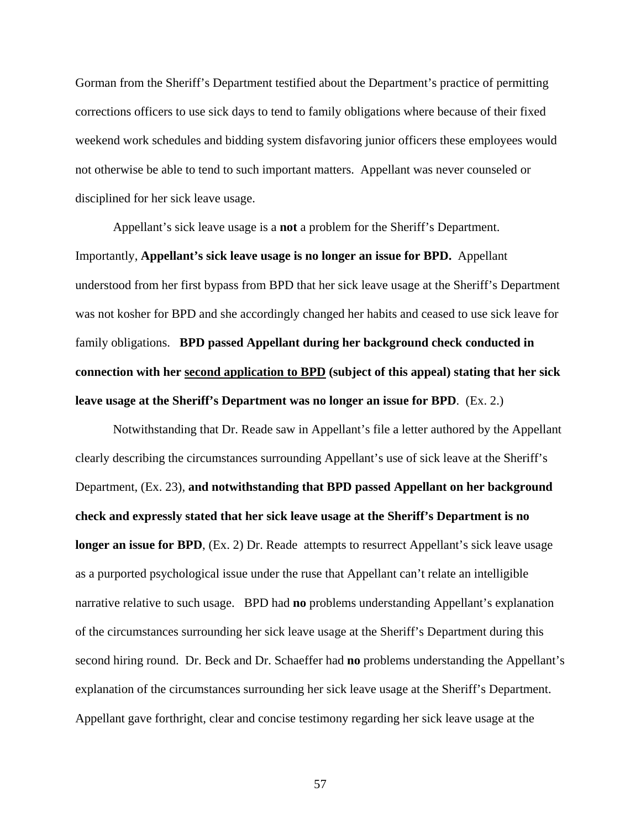Gorman from the Sheriff's Department testified about the Department's practice of permitting corrections officers to use sick days to tend to family obligations where because of their fixed weekend work schedules and bidding system disfavoring junior officers these employees would not otherwise be able to tend to such important matters. Appellant was never counseled or disciplined for her sick leave usage.

 Appellant's sick leave usage is a **not** a problem for the Sheriff's Department. Importantly, **Appellant's sick leave usage is no longer an issue for BPD.** Appellant understood from her first bypass from BPD that her sick leave usage at the Sheriff's Department was not kosher for BPD and she accordingly changed her habits and ceased to use sick leave for family obligations. **BPD passed Appellant during her background check conducted in connection with her second application to BPD (subject of this appeal) stating that her sick leave usage at the Sheriff's Department was no longer an issue for BPD**. (Ex. 2.)

 Notwithstanding that Dr. Reade saw in Appellant's file a letter authored by the Appellant clearly describing the circumstances surrounding Appellant's use of sick leave at the Sheriff's Department, (Ex. 23), **and notwithstanding that BPD passed Appellant on her background check and expressly stated that her sick leave usage at the Sheriff's Department is no longer an issue for BPD**, (Ex. 2) Dr. Reade attempts to resurrect Appellant's sick leave usage as a purported psychological issue under the ruse that Appellant can't relate an intelligible narrative relative to such usage. BPD had **no** problems understanding Appellant's explanation of the circumstances surrounding her sick leave usage at the Sheriff's Department during this second hiring round. Dr. Beck and Dr. Schaeffer had **no** problems understanding the Appellant's explanation of the circumstances surrounding her sick leave usage at the Sheriff's Department. Appellant gave forthright, clear and concise testimony regarding her sick leave usage at the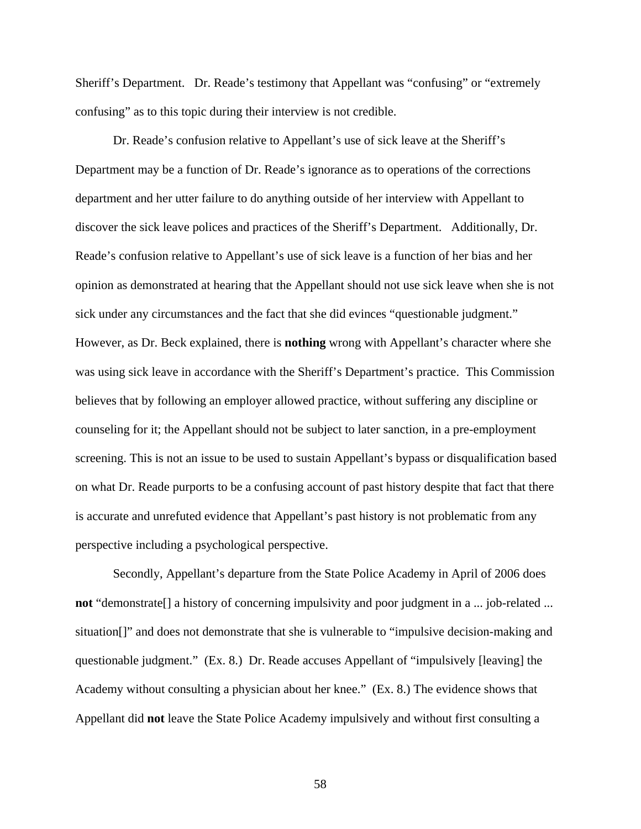Sheriff's Department. Dr. Reade's testimony that Appellant was "confusing" or "extremely confusing" as to this topic during their interview is not credible.

 Dr. Reade's confusion relative to Appellant's use of sick leave at the Sheriff's Department may be a function of Dr. Reade's ignorance as to operations of the corrections department and her utter failure to do anything outside of her interview with Appellant to discover the sick leave polices and practices of the Sheriff's Department. Additionally, Dr. Reade's confusion relative to Appellant's use of sick leave is a function of her bias and her opinion as demonstrated at hearing that the Appellant should not use sick leave when she is not sick under any circumstances and the fact that she did evinces "questionable judgment." However, as Dr. Beck explained, there is **nothing** wrong with Appellant's character where she was using sick leave in accordance with the Sheriff's Department's practice. This Commission believes that by following an employer allowed practice, without suffering any discipline or counseling for it; the Appellant should not be subject to later sanction, in a pre-employment screening. This is not an issue to be used to sustain Appellant's bypass or disqualification based on what Dr. Reade purports to be a confusing account of past history despite that fact that there is accurate and unrefuted evidence that Appellant's past history is not problematic from any perspective including a psychological perspective.

 Secondly, Appellant's departure from the State Police Academy in April of 2006 does **not** "demonstrate" a history of concerning impulsivity and poor judgment in a ... job-related ... situation[]" and does not demonstrate that she is vulnerable to "impulsive decision-making and questionable judgment." (Ex. 8.) Dr. Reade accuses Appellant of "impulsively [leaving] the Academy without consulting a physician about her knee." (Ex. 8.) The evidence shows that Appellant did **not** leave the State Police Academy impulsively and without first consulting a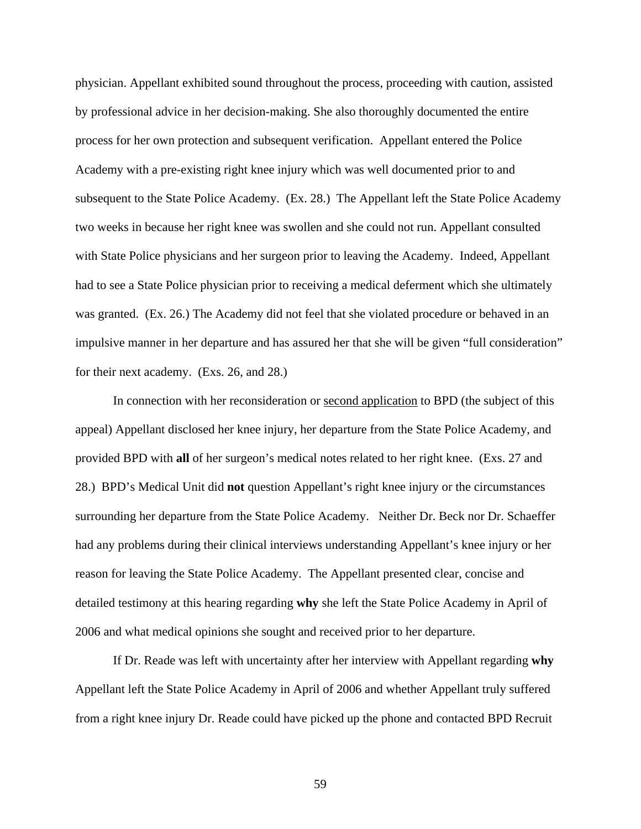physician. Appellant exhibited sound throughout the process, proceeding with caution, assisted by professional advice in her decision-making. She also thoroughly documented the entire process for her own protection and subsequent verification. Appellant entered the Police Academy with a pre-existing right knee injury which was well documented prior to and subsequent to the State Police Academy. (Ex. 28.) The Appellant left the State Police Academy two weeks in because her right knee was swollen and she could not run. Appellant consulted with State Police physicians and her surgeon prior to leaving the Academy. Indeed, Appellant had to see a State Police physician prior to receiving a medical deferment which she ultimately was granted. (Ex. 26.) The Academy did not feel that she violated procedure or behaved in an impulsive manner in her departure and has assured her that she will be given "full consideration" for their next academy. (Exs. 26, and 28.)

 In connection with her reconsideration or second application to BPD (the subject of this appeal) Appellant disclosed her knee injury, her departure from the State Police Academy, and provided BPD with **all** of her surgeon's medical notes related to her right knee. (Exs. 27 and 28.) BPD's Medical Unit did **not** question Appellant's right knee injury or the circumstances surrounding her departure from the State Police Academy. Neither Dr. Beck nor Dr. Schaeffer had any problems during their clinical interviews understanding Appellant's knee injury or her reason for leaving the State Police Academy. The Appellant presented clear, concise and detailed testimony at this hearing regarding **why** she left the State Police Academy in April of 2006 and what medical opinions she sought and received prior to her departure.

 If Dr. Reade was left with uncertainty after her interview with Appellant regarding **why** Appellant left the State Police Academy in April of 2006 and whether Appellant truly suffered from a right knee injury Dr. Reade could have picked up the phone and contacted BPD Recruit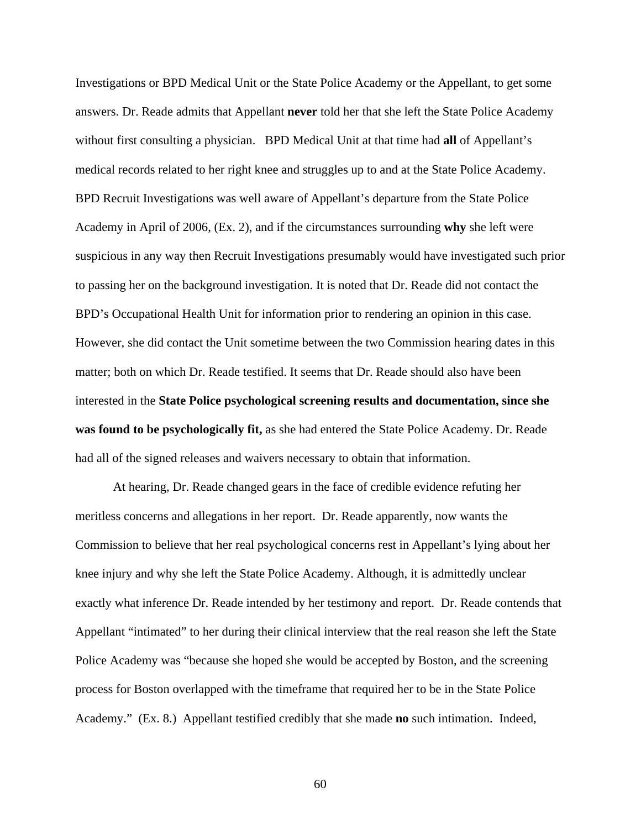Investigations or BPD Medical Unit or the State Police Academy or the Appellant, to get some answers. Dr. Reade admits that Appellant **never** told her that she left the State Police Academy without first consulting a physician. BPD Medical Unit at that time had **all** of Appellant's medical records related to her right knee and struggles up to and at the State Police Academy. BPD Recruit Investigations was well aware of Appellant's departure from the State Police Academy in April of 2006, (Ex. 2), and if the circumstances surrounding **why** she left were suspicious in any way then Recruit Investigations presumably would have investigated such prior to passing her on the background investigation. It is noted that Dr. Reade did not contact the BPD's Occupational Health Unit for information prior to rendering an opinion in this case. However, she did contact the Unit sometime between the two Commission hearing dates in this matter; both on which Dr. Reade testified. It seems that Dr. Reade should also have been interested in the **State Police psychological screening results and documentation, since she was found to be psychologically fit,** as she had entered the State Police Academy. Dr. Reade had all of the signed releases and waivers necessary to obtain that information.

 At hearing, Dr. Reade changed gears in the face of credible evidence refuting her meritless concerns and allegations in her report. Dr. Reade apparently, now wants the Commission to believe that her real psychological concerns rest in Appellant's lying about her knee injury and why she left the State Police Academy. Although, it is admittedly unclear exactly what inference Dr. Reade intended by her testimony and report. Dr. Reade contends that Appellant "intimated" to her during their clinical interview that the real reason she left the State Police Academy was "because she hoped she would be accepted by Boston, and the screening process for Boston overlapped with the timeframe that required her to be in the State Police Academy." (Ex. 8.) Appellant testified credibly that she made **no** such intimation. Indeed,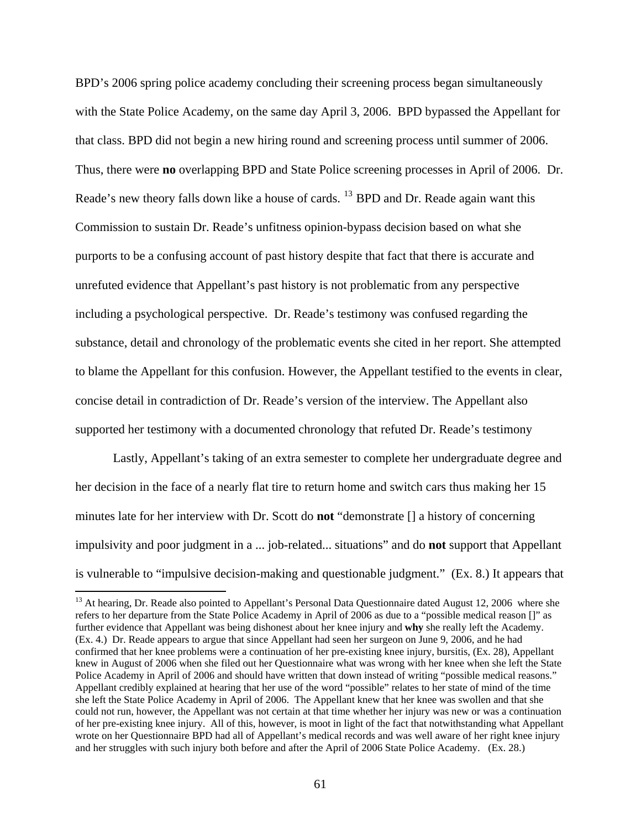BPD's 2006 spring police academy concluding their screening process began simultaneously with the State Police Academy, on the same day April 3, 2006. BPD bypassed the Appellant for that class. BPD did not begin a new hiring round and screening process until summer of 2006. Thus, there were **no** overlapping BPD and State Police screening processes in April of 2006. Dr. Reade's new theory falls down like a house of cards. <sup>[13](#page-60-0)</sup> BPD and Dr. Reade again want this Commission to sustain Dr. Reade's unfitness opinion-bypass decision based on what she purports to be a confusing account of past history despite that fact that there is accurate and unrefuted evidence that Appellant's past history is not problematic from any perspective including a psychological perspective. Dr. Reade's testimony was confused regarding the substance, detail and chronology of the problematic events she cited in her report. She attempted to blame the Appellant for this confusion. However, the Appellant testified to the events in clear, concise detail in contradiction of Dr. Reade's version of the interview. The Appellant also supported her testimony with a documented chronology that refuted Dr. Reade's testimony

 Lastly, Appellant's taking of an extra semester to complete her undergraduate degree and her decision in the face of a nearly flat tire to return home and switch cars thus making her 15 minutes late for her interview with Dr. Scott do **not** "demonstrate [] a history of concerning impulsivity and poor judgment in a ... job-related... situations" and do **not** support that Appellant is vulnerable to "impulsive decision-making and questionable judgment." (Ex. 8.) It appears that

 $\overline{a}$ 

<span id="page-60-0"></span><sup>&</sup>lt;sup>13</sup> At hearing, Dr. Reade also pointed to Appellant's Personal Data Questionnaire dated August 12, 2006 where she refers to her departure from the State Police Academy in April of 2006 as due to a "possible medical reason []" as further evidence that Appellant was being dishonest about her knee injury and **why** she really left the Academy. (Ex. 4.) Dr. Reade appears to argue that since Appellant had seen her surgeon on June 9, 2006, and he had confirmed that her knee problems were a continuation of her pre-existing knee injury, bursitis, (Ex. 28), Appellant knew in August of 2006 when she filed out her Questionnaire what was wrong with her knee when she left the State Police Academy in April of 2006 and should have written that down instead of writing "possible medical reasons." Appellant credibly explained at hearing that her use of the word "possible" relates to her state of mind of the time she left the State Police Academy in April of 2006. The Appellant knew that her knee was swollen and that she could not run, however, the Appellant was not certain at that time whether her injury was new or was a continuation of her pre-existing knee injury. All of this, however, is moot in light of the fact that notwithstanding what Appellant wrote on her Questionnaire BPD had all of Appellant's medical records and was well aware of her right knee injury and her struggles with such injury both before and after the April of 2006 State Police Academy. (Ex. 28.)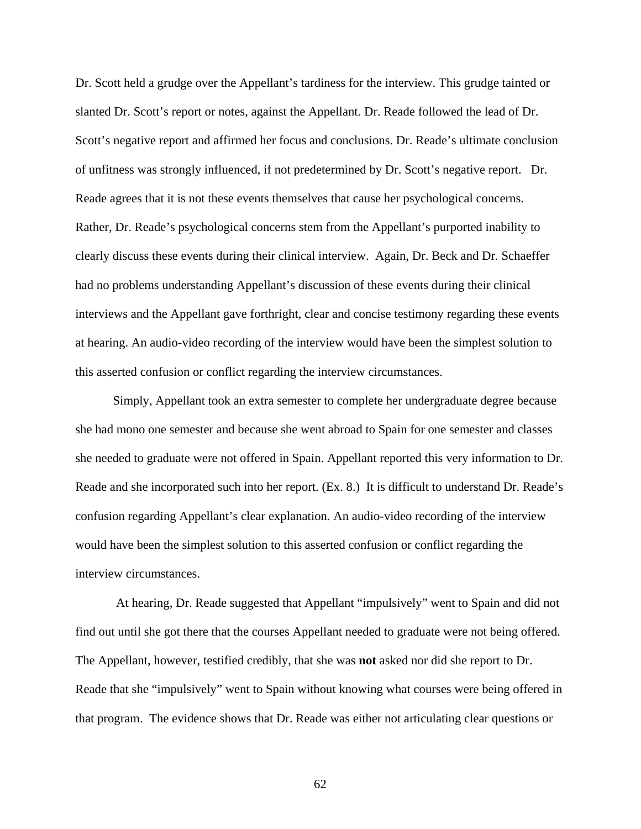Dr. Scott held a grudge over the Appellant's tardiness for the interview. This grudge tainted or slanted Dr. Scott's report or notes, against the Appellant. Dr. Reade followed the lead of Dr. Scott's negative report and affirmed her focus and conclusions. Dr. Reade's ultimate conclusion of unfitness was strongly influenced, if not predetermined by Dr. Scott's negative report. Dr. Reade agrees that it is not these events themselves that cause her psychological concerns. Rather, Dr. Reade's psychological concerns stem from the Appellant's purported inability to clearly discuss these events during their clinical interview. Again, Dr. Beck and Dr. Schaeffer had no problems understanding Appellant's discussion of these events during their clinical interviews and the Appellant gave forthright, clear and concise testimony regarding these events at hearing. An audio-video recording of the interview would have been the simplest solution to this asserted confusion or conflict regarding the interview circumstances.

Simply, Appellant took an extra semester to complete her undergraduate degree because she had mono one semester and because she went abroad to Spain for one semester and classes she needed to graduate were not offered in Spain. Appellant reported this very information to Dr. Reade and she incorporated such into her report. (Ex. 8.) It is difficult to understand Dr. Reade's confusion regarding Appellant's clear explanation. An audio-video recording of the interview would have been the simplest solution to this asserted confusion or conflict regarding the interview circumstances.

 At hearing, Dr. Reade suggested that Appellant "impulsively" went to Spain and did not find out until she got there that the courses Appellant needed to graduate were not being offered. The Appellant, however, testified credibly, that she was **not** asked nor did she report to Dr. Reade that she "impulsively" went to Spain without knowing what courses were being offered in that program. The evidence shows that Dr. Reade was either not articulating clear questions or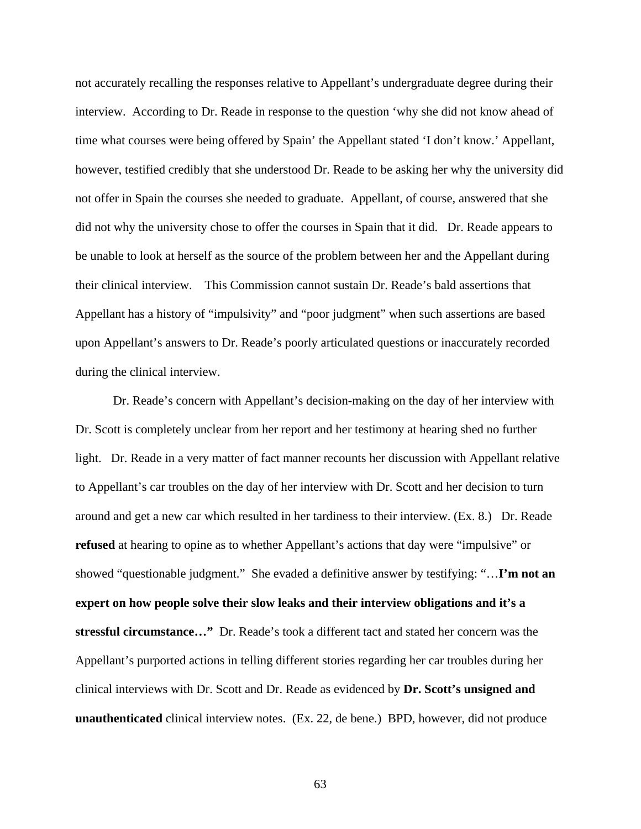not accurately recalling the responses relative to Appellant's undergraduate degree during their interview. According to Dr. Reade in response to the question 'why she did not know ahead of time what courses were being offered by Spain' the Appellant stated 'I don't know.' Appellant, however, testified credibly that she understood Dr. Reade to be asking her why the university did not offer in Spain the courses she needed to graduate. Appellant, of course, answered that she did not why the university chose to offer the courses in Spain that it did. Dr. Reade appears to be unable to look at herself as the source of the problem between her and the Appellant during their clinical interview. This Commission cannot sustain Dr. Reade's bald assertions that Appellant has a history of "impulsivity" and "poor judgment" when such assertions are based upon Appellant's answers to Dr. Reade's poorly articulated questions or inaccurately recorded during the clinical interview.

Dr. Reade's concern with Appellant's decision-making on the day of her interview with Dr. Scott is completely unclear from her report and her testimony at hearing shed no further light. Dr. Reade in a very matter of fact manner recounts her discussion with Appellant relative to Appellant's car troubles on the day of her interview with Dr. Scott and her decision to turn around and get a new car which resulted in her tardiness to their interview. (Ex. 8.) Dr. Reade **refused** at hearing to opine as to whether Appellant's actions that day were "impulsive" or showed "questionable judgment." She evaded a definitive answer by testifying: "…**I'm not an expert on how people solve their slow leaks and their interview obligations and it's a stressful circumstance…"** Dr. Reade's took a different tact and stated her concern was the Appellant's purported actions in telling different stories regarding her car troubles during her clinical interviews with Dr. Scott and Dr. Reade as evidenced by **Dr. Scott's unsigned and unauthenticated** clinical interview notes. (Ex. 22, de bene.) BPD, however, did not produce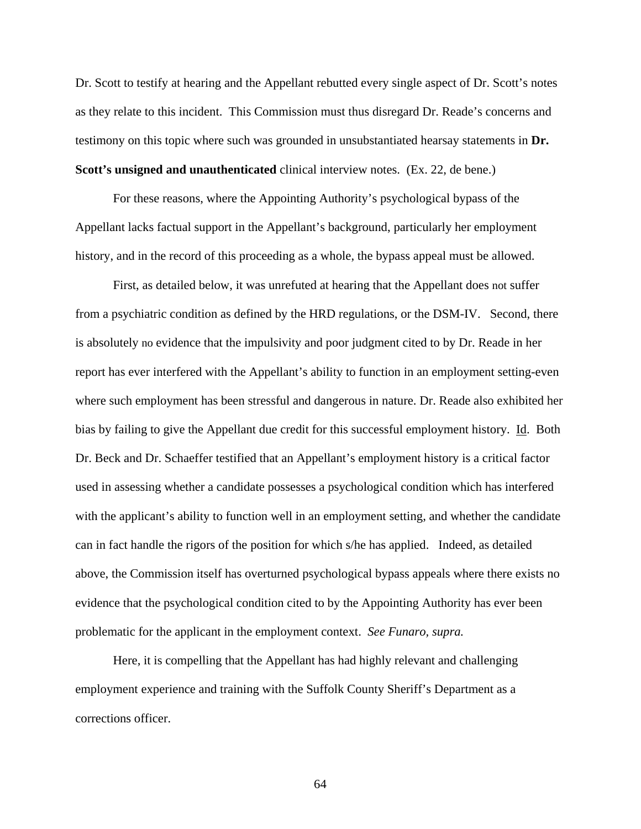Dr. Scott to testify at hearing and the Appellant rebutted every single aspect of Dr. Scott's notes as they relate to this incident. This Commission must thus disregard Dr. Reade's concerns and testimony on this topic where such was grounded in unsubstantiated hearsay statements in **Dr. Scott's unsigned and unauthenticated** clinical interview notes. (Ex. 22, de bene.)

For these reasons, where the Appointing Authority's psychological bypass of the Appellant lacks factual support in the Appellant's background, particularly her employment history, and in the record of this proceeding as a whole, the bypass appeal must be allowed.

First, as detailed below, it was unrefuted at hearing that the Appellant does not suffer from a psychiatric condition as defined by the HRD regulations, or the DSM-IV. Second, there is absolutely no evidence that the impulsivity and poor judgment cited to by Dr. Reade in her report has ever interfered with the Appellant's ability to function in an employment setting-even where such employment has been stressful and dangerous in nature. Dr. Reade also exhibited her bias by failing to give the Appellant due credit for this successful employment history. Id. Both Dr. Beck and Dr. Schaeffer testified that an Appellant's employment history is a critical factor used in assessing whether a candidate possesses a psychological condition which has interfered with the applicant's ability to function well in an employment setting, and whether the candidate can in fact handle the rigors of the position for which s/he has applied. Indeed, as detailed above, the Commission itself has overturned psychological bypass appeals where there exists no evidence that the psychological condition cited to by the Appointing Authority has ever been problematic for the applicant in the employment context. *See Funaro, supra.*

Here, it is compelling that the Appellant has had highly relevant and challenging employment experience and training with the Suffolk County Sheriff's Department as a corrections officer.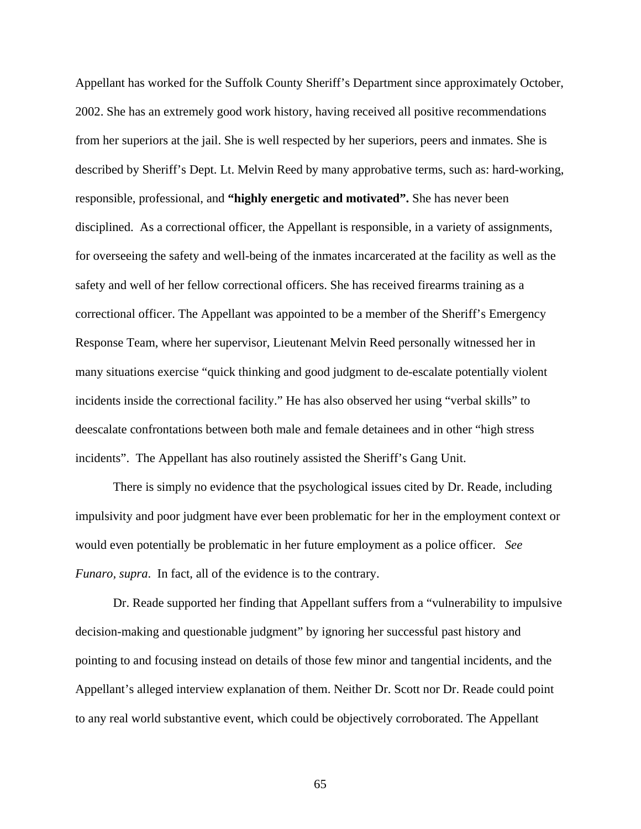Appellant has worked for the Suffolk County Sheriff's Department since approximately October, 2002. She has an extremely good work history, having received all positive recommendations from her superiors at the jail. She is well respected by her superiors, peers and inmates. She is described by Sheriff's Dept. Lt. Melvin Reed by many approbative terms, such as: hard-working, responsible, professional, and **"highly energetic and motivated".** She has never been disciplined. As a correctional officer, the Appellant is responsible, in a variety of assignments, for overseeing the safety and well-being of the inmates incarcerated at the facility as well as the safety and well of her fellow correctional officers. She has received firearms training as a correctional officer. The Appellant was appointed to be a member of the Sheriff's Emergency Response Team, where her supervisor, Lieutenant Melvin Reed personally witnessed her in many situations exercise "quick thinking and good judgment to de-escalate potentially violent incidents inside the correctional facility." He has also observed her using "verbal skills" to deescalate confrontations between both male and female detainees and in other "high stress incidents". The Appellant has also routinely assisted the Sheriff's Gang Unit.

There is simply no evidence that the psychological issues cited by Dr. Reade, including impulsivity and poor judgment have ever been problematic for her in the employment context or would even potentially be problematic in her future employment as a police officer. *See Funaro, supra*. In fact, all of the evidence is to the contrary.

Dr. Reade supported her finding that Appellant suffers from a "vulnerability to impulsive decision-making and questionable judgment" by ignoring her successful past history and pointing to and focusing instead on details of those few minor and tangential incidents, and the Appellant's alleged interview explanation of them. Neither Dr. Scott nor Dr. Reade could point to any real world substantive event, which could be objectively corroborated. The Appellant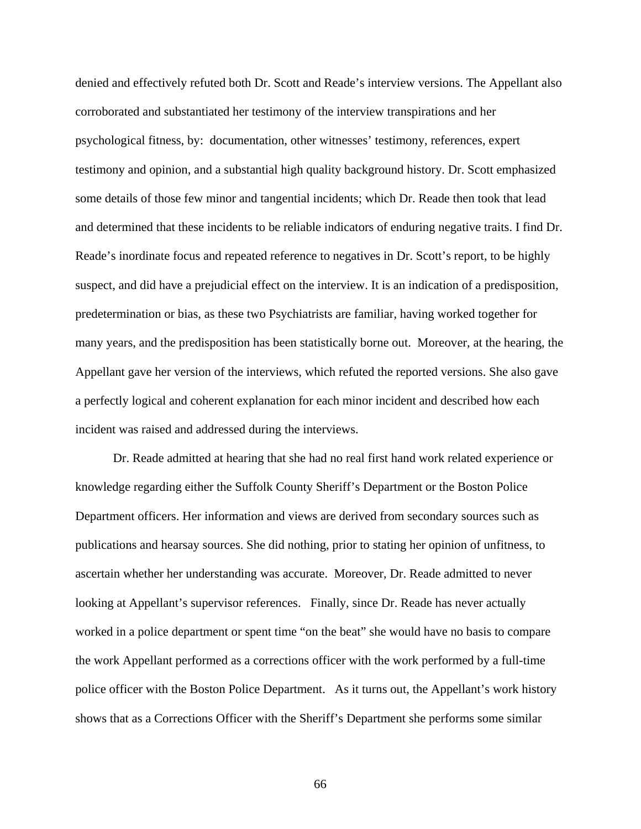denied and effectively refuted both Dr. Scott and Reade's interview versions. The Appellant also corroborated and substantiated her testimony of the interview transpirations and her psychological fitness, by: documentation, other witnesses' testimony, references, expert testimony and opinion, and a substantial high quality background history. Dr. Scott emphasized some details of those few minor and tangential incidents; which Dr. Reade then took that lead and determined that these incidents to be reliable indicators of enduring negative traits. I find Dr. Reade's inordinate focus and repeated reference to negatives in Dr. Scott's report, to be highly suspect, and did have a prejudicial effect on the interview. It is an indication of a predisposition, predetermination or bias, as these two Psychiatrists are familiar, having worked together for many years, and the predisposition has been statistically borne out. Moreover, at the hearing, the Appellant gave her version of the interviews, which refuted the reported versions. She also gave a perfectly logical and coherent explanation for each minor incident and described how each incident was raised and addressed during the interviews.

Dr. Reade admitted at hearing that she had no real first hand work related experience or knowledge regarding either the Suffolk County Sheriff's Department or the Boston Police Department officers. Her information and views are derived from secondary sources such as publications and hearsay sources. She did nothing, prior to stating her opinion of unfitness, to ascertain whether her understanding was accurate. Moreover, Dr. Reade admitted to never looking at Appellant's supervisor references. Finally, since Dr. Reade has never actually worked in a police department or spent time "on the beat" she would have no basis to compare the work Appellant performed as a corrections officer with the work performed by a full-time police officer with the Boston Police Department. As it turns out, the Appellant's work history shows that as a Corrections Officer with the Sheriff's Department she performs some similar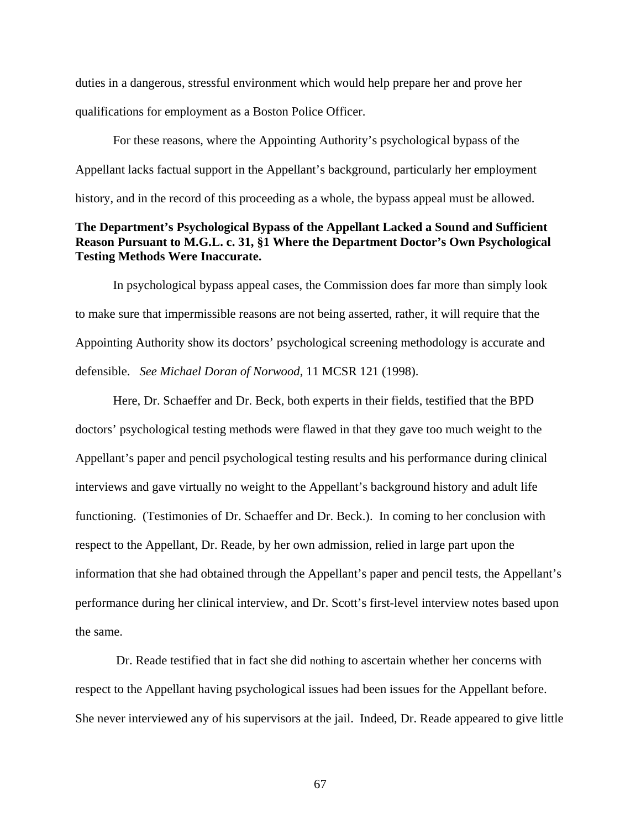duties in a dangerous, stressful environment which would help prepare her and prove her qualifications for employment as a Boston Police Officer.

For these reasons, where the Appointing Authority's psychological bypass of the Appellant lacks factual support in the Appellant's background, particularly her employment history, and in the record of this proceeding as a whole, the bypass appeal must be allowed.

# **The Department's Psychological Bypass of the Appellant Lacked a Sound and Sufficient Reason Pursuant to M.G.L. c. 31, §1 Where the Department Doctor's Own Psychological Testing Methods Were Inaccurate.**

In psychological bypass appeal cases, the Commission does far more than simply look to make sure that impermissible reasons are not being asserted, rather, it will require that the Appointing Authority show its doctors' psychological screening methodology is accurate and defensible. *See Michael Doran of Norwood*, 11 MCSR 121 (1998).

Here, Dr. Schaeffer and Dr. Beck, both experts in their fields, testified that the BPD doctors' psychological testing methods were flawed in that they gave too much weight to the Appellant's paper and pencil psychological testing results and his performance during clinical interviews and gave virtually no weight to the Appellant's background history and adult life functioning. (Testimonies of Dr. Schaeffer and Dr. Beck.). In coming to her conclusion with respect to the Appellant, Dr. Reade, by her own admission, relied in large part upon the information that she had obtained through the Appellant's paper and pencil tests, the Appellant's performance during her clinical interview, and Dr. Scott's first-level interview notes based upon the same.

 Dr. Reade testified that in fact she did nothing to ascertain whether her concerns with respect to the Appellant having psychological issues had been issues for the Appellant before. She never interviewed any of his supervisors at the jail. Indeed, Dr. Reade appeared to give little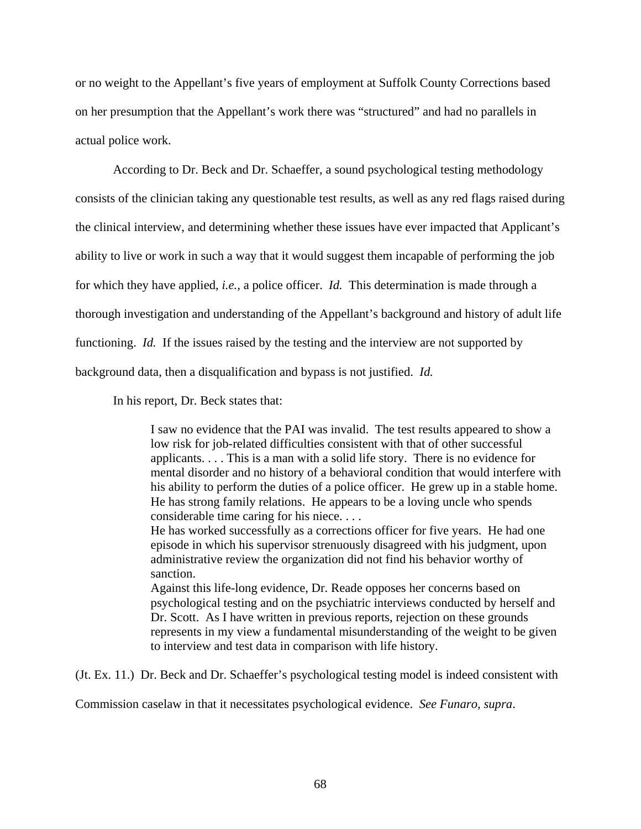or no weight to the Appellant's five years of employment at Suffolk County Corrections based on her presumption that the Appellant's work there was "structured" and had no parallels in actual police work.

According to Dr. Beck and Dr. Schaeffer, a sound psychological testing methodology consists of the clinician taking any questionable test results, as well as any red flags raised during the clinical interview, and determining whether these issues have ever impacted that Applicant's ability to live or work in such a way that it would suggest them incapable of performing the job for which they have applied, *i.e.,* a police officer. *Id.* This determination is made through a thorough investigation and understanding of the Appellant's background and history of adult life functioning. *Id.* If the issues raised by the testing and the interview are not supported by background data, then a disqualification and bypass is not justified. *Id.*

In his report, Dr. Beck states that:

I saw no evidence that the PAI was invalid. The test results appeared to show a low risk for job-related difficulties consistent with that of other successful applicants. . . . This is a man with a solid life story. There is no evidence for mental disorder and no history of a behavioral condition that would interfere with his ability to perform the duties of a police officer. He grew up in a stable home. He has strong family relations. He appears to be a loving uncle who spends considerable time caring for his niece. . . .

He has worked successfully as a corrections officer for five years. He had one episode in which his supervisor strenuously disagreed with his judgment, upon administrative review the organization did not find his behavior worthy of sanction.

Against this life-long evidence, Dr. Reade opposes her concerns based on psychological testing and on the psychiatric interviews conducted by herself and Dr. Scott. As I have written in previous reports, rejection on these grounds represents in my view a fundamental misunderstanding of the weight to be given to interview and test data in comparison with life history.

(Jt. Ex. 11.) Dr. Beck and Dr. Schaeffer's psychological testing model is indeed consistent with

Commission caselaw in that it necessitates psychological evidence. *See Funaro, supra*.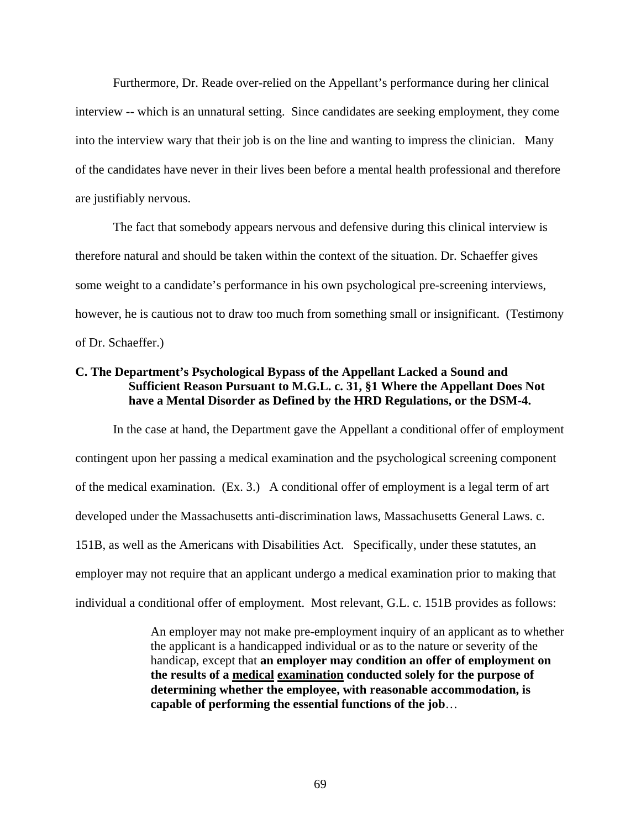Furthermore, Dr. Reade over-relied on the Appellant's performance during her clinical interview -- which is an unnatural setting. Since candidates are seeking employment, they come into the interview wary that their job is on the line and wanting to impress the clinician. Many of the candidates have never in their lives been before a mental health professional and therefore are justifiably nervous.

The fact that somebody appears nervous and defensive during this clinical interview is therefore natural and should be taken within the context of the situation. Dr. Schaeffer gives some weight to a candidate's performance in his own psychological pre-screening interviews, however, he is cautious not to draw too much from something small or insignificant. (Testimony of Dr. Schaeffer.)

# **C. The Department's Psychological Bypass of the Appellant Lacked a Sound and Sufficient Reason Pursuant to M.G.L. c. 31, §1 Where the Appellant Does Not have a Mental Disorder as Defined by the HRD Regulations, or the DSM-4.**

In the case at hand, the Department gave the Appellant a conditional offer of employment contingent upon her passing a medical examination and the psychological screening component of the medical examination. (Ex. 3.) A conditional offer of employment is a legal term of art developed under the Massachusetts anti-discrimination laws, Massachusetts General Laws. c. 151B, as well as the Americans with Disabilities Act. Specifically, under these statutes, an employer may not require that an applicant undergo a medical examination prior to making that individual a conditional offer of employment. Most relevant, G.L. c. 151B provides as follows:

> An employer may not make pre-employment inquiry of an applicant as to whether the applicant is a handicapped individual or as to the nature or severity of the handicap, except that **an employer may condition an offer of employment on the results of a medical examination conducted solely for the purpose of determining whether the employee, with reasonable accommodation, is capable of performing the essential functions of the job**…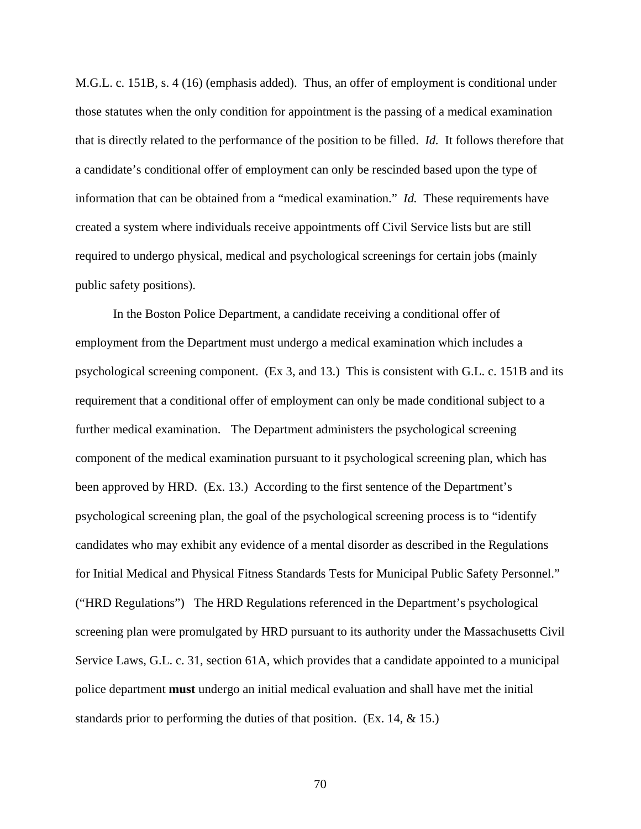M.G.L. c. 151B, s. 4 (16) (emphasis added). Thus, an offer of employment is conditional under those statutes when the only condition for appointment is the passing of a medical examination that is directly related to the performance of the position to be filled. *Id.* It follows therefore that a candidate's conditional offer of employment can only be rescinded based upon the type of information that can be obtained from a "medical examination." *Id.* These requirements have created a system where individuals receive appointments off Civil Service lists but are still required to undergo physical, medical and psychological screenings for certain jobs (mainly public safety positions).

 In the Boston Police Department, a candidate receiving a conditional offer of employment from the Department must undergo a medical examination which includes a psychological screening component. (Ex 3, and 13.) This is consistent with G.L. c. 151B and its requirement that a conditional offer of employment can only be made conditional subject to a further medical examination. The Department administers the psychological screening component of the medical examination pursuant to it psychological screening plan, which has been approved by HRD. (Ex. 13.) According to the first sentence of the Department's psychological screening plan, the goal of the psychological screening process is to "identify candidates who may exhibit any evidence of a mental disorder as described in the Regulations for Initial Medical and Physical Fitness Standards Tests for Municipal Public Safety Personnel." ("HRD Regulations") The HRD Regulations referenced in the Department's psychological screening plan were promulgated by HRD pursuant to its authority under the Massachusetts Civil Service Laws, G.L. c. 31, section 61A, which provides that a candidate appointed to a municipal police department **must** undergo an initial medical evaluation and shall have met the initial standards prior to performing the duties of that position. (Ex. 14,  $\&$  15.)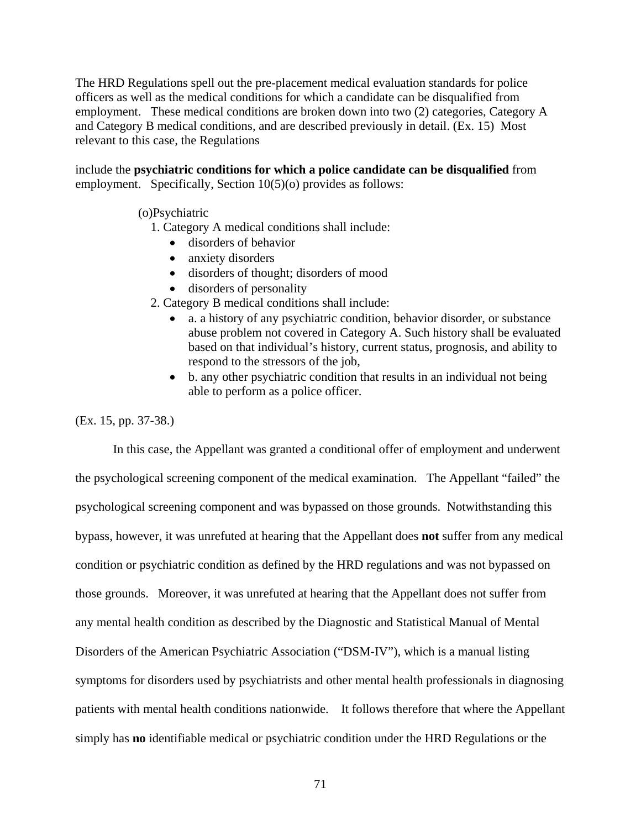The HRD Regulations spell out the pre-placement medical evaluation standards for police officers as well as the medical conditions for which a candidate can be disqualified from employment. These medical conditions are broken down into two (2) categories, Category A and Category B medical conditions, and are described previously in detail. (Ex. 15) Most relevant to this case, the Regulations

include the **psychiatric conditions for which a police candidate can be disqualified** from employment. Specifically, Section 10(5)(o) provides as follows:

### (o)Psychiatric

- 1. Category A medical conditions shall include:
	- disorders of behavior
	- anxiety disorders
	- disorders of thought; disorders of mood
	- disorders of personality
- 2. Category B medical conditions shall include:
	- a. a history of any psychiatric condition, behavior disorder, or substance abuse problem not covered in Category A. Such history shall be evaluated based on that individual's history, current status, prognosis, and ability to respond to the stressors of the job,
	- b. any other psychiatric condition that results in an individual not being able to perform as a police officer.

#### (Ex. 15, pp. 37-38.)

 In this case, the Appellant was granted a conditional offer of employment and underwent the psychological screening component of the medical examination. The Appellant "failed" the psychological screening component and was bypassed on those grounds. Notwithstanding this bypass, however, it was unrefuted at hearing that the Appellant does **not** suffer from any medical condition or psychiatric condition as defined by the HRD regulations and was not bypassed on those grounds. Moreover, it was unrefuted at hearing that the Appellant does not suffer from any mental health condition as described by the Diagnostic and Statistical Manual of Mental Disorders of the American Psychiatric Association ("DSM-IV"), which is a manual listing symptoms for disorders used by psychiatrists and other mental health professionals in diagnosing patients with mental health conditions nationwide. It follows therefore that where the Appellant simply has **no** identifiable medical or psychiatric condition under the HRD Regulations or the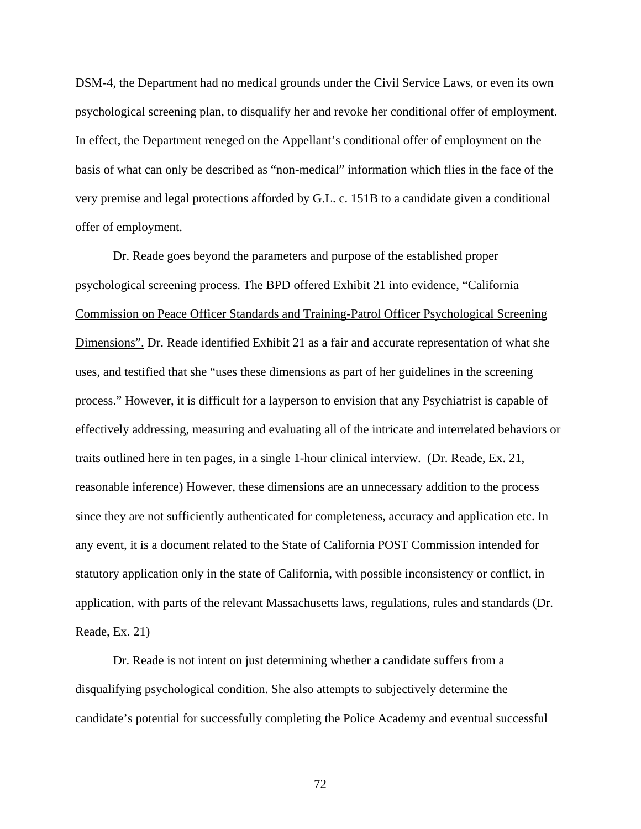DSM-4, the Department had no medical grounds under the Civil Service Laws, or even its own psychological screening plan, to disqualify her and revoke her conditional offer of employment. In effect, the Department reneged on the Appellant's conditional offer of employment on the basis of what can only be described as "non-medical" information which flies in the face of the very premise and legal protections afforded by G.L. c. 151B to a candidate given a conditional offer of employment.

Dr. Reade goes beyond the parameters and purpose of the established proper psychological screening process. The BPD offered Exhibit 21 into evidence, "California Commission on Peace Officer Standards and Training-Patrol Officer Psychological Screening Dimensions". Dr. Reade identified Exhibit 21 as a fair and accurate representation of what she uses, and testified that she "uses these dimensions as part of her guidelines in the screening process." However, it is difficult for a layperson to envision that any Psychiatrist is capable of effectively addressing, measuring and evaluating all of the intricate and interrelated behaviors or traits outlined here in ten pages, in a single 1-hour clinical interview. (Dr. Reade, Ex. 21, reasonable inference) However, these dimensions are an unnecessary addition to the process since they are not sufficiently authenticated for completeness, accuracy and application etc. In any event, it is a document related to the State of California POST Commission intended for statutory application only in the state of California, with possible inconsistency or conflict, in application, with parts of the relevant Massachusetts laws, regulations, rules and standards (Dr. Reade, Ex. 21)

Dr. Reade is not intent on just determining whether a candidate suffers from a disqualifying psychological condition. She also attempts to subjectively determine the candidate's potential for successfully completing the Police Academy and eventual successful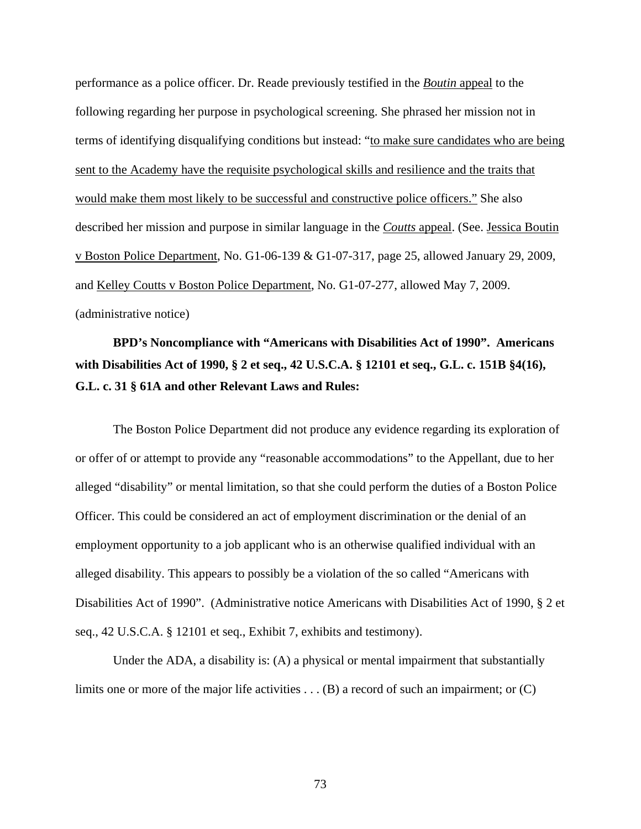performance as a police officer. Dr. Reade previously testified in the *Boutin* appeal to the following regarding her purpose in psychological screening. She phrased her mission not in terms of identifying disqualifying conditions but instead: "to make sure candidates who are being sent to the Academy have the requisite psychological skills and resilience and the traits that would make them most likely to be successful and constructive police officers." She also described her mission and purpose in similar language in the *Coutts* appeal. (See. Jessica Boutin v Boston Police Department, No. G1-06-139 & G1-07-317, page 25, allowed January 29, 2009, and Kelley Coutts v Boston Police Department, No. G1-07-277, allowed May 7, 2009. (administrative notice)

## **BPD's Noncompliance with "Americans with Disabilities Act of 1990". Americans with Disabilities Act of 1990, § 2 et seq., 42 U.S.C.A. § 12101 et seq., G.L. c. 151B §4(16), G.L. c. 31 § 61A and other Relevant Laws and Rules:**

The Boston Police Department did not produce any evidence regarding its exploration of or offer of or attempt to provide any "reasonable accommodations" to the Appellant, due to her alleged "disability" or mental limitation, so that she could perform the duties of a Boston Police Officer. This could be considered an act of employment discrimination or the denial of an employment opportunity to a job applicant who is an otherwise qualified individual with an alleged disability. This appears to possibly be a violation of the so called "Americans with Disabilities Act of 1990". (Administrative notice Americans with Disabilities Act of 1990, § 2 et seq., 42 U.S.C.A. § 12101 et seq., Exhibit 7, exhibits and testimony).

Under the ADA, a disability is: (A) a physical or mental impairment that substantially limits one or more of the major life activities . . . (B) a record of such an impairment; or (C)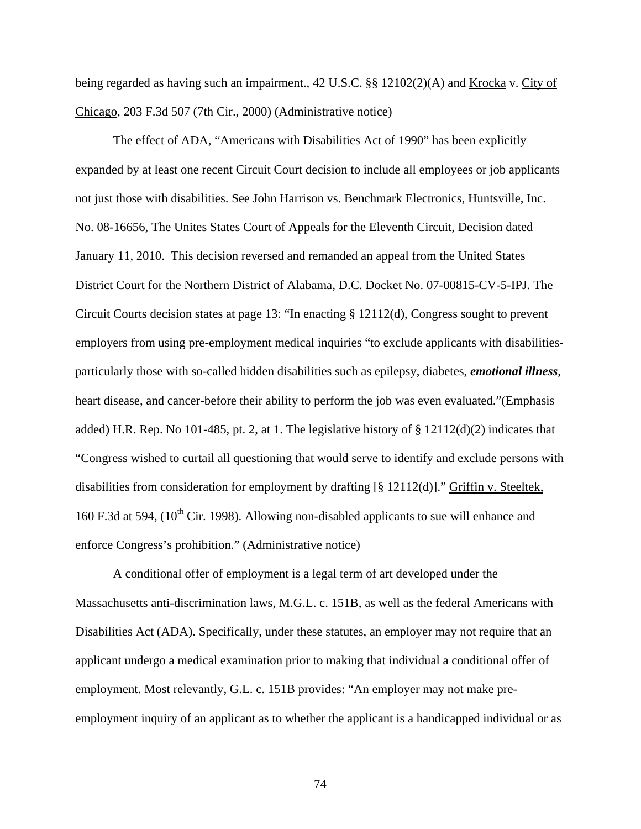being regarded as having such an impairment., 42 U.S.C. §§ 12102(2)(A) and Krocka v. City of Chicago, 203 F.3d 507 (7th Cir., 2000) (Administrative notice)

The effect of ADA, "Americans with Disabilities Act of 1990" has been explicitly expanded by at least one recent Circuit Court decision to include all employees or job applicants not just those with disabilities. See John Harrison vs. Benchmark Electronics, Huntsville, Inc. No. 08-16656, The Unites States Court of Appeals for the Eleventh Circuit, Decision dated January 11, 2010. This decision reversed and remanded an appeal from the United States District Court for the Northern District of Alabama, D.C. Docket No. 07-00815-CV-5-IPJ. The Circuit Courts decision states at page 13: "In enacting § 12112(d), Congress sought to prevent employers from using pre-employment medical inquiries "to exclude applicants with disabilitiesparticularly those with so-called hidden disabilities such as epilepsy, diabetes, *emotional illness*, heart disease, and cancer-before their ability to perform the job was even evaluated."(Emphasis added) H.R. Rep. No 101-485, pt. 2, at 1. The legislative history of § 12112(d)(2) indicates that "Congress wished to curtail all questioning that would serve to identify and exclude persons with disabilities from consideration for employment by drafting [§ 12112(d)]." Griffin v. Steeltek, 160 F.3d at 594,  $(10^{th}$  Cir. 1998). Allowing non-disabled applicants to sue will enhance and enforce Congress's prohibition." (Administrative notice)

A conditional offer of employment is a legal term of art developed under the Massachusetts anti-discrimination laws, M.G.L. c. 151B, as well as the federal Americans with Disabilities Act (ADA). Specifically, under these statutes, an employer may not require that an applicant undergo a medical examination prior to making that individual a conditional offer of employment. Most relevantly, G.L. c. 151B provides: "An employer may not make preemployment inquiry of an applicant as to whether the applicant is a handicapped individual or as

74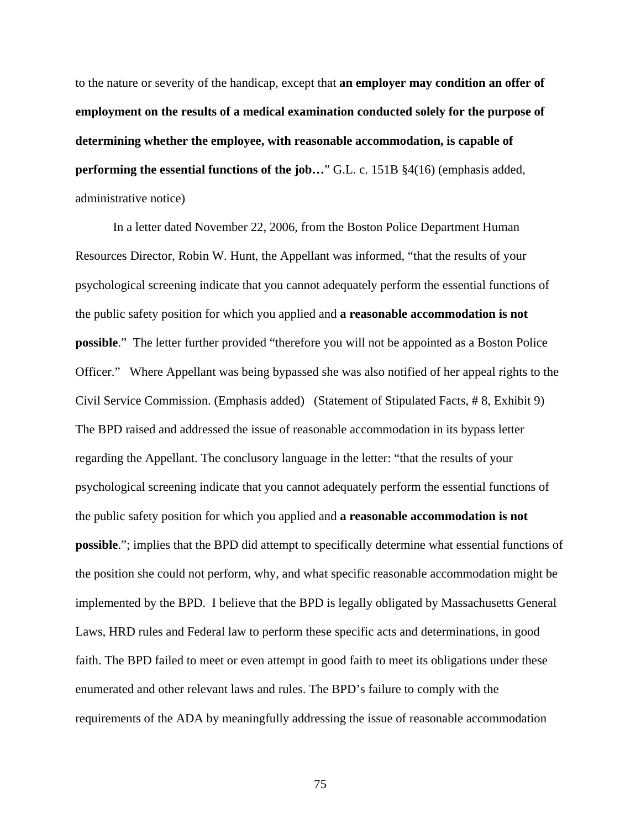to the nature or severity of the handicap, except that **an employer may condition an offer of employment on the results of a medical examination conducted solely for the purpose of determining whether the employee, with reasonable accommodation, is capable of performing the essential functions of the job...**" G.L. c. 151B §4(16) (emphasis added, administrative notice)

In a letter dated November 22, 2006, from the Boston Police Department Human Resources Director, Robin W. Hunt, the Appellant was informed, "that the results of your psychological screening indicate that you cannot adequately perform the essential functions of the public safety position for which you applied and **a reasonable accommodation is not possible**." The letter further provided "therefore you will not be appointed as a Boston Police Officer." Where Appellant was being bypassed she was also notified of her appeal rights to the Civil Service Commission. (Emphasis added) (Statement of Stipulated Facts, # 8, Exhibit 9) The BPD raised and addressed the issue of reasonable accommodation in its bypass letter regarding the Appellant. The conclusory language in the letter: "that the results of your psychological screening indicate that you cannot adequately perform the essential functions of the public safety position for which you applied and **a reasonable accommodation is not possible**."; implies that the BPD did attempt to specifically determine what essential functions of the position she could not perform, why, and what specific reasonable accommodation might be implemented by the BPD. I believe that the BPD is legally obligated by Massachusetts General Laws, HRD rules and Federal law to perform these specific acts and determinations, in good faith. The BPD failed to meet or even attempt in good faith to meet its obligations under these enumerated and other relevant laws and rules. The BPD's failure to comply with the requirements of the ADA by meaningfully addressing the issue of reasonable accommodation

75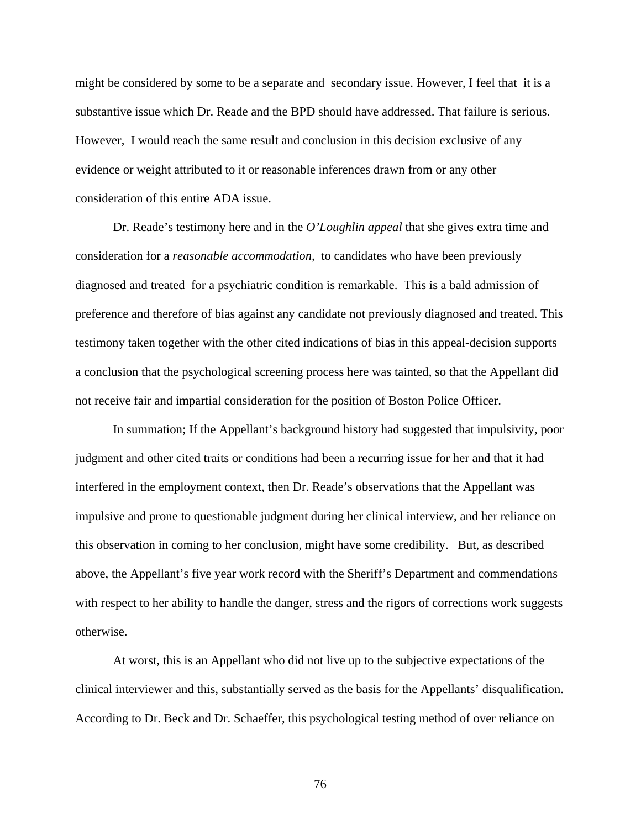might be considered by some to be a separate and secondary issue. However, I feel that it is a substantive issue which Dr. Reade and the BPD should have addressed. That failure is serious. However, I would reach the same result and conclusion in this decision exclusive of any evidence or weight attributed to it or reasonable inferences drawn from or any other consideration of this entire ADA issue.

Dr. Reade's testimony here and in the *O'Loughlin appeal* that she gives extra time and consideration for a *reasonable accommodation,* to candidates who have been previously diagnosed and treated for a psychiatric condition is remarkable. This is a bald admission of preference and therefore of bias against any candidate not previously diagnosed and treated. This testimony taken together with the other cited indications of bias in this appeal-decision supports a conclusion that the psychological screening process here was tainted, so that the Appellant did not receive fair and impartial consideration for the position of Boston Police Officer.

In summation; If the Appellant's background history had suggested that impulsivity, poor judgment and other cited traits or conditions had been a recurring issue for her and that it had interfered in the employment context, then Dr. Reade's observations that the Appellant was impulsive and prone to questionable judgment during her clinical interview, and her reliance on this observation in coming to her conclusion, might have some credibility. But, as described above, the Appellant's five year work record with the Sheriff's Department and commendations with respect to her ability to handle the danger, stress and the rigors of corrections work suggests otherwise.

At worst, this is an Appellant who did not live up to the subjective expectations of the clinical interviewer and this, substantially served as the basis for the Appellants' disqualification. According to Dr. Beck and Dr. Schaeffer, this psychological testing method of over reliance on

76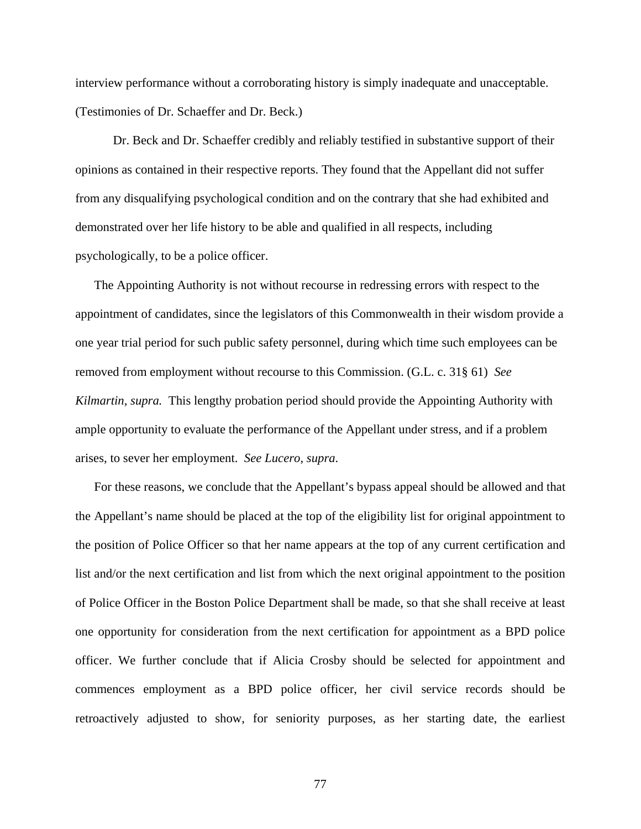interview performance without a corroborating history is simply inadequate and unacceptable. (Testimonies of Dr. Schaeffer and Dr. Beck.)

Dr. Beck and Dr. Schaeffer credibly and reliably testified in substantive support of their opinions as contained in their respective reports. They found that the Appellant did not suffer from any disqualifying psychological condition and on the contrary that she had exhibited and demonstrated over her life history to be able and qualified in all respects, including psychologically, to be a police officer.

The Appointing Authority is not without recourse in redressing errors with respect to the appointment of candidates, since the legislators of this Commonwealth in their wisdom provide a one year trial period for such public safety personnel, during which time such employees can be removed from employment without recourse to this Commission. (G.L. c. 31§ 61) *See Kilmartin, supra.* This lengthy probation period should provide the Appointing Authority with ample opportunity to evaluate the performance of the Appellant under stress, and if a problem arises, to sever her employment. *See Lucero, supra*.

For these reasons, we conclude that the Appellant's bypass appeal should be allowed and that the Appellant's name should be placed at the top of the eligibility list for original appointment to the position of Police Officer so that her name appears at the top of any current certification and list and/or the next certification and list from which the next original appointment to the position of Police Officer in the Boston Police Department shall be made, so that she shall receive at least one opportunity for consideration from the next certification for appointment as a BPD police officer. We further conclude that if Alicia Crosby should be selected for appointment and commences employment as a BPD police officer, her civil service records should be retroactively adjusted to show, for seniority purposes, as her starting date, the earliest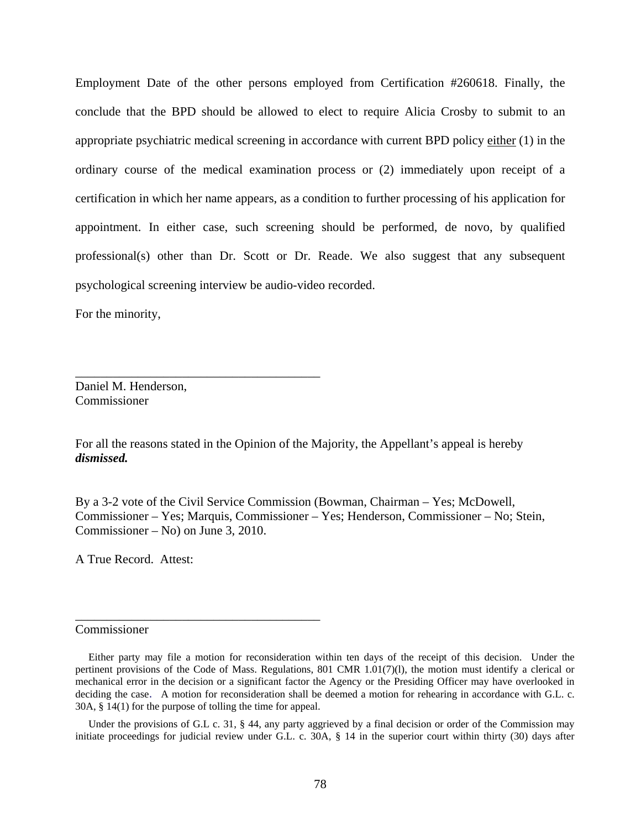Employment Date of the other persons employed from Certification #260618. Finally, the conclude that the BPD should be allowed to elect to require Alicia Crosby to submit to an appropriate psychiatric medical screening in accordance with current BPD policy either (1) in the ordinary course of the medical examination process or (2) immediately upon receipt of a certification in which her name appears, as a condition to further processing of his application for appointment. In either case, such screening should be performed, de novo, by qualified professional(s) other than Dr. Scott or Dr. Reade. We also suggest that any subsequent psychological screening interview be audio-video recorded.

For the minority,

Daniel M. Henderson, Commissioner

\_\_\_\_\_\_\_\_\_\_\_\_\_\_\_\_\_\_\_\_\_\_\_\_\_\_\_\_\_\_\_\_\_\_\_\_\_\_\_

\_\_\_\_\_\_\_\_\_\_\_\_\_\_\_\_\_\_\_\_\_\_\_\_\_\_\_\_\_\_\_\_\_\_\_\_\_\_\_

For all the reasons stated in the Opinion of the Majority, the Appellant's appeal is hereby *dismissed.*

By a 3-2 vote of the Civil Service Commission (Bowman, Chairman – Yes; McDowell, Commissioner – Yes; Marquis, Commissioner – Yes; Henderson, Commissioner – No; Stein, Commissioner – No) on June 3, 2010.

A True Record. Attest:

## Commissioner

Under the provisions of G.L c. 31, § 44, any party aggrieved by a final decision or order of the Commission may initiate proceedings for judicial review under G.L. c. 30A, § 14 in the superior court within thirty (30) days after

Either party may file a motion for reconsideration within ten days of the receipt of this decision. Under the pertinent provisions of the Code of Mass. Regulations, 801 CMR 1.01(7)(l), the motion must identify a clerical or mechanical error in the decision or a significant factor the Agency or the Presiding Officer may have overlooked in deciding the case. A motion for reconsideration shall be deemed a motion for rehearing in accordance with G.L. c. 30A, § 14(1) for the purpose of tolling the time for appeal.